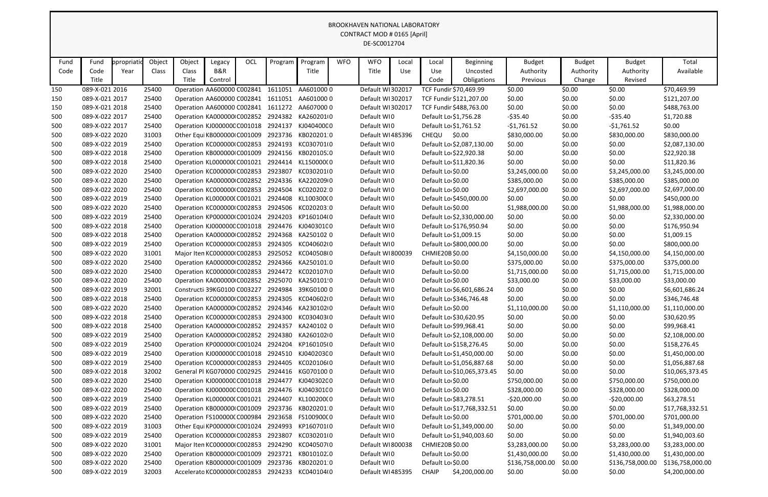|      |                |            |        |                             |         |     |         |                                                 |            | <b>BROOKHAVEN NATIONAL LABORATORY</b> |       |                       |                            |                  |               |                  |                  |
|------|----------------|------------|--------|-----------------------------|---------|-----|---------|-------------------------------------------------|------------|---------------------------------------|-------|-----------------------|----------------------------|------------------|---------------|------------------|------------------|
|      |                |            |        |                             |         |     |         |                                                 |            | CONTRACT MOD # 0165 [April]           |       |                       |                            |                  |               |                  |                  |
|      |                |            |        |                             |         |     |         |                                                 |            | DE-SC0012704                          |       |                       |                            |                  |               |                  |                  |
|      |                |            |        |                             |         |     |         |                                                 |            |                                       |       |                       |                            |                  |               |                  |                  |
| Fund | Fund           | ppropriati | Object | Object                      | Legacy  | OCL | Program | Program                                         | <b>WFO</b> | <b>WFO</b>                            | Local | Local                 | Beginning                  | <b>Budget</b>    | <b>Budget</b> | <b>Budget</b>    | Total            |
| Code | Code           | Year       | Class  | Class                       | B&R     |     |         | Title                                           |            | Title                                 | Use   | Use                   | Uncosted                   | Authority        | Authority     | Authority        | Available        |
|      | Title          |            |        | Title                       | Control |     |         |                                                 |            |                                       |       | Code                  | Obligations                | Previous         | Change        | Revised          |                  |
| 150  | 089-X-021 2016 |            | 25400  | Operation AA600000 C002841  |         |     | 1611051 | AA6010000                                       |            | Default WI302017                      |       |                       | TCF Fundir \$70,469.99     | \$0.00           | \$0.00        | \$0.00           | \$70,469.99      |
| 150  | 089-X-021 2017 |            | 25400  |                             |         |     |         | Operation AA600000 C002841 1611051 AA601000 0   |            | Default WI302017                      |       |                       | TCF Fundir \$121,207.00    | \$0.00           | \$0.00        | \$0.00           | \$121,207.00     |
| 150  | 089-X-021 2018 |            | 25400  |                             |         |     |         | Operation AA600000 C002841 1611272 AA607000 0   |            | Default WI302017                      |       |                       | TCF Fundir \$488,763.00    | \$0.00           | \$0.00        | \$0.00           | \$488,763.00     |
| 500  | 089-X-022 2017 |            | 25400  | Operation KA000000 C002852  |         |     |         | 2924382 KA2602010                               |            | Default WI0                           |       | Default Lo \$1,756.28 |                            | $-$ \$35.40      | \$0.00        | $-535.40$        | \$1,720.88       |
| 500  | 089-X-022 2017 |            | 25400  | Operation KJ000000C C001018 |         |     |         | 2924137 KJ040400C0                              |            | Default WI0                           |       | Default Lo \$1,761.52 |                            | $-$1,761.52$     | \$0.00        | $-$1,761.52$     | \$0.00           |
| 500  | 089-X-022 2020 |            | 31003  | Other Equi KB000000 C001009 |         |     |         | 2923736 KB0202010                               |            | Default WI485396                      |       | CHEQU                 | \$0.00                     | \$830,000.00     | \$0.00        | \$830,000.00     | \$830,000.00     |
| 500  | 089-X-022 2019 |            | 25400  | Operation KC000000 C002853  |         |     |         | 2924193 KC030701(0                              |            | Default WI0                           |       |                       | Default Lo \$2,087,130.00  | \$0.00           | \$0.00        | \$0.00           | \$2,087,130.00   |
| 500  | 089-X-022 2018 |            | 25400  | Operation KB000000 C001009  |         |     |         | 2924156 KB020105.0                              |            | Default WI0                           |       |                       | Default Lo \$22,920.38     | \$0.00           | \$0.00        | \$0.00           | \$22,920.38      |
| 500  | 089-X-022 2018 |            | 25400  | Operation KL0000000 C001021 |         |     |         | 2924414 KL150000(0                              |            | Default WI0                           |       |                       | Default Lo \$11,820.36     | \$0.00           | \$0.00        | \$0.00           | \$11,820.36      |
| 500  | 089-X-022 2020 |            | 25400  | Operation KC000000 C002853  |         |     | 2923807 | KC0302010                                       |            | Default WI0                           |       | Default Lo \$0.00     |                            | \$3,245,000.00   | \$0.00        | \$3,245,000.00   | \$3,245,000.00   |
| 500  | 089-X-022 2020 |            | 25400  | Operation KA000000 C002852  |         |     |         | 2924336 KA220209 0                              |            | Default WI0                           |       | Default Lo \$0.00     |                            | \$385,000.00     | \$0.00        | \$385,000.00     | \$385,000.00     |
| 500  | 089-X-022 2020 |            | 25400  | Operation KC000000 C002853  |         |     |         | 2924504 KC020202 0                              |            | Default WI0                           |       | Default Lo \$0.00     |                            | \$2,697,000.00   | \$0.00        | \$2,697,000.00   | \$2,697,000.00   |
| 500  | 089-X-022 2019 |            | 25400  | Operation KL000000(C001021  |         |     | 2924408 | KL100300(0                                      |            | Default WI0                           |       |                       | Default Lo \$450,000.00    | \$0.00           | \$0.00        | \$0.00           | \$450,000.00     |
| 500  | 089-X-022 2020 |            | 25400  | Operation KC000000 C002853  |         |     |         | 2924506 KC020203:0                              |            | Default WI0                           |       | Default Lo \$0.00     |                            | \$1,988,000.00   | \$0.00        | \$1,988,000.00   | \$1,988,000.00   |
| 500  | 089-X-022 2019 |            | 25400  | Operation KP000000(C001024  |         |     | 2924203 | KP160104(0                                      |            | Default WI0                           |       |                       | Default Lo \$2,330,000.00  | \$0.00           | \$0.00        | \$0.00           | \$2,330,000.00   |
| 500  | 089-X-022 2018 |            | 25400  | Operation KJ000000C C001018 |         |     |         | 2924476 KJ040301C0                              |            | Default WI0                           |       |                       | Default Lo \$176,950.94    | \$0.00           | \$0.00        | \$0.00           | \$176,950.94     |
| 500  | 089-X-022 2018 |            | 25400  | Operation KA000000 C002852  |         |     |         | 2924368 KA250102 0                              |            | Default WI0                           |       | Default Lo \$1,009.15 |                            | \$0.00           | \$0.00        | \$0.00           | \$1,009.15       |
| 500  | 089-X-022 2019 |            | 25400  | Operation KC000000 C002853  |         |     | 2924305 | KC040602I0                                      |            | Default WI0                           |       |                       | Default Lo \$800,000.00    | \$0.00           | \$0.00        | \$0.00           | \$800,000.00     |
| 500  | 089-X-022 2020 |            | 31001  | Major Iten KC000000 C002853 |         |     |         | 2925052 KC040508I0                              |            | Default WI800039                      |       | CHMIE20B \$0.00       |                            | \$4,150,000.00   | \$0.00        | \$4,150,000.00   | \$4,150,000.00   |
| 500  | 089-X-022 2020 |            | 25400  | Operation KA000000 C002852  |         |     |         | 2924366 KA250101.0                              |            | Default WI0                           |       | Default Lo \$0.00     |                            | \$375,000.00     | \$0.00        | \$375,000.00     | \$375,000.00     |
| 500  | 089-X-022 2020 |            | 25400  | Operation KC000000(C002853  |         |     |         | 2924472 KC020107I0                              |            | Default WI0                           |       | Default Lo \$0.00     |                            | \$1,715,000.00   | \$0.00        | \$1,715,000.00   | \$1,715,000.00   |
| 500  | 089-X-022 2020 |            | 25400  | Operation KA000000 C002852  |         |     | 2925070 | KA250101 0                                      |            | Default WIO                           |       | Default Lo \$0.00     |                            | \$33,000.00      | \$0.00        | \$33,000.00      | \$33,000.00      |
| 500  | 089-X-022 2019 |            | 32001  | Constructi 39KG0100 C003227 |         |     |         | 2924984 39KG0100 0                              |            | Default WI0                           |       |                       | Default Lo \$6,601,686.24  | \$0.00           | \$0.00        | \$0.00           | \$6,601,686.24   |
| 500  | 089-X-022 2018 |            | 25400  | Operation KC000000 C002853  |         |     |         | 2924305 KC040602I0                              |            | Default WI0                           |       |                       | Default Lo \$346,746.48    | \$0.00           | \$0.00        | \$0.00           | \$346,746.48     |
| 500  | 089-X-022 2020 |            | 25400  |                             |         |     |         | Operation KA000000 C002852 2924346 KA230102 0   |            | Default WIO                           |       | Default Lo \$0.00     |                            | \$1,110,000.00   | \$0.00        | \$1,110,000.00   | \$1,110,000.00   |
| 500  | 089-X-022 2018 |            | 25400  |                             |         |     |         | Operation KC000000IC002853 2924300 KC030403I0   |            | Default WIO                           |       |                       | Default Lo \$30,620.95     | \$0.00           | \$0.00        | \$0.00           | \$30,620.95      |
| 500  | 089-X-022 2018 |            | 25400  |                             |         |     |         | Operation KA000000 C002852 2924357 KA240102 0   |            | Default WI0                           |       |                       | Default Lo \$99,968.41     | \$0.00           | \$0.00        | \$0.00           | \$99,968.41      |
| 500  | 089-X-022 2019 |            | 25400  |                             |         |     |         | Operation KA000000 C002852 2924380 KA260102 0   |            | Default WI0                           |       |                       | Default Lo \$2,108,000.00  | \$0.00           | \$0.00        | \$0.00           | \$2,108,000.00   |
| 500  | 089-X-022 2019 |            | 25400  |                             |         |     |         | Operation KP000000(C001024 2924204 KP160105(0   |            | Default WI0                           |       |                       | Default Lo \$158,276.45    | \$0.00           | \$0.00        | \$0.00           | \$158,276.45     |
| 500  | 089-X-022 2019 |            | 25400  |                             |         |     |         | Operation KJ000000C C001018 2924510 KJ040203C 0 |            | Default WIO                           |       |                       | Default Lo \$1,450,000.00  | \$0.00           | \$0.00        | \$0.00           | \$1,450,000.00   |
| 500  | 089-X-022 2019 |            | 25400  |                             |         |     |         | Operation KC000000(C002853 2924405 KC020106(0   |            | Default WI0                           |       |                       | Default Lo \$1,056,887.68  | \$0.00           | \$0.00        | \$0.00           | \$1,056,887.68   |
| 500  | 089-X-022 2018 |            | 32002  |                             |         |     |         | General Pl KG070000 C002925 2924416 KG070100 0  |            | Default WI0                           |       |                       | Default Lo \$10,065,373.45 | \$0.00           | \$0.00        | \$0.00           | \$10,065,373.45  |
| 500  | 089-X-022 2020 |            | 25400  |                             |         |     |         | Operation KJ000000C C001018 2924477 KJ040302C 0 |            | Default WIO                           |       | Default Lo \$0.00     |                            | \$750,000.00     | \$0.00        | \$750,000.00     | \$750,000.00     |
| 500  | 089-X-022 2020 |            | 25400  |                             |         |     |         | Operation KJ000000C C001018 2924476 KJ040301C 0 |            | Default WI0                           |       | Default Lo \$0.00     |                            | \$328,000.00     | \$0.00        | \$328,000.00     | \$328,000.00     |
| 500  | 089-X-022 2019 |            | 25400  |                             |         |     |         | Operation KL000000(C001021 2924407 KL100200(0   |            | Default WIO                           |       |                       | Default Lo \$83,278.51     | $-520,000.00$    | \$0.00        | $-520,000.00$    | \$63,278.51      |
| 500  | 089-X-022 2019 |            | 25400  | Operation KB000000 C001009  |         |     |         | 2923736 KB0202010                               |            | Default WI0                           |       |                       | Default Lo \$17,768,332.51 | \$0.00           | \$0.00        | \$0.00           | \$17,768,332.51  |
| 500  | 089-X-022 2020 |            | 25400  |                             |         |     |         | Operation FS100000(C000984 2923658 FS100900(0   |            | Default WIO                           |       | Default Lo \$0.00     |                            | \$701,000.00     | \$0.00        | \$701,000.00     | \$701,000.00     |
| 500  | 089-X-022 2019 |            | 31003  | Other Equi KP000000(C001024 |         |     |         | 2924993 KP1607010                               |            | Default WIO                           |       |                       | Default Lo \$1,349,000.00  | \$0.00           | \$0.00        | \$0.00           | \$1,349,000.00   |
| 500  | 089-X-022 2019 |            | 25400  | Operation KC000000 C002853  |         |     |         | 2923807 KC0302010                               |            | Default WI0                           |       |                       | Default Lo \$1,940,003.60  | \$0.00           | \$0.00        | \$0.00           | \$1,940,003.60   |
| 500  | 089-X-022 2020 |            | 31001  | Major Iten KC000000 C002853 |         |     |         | 2924290 KC040507I0                              |            | Default WI800038                      |       | CHMIE20B\$0.00        |                            | \$3,283,000.00   | \$0.00        | \$3,283,000.00   | \$3,283,000.00   |
| 500  | 089-X-022 2020 |            | 25400  | Operation KB000000 C001009  |         |     |         | 2923721 KB010102.0                              |            | Default WI0                           |       | Default Lo \$0.00     |                            | \$1,430,000.00   | \$0.00        | \$1,430,000.00   | \$1,430,000.00   |
| 500  | 089-X-022 2020 |            | 25400  | Operation KB000000 C001009  |         |     |         | 2923736 KB0202010                               |            | Default WIO                           |       | Default Lo \$0.00     |                            | \$136,758,000.00 | \$0.00        | \$136,758,000.00 | \$136,758,000.00 |
| 500  | 089-X-022 2019 |            | 32003  |                             |         |     |         | Accelerato KC000000 (C002853 2924233 KC040104 0 |            | Default WI485395                      |       | <b>CHAIP</b>          | \$4,200,000.00             | \$0.00           | \$0.00        | \$0.00           | \$4,200,000.00   |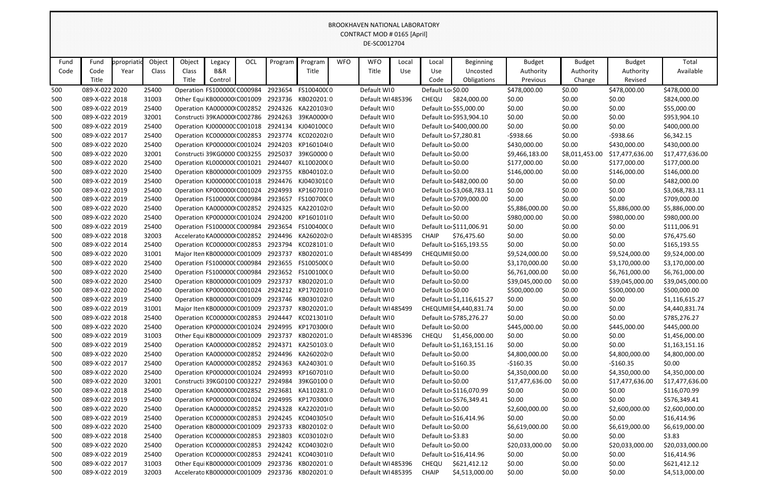|                                                                                                                                                                                                 | <b>BROOKHAVEN NATIONAL LABORATORY</b><br>CONTRACT MOD # 0165 [April]<br>DE-SC0012704                                                                                                                                                                                                                  |             |                |                                                           |         |     |         |                                                 |            |                            |       |                     |                           |                        |                  |                        |                              |
|-------------------------------------------------------------------------------------------------------------------------------------------------------------------------------------------------|-------------------------------------------------------------------------------------------------------------------------------------------------------------------------------------------------------------------------------------------------------------------------------------------------------|-------------|----------------|-----------------------------------------------------------|---------|-----|---------|-------------------------------------------------|------------|----------------------------|-------|---------------------|---------------------------|------------------------|------------------|------------------------|------------------------------|
|                                                                                                                                                                                                 |                                                                                                                                                                                                                                                                                                       |             |                |                                                           |         |     |         |                                                 |            |                            |       |                     |                           |                        |                  |                        |                              |
|                                                                                                                                                                                                 |                                                                                                                                                                                                                                                                                                       |             |                |                                                           |         |     |         |                                                 |            |                            |       |                     |                           |                        |                  |                        |                              |
|                                                                                                                                                                                                 |                                                                                                                                                                                                                                                                                                       |             |                |                                                           |         |     |         |                                                 |            |                            |       |                     |                           |                        |                  |                        |                              |
| Fund                                                                                                                                                                                            | Fund                                                                                                                                                                                                                                                                                                  | ppropriatio | Object         | Object                                                    | Legacy  | OCL | Program | Program                                         | <b>WFO</b> | <b>WFO</b>                 | Local | Local               | <b>Beginning</b>          | <b>Budget</b>          | <b>Budget</b>    | <b>Budget</b>          | Total                        |
| Code                                                                                                                                                                                            | Code                                                                                                                                                                                                                                                                                                  | Year        | Class          | Class                                                     | B&R     |     |         | Title                                           |            | Title                      | Use   | Use                 | Uncosted                  | Authority              | Authority        | Authority              | Available                    |
|                                                                                                                                                                                                 | Title                                                                                                                                                                                                                                                                                                 |             |                | Title                                                     | Control |     |         |                                                 |            |                            |       | Code                | Obligations               | Previous               | Change           | Revised                |                              |
| 500                                                                                                                                                                                             | 089-X-022 2020                                                                                                                                                                                                                                                                                        |             | 25400          | Operation FS100000(C000984                                |         |     | 2923654 | FS100400(0                                      |            | Default WI0                |       | Default Lo \$0.00   |                           | \$478,000.00           | \$0.00           | \$478,000.00           | \$478,000.00                 |
| 500                                                                                                                                                                                             | 089-X-022 2018                                                                                                                                                                                                                                                                                        |             | 31003          | Other Equi KB0000000 C001009                              |         |     |         | 2923736 KB020201:0                              |            | Default WI485396           |       | CHEQU               | \$824,000.00              | \$0.00                 | \$0.00           | \$0.00                 | \$824,000.00                 |
| 500                                                                                                                                                                                             | 089-X-022 2019                                                                                                                                                                                                                                                                                        |             | 25400          |                                                           |         |     |         | Operation KA000000 C002852 2924326 KA220103 0   |            | Default WI0                |       |                     | Default Lo \$55,000.00    | \$0.00                 | \$0.00           | \$0.00                 | \$55,000.00                  |
| 500                                                                                                                                                                                             | 089-X-022 2019                                                                                                                                                                                                                                                                                        |             | 32001          | Constructi 39KA0000 C002786                               |         |     |         | 2924263 39KA0000 0                              |            | Default WI0                |       |                     | Default Lo \$953,904.10   | \$0.00                 | \$0.00           | \$0.00                 | \$953,904.10                 |
| 500                                                                                                                                                                                             | 089-X-022 2019                                                                                                                                                                                                                                                                                        |             | 25400          | Operation KJ000000C C001018                               |         |     |         | 2924134 KJ040100C0                              |            | Default WI0                |       |                     | Default Lo \$400,000.00   | \$0.00                 | \$0.00           | \$0.00                 | \$400,000.00                 |
| 500                                                                                                                                                                                             | 089-X-022 2017                                                                                                                                                                                                                                                                                        |             | 25400          | Operation KC000000 C002853                                |         |     |         | 2923774 KC020202I0                              |            | Default WIO                |       |                     | Default Lo \$7,280.81     | $-5938.66$             | \$0.00           | $-$ \$938.66           | \$6,342.15                   |
| 500                                                                                                                                                                                             | 2924203<br>KP160104(0<br>Default Lo \$0.00<br>089-X-022 2020<br>Operation KP000000 C001024<br>Default WIO<br>\$430,000.00<br>\$0.00<br>\$430,000.00<br>25400<br>2925037<br>39KG00000<br>Default WI0<br>Default Lo \$0.00<br>089-X-022 2020<br>32001<br>Constructi 39KG0000 C003255<br>\$17,477,636.00 |             |                |                                                           |         |     |         |                                                 |            |                            |       |                     |                           | \$430,000.00           |                  |                        |                              |
| \$9,466,183.00<br>\$8,011,453.00<br>500                                                                                                                                                         |                                                                                                                                                                                                                                                                                                       |             |                |                                                           |         |     |         |                                                 |            |                            |       |                     |                           | \$17,477,636.00        |                  |                        |                              |
| 25400<br>2924407<br>KL100200(0<br>Default WI0<br>Default Lo \$0.00<br>089-X-022 2020<br>Operation KL000000(C001021<br>\$177,000.00<br>\$0.00<br>500                                             |                                                                                                                                                                                                                                                                                                       |             |                |                                                           |         |     |         |                                                 |            |                            |       |                     | \$177,000.00              | \$177,000.00           |                  |                        |                              |
| 2923755 KB040102.0<br>089-X-022 2020<br>25400<br>Operation KB000000 C001009<br>Default WIO<br>Default Lo \$0.00<br>\$146,000.00<br>\$0.00<br>\$146,000.00<br>500<br>Operation KJ000000C C001018 |                                                                                                                                                                                                                                                                                                       |             |                |                                                           |         |     |         |                                                 |            |                            |       |                     | \$146,000.00              |                        |                  |                        |                              |
| 500                                                                                                                                                                                             | 089-X-022 2019                                                                                                                                                                                                                                                                                        |             | 25400          |                                                           |         |     |         | 2924476 KJ040301C0                              |            | Default WI0                |       |                     | Default Lo \$482,000.00   | \$0.00                 | \$0.00           | \$0.00                 | \$482,000.00                 |
| 500                                                                                                                                                                                             | 089-X-022 2019                                                                                                                                                                                                                                                                                        |             | 25400          | Operation KP000000(C001024                                |         |     | 2924993 | KP1607010                                       |            | Default WIO                |       |                     | Default Lo \$3,068,783.11 | \$0.00                 | \$0.00           | \$0.00                 | \$3,068,783.11               |
| 500                                                                                                                                                                                             | 089-X-022 2019                                                                                                                                                                                                                                                                                        |             | 25400          | Operation FS100000(C000984                                |         |     |         | 2923657 FS100700(0                              |            | Default WI0                |       |                     | Default Lo \$709,000.00   | \$0.00                 | \$0.00           | \$0.00                 | \$709,000.00                 |
| 500                                                                                                                                                                                             | 089-X-022 2020                                                                                                                                                                                                                                                                                        |             | 25400          | Operation KA000000 C002852                                |         |     | 2924325 | KA2201020<br>2924200 KP160101(0                 |            | Default WI0                |       | Default Lo \$0.00   |                           | \$5,886,000.00         | \$0.00           | \$5,886,000.00         | \$5,886,000.00               |
| 500<br>500                                                                                                                                                                                      | 089-X-022 2020<br>089-X-022 2019                                                                                                                                                                                                                                                                      |             | 25400<br>25400 | Operation KP000000(C001024<br>Operation FS1000000 C000984 |         |     |         | 2923654 FS10040000                              |            | Default WIO<br>Default WI0 |       | Default Lo \$0.00   | Default Lo \$111,006.91   | \$980,000.00<br>\$0.00 | \$0.00<br>\$0.00 | \$980,000.00<br>\$0.00 | \$980,000.00<br>\$111,006.91 |
| 500                                                                                                                                                                                             | 089-X-022 2018                                                                                                                                                                                                                                                                                        |             | 32003          | Accelerato KA000000 C002852                               |         |     |         | 2924496 KA2602020                               |            | Default WI485395           |       | <b>CHAIP</b>        | \$76,475.60               | \$0.00                 | \$0.00           | \$0.00                 | \$76,475.60                  |
| 500                                                                                                                                                                                             | 089-X-022 2014                                                                                                                                                                                                                                                                                        |             | 25400          | Operation KC000000 C002853                                |         |     |         | 2923794 KC028101:0                              |            | Default WI0                |       |                     | Default Lo \$165,193.55   | \$0.00                 | \$0.00           | \$0.00                 | \$165,193.55                 |
| 500                                                                                                                                                                                             | 089-X-022 2020                                                                                                                                                                                                                                                                                        |             | 31001          | Major Iten KB000000 C001009                               |         |     | 2923737 | KB020201.0                                      |            | Default WI485499           |       | CHEQUMII \$0.00     |                           | \$9,524,000.00         | \$0.00           | \$9,524,000.00         | \$9,524,000.00               |
| 500                                                                                                                                                                                             | 089-X-022 2020                                                                                                                                                                                                                                                                                        |             | 25400          | Operation FS1000000 C000984                               |         |     |         | 2923655 FS100500(0                              |            | Default WIO                |       | Default Lo \$0.00   |                           | \$3,170,000.00         | \$0.00           | \$3,170,000.00         | \$3,170,000.00               |
| 500                                                                                                                                                                                             | 089-X-022 2020                                                                                                                                                                                                                                                                                        |             | 25400          | Operation FS1000000 C000984                               |         |     |         | 2923652 FS100100(0                              |            | Default WIO                |       | Default Lo \$0.00   |                           | \$6,761,000.00         | \$0.00           | \$6,761,000.00         | \$6,761,000.00               |
| 500                                                                                                                                                                                             | 089-X-022 2020                                                                                                                                                                                                                                                                                        |             | 25400          | Operation KB000000 C001009                                |         |     | 2923737 | KB020201.0                                      |            | Default WIO                |       | Default Lo \$0.00   |                           | \$39,045,000.00        | \$0.00           | \$39,045,000.00        | \$39,045,000.00              |
| 500                                                                                                                                                                                             | 089-X-022 2020                                                                                                                                                                                                                                                                                        |             | 25400          | Operation KP000000(C001024                                |         |     | 2924212 | KP1702010                                       |            | Default WI0                |       | Default Lo \$0.00   |                           | \$500,000.00           | \$0.00           | \$500,000.00           | \$500,000.00                 |
| 500                                                                                                                                                                                             | 089-X-022 2019                                                                                                                                                                                                                                                                                        |             | 25400          | Operation KB000000 C001009                                |         |     |         | 2923746 KB030102I0                              |            | Default WI0                |       |                     | Default Lo \$1,116,615.27 | \$0.00                 | \$0.00           | \$0.00                 | \$1,116,615.27               |
| 500                                                                                                                                                                                             | 089-X-022 2019                                                                                                                                                                                                                                                                                        |             | 31001          |                                                           |         |     |         | Major Iten KB000000 (C001009 2923737 KB020201.0 |            | Default WI485499           |       |                     | CHEQUMII \$4,440,831.74   | \$0.00                 | \$0.00           | \$0.00                 | \$4,440,831.74               |
| 500                                                                                                                                                                                             | 089-X-022 2018                                                                                                                                                                                                                                                                                        |             | 25400          |                                                           |         |     |         | Operation KC000000(C002853 2924447 KC021301(0   |            | Default WI0                |       |                     | Default Lo \$785,276.27   | \$0.00                 | \$0.00           | \$0.00                 | \$785,276.27                 |
| 500                                                                                                                                                                                             | 089-X-022 2020                                                                                                                                                                                                                                                                                        |             | 25400          |                                                           |         |     |         | Operation KP000000(C001024 2924995 KP170300(0   |            | Default WI0                |       | Default Lo \$0.00   |                           | \$445,000.00           | \$0.00           | \$445,000.00           | \$445,000.00                 |
| 500                                                                                                                                                                                             | 089-X-022 2019                                                                                                                                                                                                                                                                                        |             | 31003          | Other Equi KB000000 C001009 2923737                       |         |     |         | KB020201.0                                      |            | Default WI485396           |       |                     | CHEQU \$1,456,000.00      | \$0.00                 | \$0.00           | \$0.00                 | \$1,456,000.00               |
| 500                                                                                                                                                                                             | 089-X-022 2019                                                                                                                                                                                                                                                                                        |             | 25400          |                                                           |         |     |         | Operation KA000000 C002852 2924371 KA250103.0   |            | Default WI0                |       |                     | Default Lo \$1,163,151.16 | \$0.00                 | \$0.00           | \$0.00                 | \$1,163,151.16               |
| 500                                                                                                                                                                                             | 089-X-022 2020                                                                                                                                                                                                                                                                                        |             | 25400          |                                                           |         |     |         | Operation KA000000 C002852 2924496 KA260202 0   |            | Default WI0                |       | Default Lo \$0.00   |                           | \$4,800,000.00         | \$0.00           | \$4,800,000.00         | \$4,800,000.00               |
| 500                                                                                                                                                                                             | 089-X-022 2017                                                                                                                                                                                                                                                                                        |             | 25400          |                                                           |         |     |         | Operation KA000000 C002852 2924363 KA240301 0   |            | Default WI0                |       | Default Lo \$160.35 |                           | $-5160.35$             | \$0.00           | $-$160.35$             | \$0.00                       |
| 500                                                                                                                                                                                             | 089-X-022 2020                                                                                                                                                                                                                                                                                        |             | 25400          |                                                           |         |     |         | Operation KP000000(C001024 2924993 KP160701(0   |            | Default WI0                |       | Default Lo \$0.00   |                           | \$4,350,000.00         | \$0.00           | \$4,350,000.00         | \$4,350,000.00               |
| 500                                                                                                                                                                                             | 089-X-022 2020                                                                                                                                                                                                                                                                                        |             | 32001          | Constructi 39KG0100 C003227                               |         |     |         | 2924984 39KG0100 0                              |            | Default WI0                |       | Default Lo \$0.00   |                           | \$17,477,636.00        | \$0.00           | \$17,477,636.00        | \$17,477,636.00              |
| 500                                                                                                                                                                                             | 089-X-022 2018                                                                                                                                                                                                                                                                                        |             | 25400          |                                                           |         |     |         | Operation KA000000 C002852 2923681 KA110281 0   |            | Default WI0                |       |                     | Default Lo \$116,070.99   | \$0.00                 | \$0.00           | \$0.00                 | \$116,070.99                 |
| 500                                                                                                                                                                                             | 089-X-022 2019                                                                                                                                                                                                                                                                                        |             | 25400          |                                                           |         |     |         | Operation KP000000(C001024 2924995 KP170300(0   |            | Default WI0                |       |                     | Default Lo \$576,349.41   | \$0.00                 | \$0.00           | \$0.00                 | \$576,349.41                 |
| 500                                                                                                                                                                                             | 089-X-022 2020                                                                                                                                                                                                                                                                                        |             | 25400          |                                                           |         |     |         | Operation KA000000 C002852 2924328 KA220201 0   |            | Default WI0                |       | Default Lo \$0.00   |                           | \$2,600,000.00         | \$0.00           | \$2,600,000.00         | \$2,600,000.00               |
| 500                                                                                                                                                                                             | 089-X-022 2019                                                                                                                                                                                                                                                                                        |             | 25400          |                                                           |         |     |         | Operation KC000000(C002853 2924245 KC040305(0   |            | Default WI0                |       |                     | Default Lo \$16,414.96    | \$0.00                 | \$0.00           | \$0.00                 | \$16,414.96                  |
| Operation KB000000IC001009 2923733 KB020102 0<br>089-X-022 2020<br>Default WIO<br>Default Lo \$0.00<br>\$6,619,000.00<br>\$0.00<br>\$6,619,000.00<br>25400<br>500                               |                                                                                                                                                                                                                                                                                                       |             |                |                                                           |         |     |         |                                                 |            |                            |       | \$6,619,000.00      |                           |                        |                  |                        |                              |
| 500                                                                                                                                                                                             | 089-X-022 2018                                                                                                                                                                                                                                                                                        |             | 25400          |                                                           |         |     |         | Operation KC000000IC002853 2923803 KC030102IO   |            | Default WI0                |       | Default Lo \$3.83   |                           | \$0.00                 | \$0.00           | \$0.00                 | \$3.83                       |
| 500                                                                                                                                                                                             | 089-X-022 2020                                                                                                                                                                                                                                                                                        |             | 25400          |                                                           |         |     |         | Operation KC000000(C002853 2924242 KC040302(0   |            | Default WIO                |       | Default Lo \$0.00   |                           | \$20,033,000.00        | \$0.00           | \$20,033,000.00        | \$20,033,000.00              |
| 500                                                                                                                                                                                             | 089-X-022 2019                                                                                                                                                                                                                                                                                        |             | 25400          |                                                           |         |     |         | Operation KC000000(C002853 2924241 KC040301(0   |            | Default WI0                |       |                     | Default Lo \$16,414.96    | \$0.00                 | \$0.00           | \$0.00                 | \$16,414.96                  |
| 500                                                                                                                                                                                             | 089-X-022 2017                                                                                                                                                                                                                                                                                        |             | 31003          | Other Equi KB0000000 C001009                              |         |     |         | 2923736 KB020201:0                              |            | Default WI485396           |       | CHEQU               | \$621,412.12              | \$0.00                 | \$0.00           | \$0.00                 | \$621,412.12                 |
| 500                                                                                                                                                                                             | 089-X-022 2019                                                                                                                                                                                                                                                                                        |             | 32003          |                                                           |         |     |         | Accelerato KB000000 C001009 2923736 KB020201 0  |            | Default WI485395           |       | <b>CHAIP</b>        | \$4,513,000.00            | \$0.00                 | \$0.00           | \$0.00                 | \$4,513,000.00               |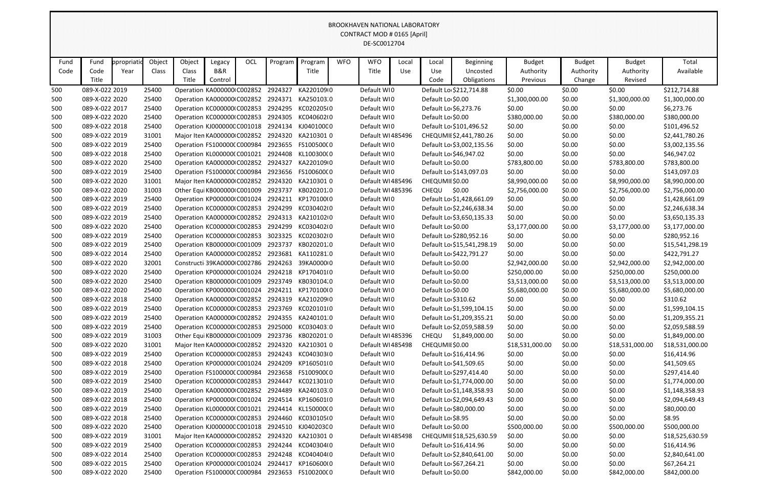|            |                                  |                        |                |                             |                             |            |         |                                               |            | BROOKHAVEN NATIONAL LABORATORY<br>CONTRACT MOD # 0165 [April] |       |                                        |                            |                  |                  |                                  |                            |
|------------|----------------------------------|------------------------|----------------|-----------------------------|-----------------------------|------------|---------|-----------------------------------------------|------------|---------------------------------------------------------------|-------|----------------------------------------|----------------------------|------------------|------------------|----------------------------------|----------------------------|
|            |                                  |                        |                |                             |                             |            |         |                                               |            | DE-SC0012704                                                  |       |                                        |                            |                  |                  |                                  |                            |
|            |                                  |                        |                |                             |                             |            |         |                                               |            |                                                               |       |                                        |                            |                  |                  |                                  |                            |
| Fund       | Fund                             | propriati <sub>®</sub> | Object         | Object                      | Legacy                      | <b>OCL</b> | Program | Program                                       | <b>WFO</b> | <b>WFO</b>                                                    | Local | Local                                  | <b>Beginning</b>           | <b>Budget</b>    | <b>Budget</b>    | <b>Budget</b>                    | Total                      |
| Code       | Code                             | Year                   | Class          | Class                       | B&R                         |            |         | Title                                         |            | Title                                                         | Use   | Use                                    | Uncosted                   | Authority        | Authority        | Authority                        | Available                  |
|            | Title                            |                        |                | Title                       | Control                     |            |         |                                               |            |                                                               |       | Code                                   | Obligations                | Previous         | Change           | Revised                          |                            |
| 500        | 089-X-022 2019                   |                        | 25400          |                             | Operation KA000000 C002852  |            | 2924327 | KA220109 0                                    |            | Default WI0                                                   |       |                                        | Default Lo \$212,714.88    | \$0.00           | \$0.00           | \$0.00                           | \$212,714.88               |
| 500        | 089-X-022 2020                   |                        | 25400          |                             | Operation KA000000 C002852  |            |         | 2924371 KA250103.0                            |            | Default WI0                                                   |       | Default Lo \$0.00                      |                            | \$1,300,000.00   | \$0.00           | \$1,300,000.00                   | \$1,300,000.00             |
| 500        | 089-X-022 2017                   |                        | 25400          |                             | Operation KC000000 C002853  |            |         | 2924295 KC020205(0                            |            | Default WI0                                                   |       |                                        | Default Lo \$6,273.76      | \$0.00           | \$0.00           | \$0.00                           | \$6,273.76                 |
| 500        | 089-X-022 2020                   |                        | 25400          |                             | Operation KC000000 C002853  |            | 2924305 | KC040602I0                                    |            | Default WI0                                                   |       | Default Lo \$0.00                      |                            | \$380,000.00     | \$0.00           | \$380,000.00                     | \$380,000.00               |
| 500        | 089-X-022 2018                   |                        | 25400          |                             | Operation KJ000000C C001018 |            |         | 2924134 KJ040100C0                            |            | Default WI0                                                   |       |                                        | Default Lo \$101,496.52    | \$0.00           | \$0.00           | \$0.00                           | \$101,496.52               |
| 500        | 089-X-022 2019                   |                        | 31001          |                             | Major Iten KA000000 C002852 |            |         | 2924320 KA2103010                             |            | Default WI485496                                              |       |                                        | CHEQUMII \$2,441,780.26    | \$0.00           | \$0.00           | \$0.00                           | \$2,441,780.26             |
| 500        | 089-X-022 2019                   |                        | 25400          |                             | Operation FS100000(C000984  |            |         | 2923655 FS100500(0                            |            | Default WI0                                                   |       |                                        | Default Lo \$3,002,135.56  | \$0.00           | \$0.00           | \$0.00                           | \$3,002,135.56             |
| 500        | 089-X-022 2018                   |                        | 25400          |                             | Operation KL000000(C001021  |            |         | 2924408 KL100300(0                            |            | Default WI0                                                   |       |                                        | Default Lo \$46,947.02     | \$0.00           | \$0.00           | \$0.00                           | \$46,947.02                |
| 500        | 089-X-022 2020                   |                        | 25400          |                             | Operation KA000000 C002852  |            | 2924327 | KA220109 0                                    |            | Default WI0                                                   |       | Default Lo \$0.00                      |                            | \$783,800.00     | \$0.00           | \$783,800.00                     | \$783,800.00               |
| 500        | 089-X-022 2019                   |                        | 25400          |                             | Operation FS100000(C000984  |            |         | 2923656 FS100600(0                            |            | Default WI0                                                   |       |                                        | Default Lo \$143,097.03    | \$0.00           | \$0.00           | \$0.00                           | \$143,097.03               |
| 500        | 089-X-022 2020                   |                        | 31001          |                             | Major Iten KA000000 C002852 |            |         | 2924320 KA2103010                             |            | Default WI485496                                              |       | CHEQUMII \$0.00                        |                            | \$8,990,000.00   | \$0.00           | \$8,990,000.00                   | \$8,990,000.00             |
| 500        | 089-X-022 2020                   |                        | 31003          |                             | Other Equi KB000000 C001009 |            | 2923737 | KB020201.0                                    |            | Default WI485396                                              |       | CHEQU                                  | \$0.00                     | \$2,756,000.00   | \$0.00           | \$2,756,000.00                   | \$2,756,000.00             |
| 500        | 089-X-022 2019                   |                        | 25400          |                             | Operation KP000000(C001024  |            |         | 2924211 KP170100(0                            |            | Default WI0                                                   |       |                                        | Default Lo \$1,428,661.09  | \$0.00           | \$0.00           | \$0.00                           | \$1,428,661.09             |
| 500        | 089-X-022 2019                   |                        | 25400          |                             | Operation KC000000 C002853  |            | 2924299 | KC030402I0                                    |            | Default WI0                                                   |       |                                        | Default Lo \$2,246,638.34  | \$0.00           | \$0.00           | \$0.00                           | \$2,246,638.34             |
| 500        | 089-X-022 2019                   |                        | 25400          |                             | Operation KA000000 C002852  |            | 2924313 | KA2101020                                     |            | Default WI0                                                   |       |                                        | Default Lo \$3,650,135.33  | \$0.00           | \$0.00           | \$0.00                           | \$3,650,135.33             |
| 500        | 089-X-022 2020                   |                        | 25400          |                             | Operation KC000000 C002853  |            | 2924299 | KC030402I0                                    |            | Default WI0                                                   |       | Default Lo \$0.00                      |                            | \$3,177,000.00   | \$0.00           | \$3,177,000.00                   | \$3,177,000.00             |
| 500        | 089-X-022 2019                   |                        | 25400          |                             | Operation KC000000 C002853  |            | 3023325 | KC020302I0                                    |            | Default WI0                                                   |       |                                        | Default Lo \$280,952.16    | \$0.00           | \$0.00           | \$0.00                           | \$280,952.16               |
| 500        | 089-X-022 2019                   |                        | 25400          |                             | Operation KB000000 C001009  |            | 2923737 | KB020201.0                                    |            | Default WI0                                                   |       |                                        | Default Lo \$15,541,298.19 | \$0.00           | \$0.00           | \$0.00                           | \$15,541,298.19            |
| 500        | 089-X-022 2014                   |                        | 25400          |                             | Operation KA000000 C002852  |            | 2923681 | KA1102810                                     |            | Default WI0                                                   |       |                                        | Default Lo \$422,791.27    | \$0.00           | \$0.00           | \$0.00                           | \$422,791.27               |
| 500        | 089-X-022 2020                   |                        | 32001          |                             | Constructi 39KA0000 C002786 |            | 2924263 | 39KA0000 0                                    |            | Default WIO                                                   |       | Default Lo \$0.00                      |                            | \$2,942,000.00   | \$0.00           | \$2,942,000.00                   | \$2,942,000.00             |
| 500        | 089-X-022 2020                   |                        | 25400          |                             | Operation KP000000(C001024  |            |         | 2924218 KP170401(0                            |            | Default WI0                                                   |       | Default Lo \$0.00                      |                            | \$250,000.00     | \$0.00           | \$250,000.00                     | \$250,000.00               |
| 500        | 089-X-022 2020                   |                        | 25400          |                             | Operation KB000000 C001009  |            | 2924211 | 2923749 KB030104.0<br>KP170100(0              |            | Default WI0                                                   |       | Default Lo \$0.00<br>Default Lo \$0.00 |                            | \$3,513,000.00   | \$0.00           | \$3,513,000.00<br>\$5,680,000.00 | \$3,513,000.00             |
| 500        | 089-X-022 2020<br>089-X-022 2018 |                        | 25400<br>25400 | Operation KA000000 C002852  | Operation KP000000(C001024  |            |         | 2924319 KA2102090                             |            | Default WI0<br>Default WI0                                    |       |                                        |                            | \$5,680,000.00   | \$0.00           | \$0.00                           | \$5,680,000.00<br>\$310.62 |
| 500<br>500 | 089-X-022 2019                   |                        | 25400          |                             | Operation KC000000 C002853  |            |         | 2923769 KC020101(0                            |            | Default WI0                                                   |       | Default Lo \$310.62                    | Default Lo \$1,599,104.15  | \$0.00<br>\$0.00 | \$0.00<br>\$0.00 | \$0.00                           | \$1,599,104.15             |
| 500        | 089-X-022 2019                   |                        | 25400          |                             | Operation KA000000 C002852  |            |         | 2924355 KA2401010                             |            | Default WI0                                                   |       |                                        | Default Lo \$1,209,355.21  | \$0.00           | \$0.00           | \$0.00                           | \$1,209,355.21             |
| 500        | 089-X-022 2019                   |                        | 25400          | Operation KC000000 C002853  |                             |            |         | 2925000 KC030403 0                            |            | Default WI0                                                   |       |                                        | Default Lo \$2,059,588.59  | \$0.00           | \$0.00           | \$0.00                           | \$2,059,588.59             |
| 500        | 089-X-022 2019                   |                        | 31003          | Other Equi KB000000 C001009 |                             |            |         | 2923736 KB020201:0                            |            | Default WI485396                                              |       |                                        | CHEQU \$1,849,000.00       | \$0.00           | \$0.00           | \$0.00                           | \$1,849,000.00             |
| 500        | 089-X-022 2020                   |                        | 31001          |                             | Major Iten KA000000 C002852 |            |         | 2924320 KA2103010                             |            | Default WI485498                                              |       | CHEQUMII \$0.00                        |                            | \$18,531,000.00  | \$0.00           | \$18,531,000.00                  | \$18,531,000.00            |
| 500        | 089-X-022 2019                   |                        | 25400          |                             | Operation KC000000 C002853  |            |         | 2924243 KC040303I0                            |            | Default WI0                                                   |       |                                        | Default Lo \$16,414.96     | \$0.00           | \$0.00           | \$0.00                           | \$16,414.96                |
| 500        | 089-X-022 2018                   |                        | 25400          |                             | Operation KP000000(C001024  |            |         | 2924209 KP1605010                             |            | Default WIO                                                   |       |                                        | Default Lo \$41,509.65     | \$0.00           | \$0.00           | \$0.00                           | \$41,509.65                |
| 500        | 089-X-022 2019                   |                        | 25400          |                             | Operation FS100000(C000984  |            |         | 2923658 FS100900(0                            |            | Default WI0                                                   |       |                                        | Default Lo \$297,414.40    | \$0.00           | \$0.00           | \$0.00                           | \$297,414.40               |
| 500        | 089-X-022 2019                   |                        | 25400          |                             |                             |            |         | Operation KC000000(C002853 2924447 KC021301(0 |            | Default WI0                                                   |       |                                        | Default Lo \$1,774,000.00  | \$0.00           | \$0.00           | \$0.00                           | \$1,774,000.00             |
| 500        | 089-X-022 2019                   |                        | 25400          |                             |                             |            |         | Operation KA000000 C002852 2924489 KA240103.0 |            | Default WI0                                                   |       |                                        | Default Lo \$1,148,358.93  | \$0.00           | \$0.00           | \$0.00                           | \$1,148,358.93             |
| 500        | 089-X-022 2018                   |                        | 25400          |                             | Operation KP000000(C001024  |            |         | 2924514 KP1606010                             |            | Default WI0                                                   |       |                                        | Default Lo \$2,094,649.43  | \$0.00           | \$0.00           | \$0.00                           | \$2,094,649.43             |
| 500        | 089-X-022 2019                   |                        | 25400          |                             | Operation KL000000(C001021  |            |         | 2924414 KL150000(0                            |            | Default WIO                                                   |       |                                        | Default Lo \$80,000.00     | \$0.00           | \$0.00           | \$0.00                           | \$80,000.00                |
| 500        | 089-X-022 2018                   |                        | 25400          |                             | Operation KC000000 C002853  |            |         | 2924460 KC030105(0                            |            | Default WI0                                                   |       | Default Lo \$8.95                      |                            | \$0.00           | \$0.00           | \$0.00                           | \$8.95                     |
| 500        | 089-X-022 2020                   |                        | 25400          |                             | Operation KJ000000C C001018 |            |         | 2924510 KJ040203C0                            |            | Default WI0                                                   |       | Default Lo \$0.00                      |                            | \$500,000.00     | \$0.00           | \$500,000.00                     | \$500,000.00               |
| 500        | 089-X-022 2019                   |                        | 31001          |                             | Major Iten KA000000 C002852 |            |         | 2924320 KA2103010                             |            | Default WI485498                                              |       |                                        | CHEQUMII \$18,525,630.59   | \$0.00           | \$0.00           | \$0.00                           | \$18,525,630.59            |
| 500        | 089-X-022 2019                   |                        | 25400          |                             | Operation KC000000 C002853  |            |         | 2924244 KC040304I0                            |            | Default WIO                                                   |       |                                        | Default Lo \$16,414.96     | \$0.00           | \$0.00           | \$0.00                           | \$16,414.96                |
| 500        | 089-X-022 2014                   |                        | 25400          |                             | Operation KC000000 C002853  |            |         | 2924248 KC040404I0                            |            | Default WI0                                                   |       |                                        | Default Lo \$2,840,641.00  | \$0.00           | \$0.00           | \$0.00                           | \$2,840,641.00             |
| 500        | 089-X-022 2015                   |                        | 25400          | Operation KP000000(C001024  |                             |            |         | 2924417 KP160600IO                            |            | Default WI0                                                   |       |                                        | Default Lo \$67,264.21     | \$0.00           | \$0.00           | \$0.00                           | \$67,264.21                |
| 500        | 089-X-022 2020                   |                        | 25400          |                             | Operation FS100000(C000984  |            |         | 2923653 FS100200(0                            |            | Default WIO                                                   |       | Default Lo \$0.00                      |                            | \$842,000.00     | \$0.00           | \$842,000.00                     | \$842,000.00               |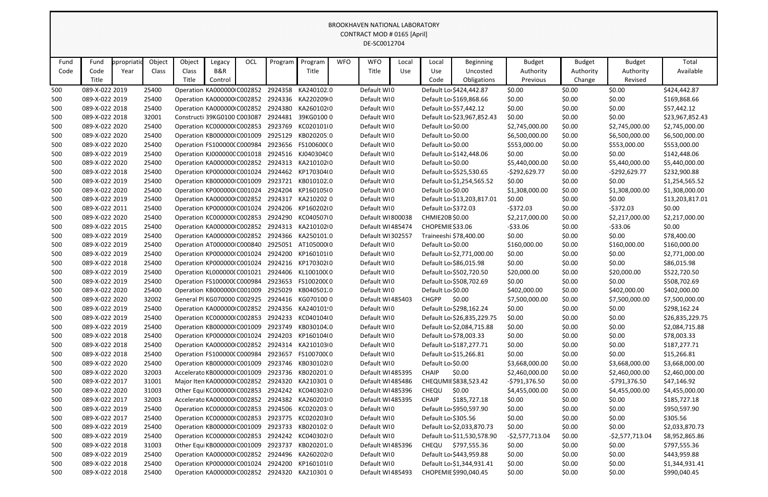|      |                                                                                                                                                                                                                                      |           |        |                              |         |     |         |                                                |            | <b>BROOKHAVEN NATIONAL LABORATORY</b> |       |                     |                            |                  |               |                  |                 |
|------|--------------------------------------------------------------------------------------------------------------------------------------------------------------------------------------------------------------------------------------|-----------|--------|------------------------------|---------|-----|---------|------------------------------------------------|------------|---------------------------------------|-------|---------------------|----------------------------|------------------|---------------|------------------|-----------------|
|      | CONTRACT MOD # 0165 [April]<br>DE-SC0012704                                                                                                                                                                                          |           |        |                              |         |     |         |                                                |            |                                       |       |                     |                            |                  |               |                  |                 |
|      |                                                                                                                                                                                                                                      |           |        |                              |         |     |         |                                                |            |                                       |       |                     |                            |                  |               |                  |                 |
|      |                                                                                                                                                                                                                                      |           |        |                              |         |     |         |                                                |            |                                       |       |                     |                            |                  |               |                  |                 |
| Fund | Fund                                                                                                                                                                                                                                 | propriati | Object | Object                       | Legacy  | OCL | Program | Program                                        | <b>WFO</b> | <b>WFO</b>                            | Local | Local               | Beginning                  | <b>Budget</b>    | <b>Budget</b> | <b>Budget</b>    | Total           |
| Code | Code                                                                                                                                                                                                                                 | Year      | Class  | Class                        | B&R     |     |         | Title                                          |            | Title                                 | Use   | Use                 | Uncosted                   | Authority        | Authority     | Authority        | Available       |
|      | Title                                                                                                                                                                                                                                |           |        | Title                        | Control |     |         |                                                |            |                                       |       | Code                | Obligations                | Previous         | Change        | Revised          |                 |
| 500  | 089-X-022 2019                                                                                                                                                                                                                       |           | 25400  | Operation KA000000 C002852   |         |     |         | 2924358 KA240102.0                             |            | Default WI0                           |       |                     | Default Lo \$424,442.87    | \$0.00           | \$0.00        | \$0.00           | \$424,442.87    |
| 500  | 089-X-022 2019                                                                                                                                                                                                                       |           | 25400  | Operation KA000000 C002852   |         |     |         | 2924336 KA2202090                              |            | Default WI0                           |       |                     | Default Lo \$169,868.66    | \$0.00           | \$0.00        | \$0.00           | \$169,868.66    |
| 500  | 089-X-022 2018                                                                                                                                                                                                                       |           | 25400  | Operation KA000000 C002852   |         |     | 2924380 | KA2601020                                      |            | Default WI0                           |       |                     | Default Lo \$57,442.12     | \$0.00           | \$0.00        | \$0.00           | \$57,442.12     |
| 500  | 089-X-022 2018                                                                                                                                                                                                                       |           | 32001  | Constructi 39KG0100 C003087  |         |     |         | 2924481 39KG0100 0                             |            | Default WI0                           |       |                     | Default Lo \$23,967,852.43 | \$0.00           | \$0.00        | \$0.00           | \$23,967,852.43 |
| 500  | 089-X-022 2020                                                                                                                                                                                                                       |           | 25400  | Operation KC000000 C002853   |         |     | 2923769 | KC020101(0                                     |            | Default WI0                           |       | Default Lo \$0.00   |                            | \$2,745,000.00   | \$0.00        | \$2,745,000.00   | \$2,745,000.00  |
| 500  | 2925129<br>KB020205:0<br>089-X-022 2020<br>25400<br>Operation KB000000 C001009<br>Default WI0<br>Default Lo \$0.00<br>\$6,500,000.00<br>\$0.00<br>\$6,500,000.00<br>\$6,500,000.00                                                   |           |        |                              |         |     |         |                                                |            |                                       |       |                     |                            |                  |               |                  |                 |
| 500  | 089-X-022 2020                                                                                                                                                                                                                       |           | 25400  | Operation FS100000(C000984   |         |     |         | 2923656 FS10060000                             |            | Default WI0                           |       | Default Lo \$0.00   |                            | \$553,000.00     | \$0.00        | \$553,000.00     | \$553,000.00    |
| 500  | 2924516 KJ040304C0<br>\$0.00<br>\$0.00<br>\$0.00<br>089-X-022 2019<br>25400<br>Operation KJ000000C C001018<br>Default WI0<br>Default Lo \$142,448.06<br>\$142,448.06                                                                 |           |        |                              |         |     |         |                                                |            |                                       |       |                     |                            |                  |               |                  |                 |
| 500  | 089-X-022 2020                                                                                                                                                                                                                       |           | 25400  | Operation KA000000 C002852   |         |     |         | 2924313 KA2101020                              |            | Default WI0                           |       | Default Lo \$0.00   |                            | \$5,440,000.00   | \$0.00        | \$5,440,000.00   | \$5,440,000.00  |
| 500  | 089-X-022 2018                                                                                                                                                                                                                       |           | 25400  |                              |         |     |         |                                                |            | Default WI0                           |       |                     |                            | $-5292,629.77$   | \$0.00        | $-$292,629.77$   | \$232,900.88    |
| 500  | 2924462 KP170304(0<br>Operation KP000000(C001024<br>Default Lo \$525,530.65<br>2923721 KB010102.0<br>\$0.00<br>\$0.00<br>089-X-022 2019<br>25400<br>Operation KB000000 C001009<br>Default WI0<br>Default Lo \$1,254,565.52<br>\$0.00 |           |        |                              |         |     |         |                                                |            |                                       |       |                     |                            | \$1,254,565.52   |               |                  |                 |
| 500  | 089-X-022 2020                                                                                                                                                                                                                       |           | 25400  | Operation KP000000(C001024   |         |     |         | 2924204 KP160105(0                             |            | Default WI0                           |       | Default Lo \$0.00   |                            | \$1,308,000.00   | \$0.00        | \$1,308,000.00   | \$1,308,000.00  |
| 500  | 089-X-022 2019                                                                                                                                                                                                                       |           | 25400  | Operation KA000000 C002852   |         |     | 2924317 | KA2102020                                      |            | Default WI0                           |       |                     | Default Lo \$13,203,817.01 | \$0.00           | \$0.00        | \$0.00           | \$13,203,817.01 |
| 500  | 089-X-022 2011                                                                                                                                                                                                                       |           | 25400  | Operation KP000000(C001024   |         |     |         | 2924206 KP160202I0                             |            | Default WI0                           |       | Default Lo \$372.03 |                            | $-5372.03$       | \$0.00        | $-5372.03$       | \$0.00          |
| 500  | 089-X-022 2020                                                                                                                                                                                                                       |           | 25400  | Operation KC000000 C002853   |         |     |         | 2924290 KC04050710                             |            | Default WI800038                      |       | CHMIE20B\$0.00      |                            | \$2,217,000.00   | \$0.00        | \$2,217,000.00   | \$2,217,000.00  |
| 500  | 089-X-022 2015                                                                                                                                                                                                                       |           | 25400  | Operation KA000000 C002852   |         |     |         | 2924313 KA2101020                              |            | Default WI485474                      |       | CHOPEMIE \$33.06    |                            | $-533.06$        | \$0.00        | $-533.06$        | \$0.00          |
| 500  | 089-X-022 2019                                                                                                                                                                                                                       |           | 25400  | Operation KA000000 C002852   |         |     |         | 2924366 KA250101.0                             |            | Default WI302557                      |       |                     | Traineeshi \$78,400.00     | \$0.00           | \$0.00        | \$0.00           | \$78,400.00     |
| 500  | 089-X-022 2019                                                                                                                                                                                                                       |           | 25400  | Operation AT000000 C000840   |         |     | 2925051 | AT10500000                                     |            | Default WI0                           |       | Default Lo \$0.00   |                            | \$160,000.00     | \$0.00        | \$160,000.00     | \$160,000.00    |
| 500  | 089-X-022 2019                                                                                                                                                                                                                       |           | 25400  | Operation KP000000(C001024   |         |     | 2924200 | KP160101(0                                     |            | Default WI0                           |       |                     | Default Lo \$2,771,000.00  | \$0.00           | \$0.00        | \$0.00           | \$2,771,000.00  |
| 500  | 089-X-022 2018                                                                                                                                                                                                                       |           | 25400  | Operation KP000000(C001024   |         |     |         | 2924216 KP170302(0                             |            | Default WI0                           |       |                     | Default Lo \$86,015.98     | \$0.00           | \$0.00        | \$0.00           | \$86,015.98     |
| 500  | 089-X-022 2019                                                                                                                                                                                                                       |           | 25400  | Operation KL0000000 C001021  |         |     |         | 2924406 KL100100(0                             |            | Default WI0                           |       |                     | Default Lo \$502,720.50    | \$20,000.00      | \$0.00        | \$20,000.00      | \$522,720.50    |
| 500  | 089-X-022 2019                                                                                                                                                                                                                       |           | 25400  | Operation FS100000(C000984   |         |     | 2923653 | FS100200(0                                     |            | Default WI0                           |       |                     | Default Lo \$508,702.69    | \$0.00           | \$0.00        | \$0.00           | \$508,702.69    |
| 500  | 089-X-022 2020                                                                                                                                                                                                                       |           | 25400  | Operation KB000000(C001009   |         |     | 2925029 | KB040501.0                                     |            | Default WI0                           |       | Default Lo \$0.00   |                            | \$402,000.00     | \$0.00        | \$402,000.00     | \$402,000.00    |
| 500  | 089-X-022 2020                                                                                                                                                                                                                       |           | 32002  | General Pl KG070000 C002925  |         |     | 2924416 | KG070100 0                                     |            | Default WI485403                      |       | <b>CHGPP</b>        | \$0.00                     | \$7,500,000.00   | \$0.00        | \$7,500,000.00   | \$7,500,000.00  |
| 500  | 089-X-022 2019                                                                                                                                                                                                                       |           | 25400  |                              |         |     |         | Operation KA000000 C002852 2924356 KA240101 0  |            | Default WI0                           |       |                     | Default Lo \$298,162.24    | \$0.00           | \$0.00        | \$0.00           | \$298,162.24    |
| 500  | 089-X-022 2019                                                                                                                                                                                                                       |           | 25400  | Operation KC000000(C002853   |         |     |         | 2924233 KC040104(0                             |            | Default WI0                           |       |                     | Default Lo \$26,835,229.75 | \$0.00           | \$0.00        | \$0.00           | \$26,835,229.75 |
| 500  | 089-X-022 2019                                                                                                                                                                                                                       |           | 25400  |                              |         |     |         | Operation KB000000IC001009 2923749 KB030104.0  |            | Default WIO                           |       |                     | Default Lo \$2,084,715.88  | \$0.00           | \$0.00        | \$0.00           | \$2,084,715.88  |
| 500  | 089-X-022 2018                                                                                                                                                                                                                       |           | 25400  | Operation KP000000(C001024   |         |     |         | 2924203 KP160104(0                             |            | Default WI0                           |       |                     | Default Lo \$78,003.33     | \$0.00           | \$0.00        | \$0.00           | \$78,003.33     |
| 500  | 089-X-022 2018                                                                                                                                                                                                                       |           | 25400  |                              |         |     |         | Operation KA000000 C002852 2924314 KA210103 0  |            | Default WI0                           |       |                     | Default Lo \$187,277.71    | \$0.00           | \$0.00        | \$0.00           | \$187,277.71    |
| 500  | 089-X-022 2018                                                                                                                                                                                                                       |           | 25400  | Operation FS100000(C000984   |         |     |         | 2923657 FS100700(0                             |            | Default WI0                           |       |                     | Default Lo \$15,266.81     | \$0.00           | \$0.00        | \$0.00           | \$15,266.81     |
| 500  | 089-X-022 2020                                                                                                                                                                                                                       |           | 25400  | Operation KB000000 C001009   |         |     |         | 2923746 KB030102(0                             |            | Default WI0                           |       | Default Lo \$0.00   |                            | \$3,668,000.00   | \$0.00        | \$3,668,000.00   | \$3,668,000.00  |
| 500  | 089-X-022 2020                                                                                                                                                                                                                       |           | 32003  | Accelerato KB0000000 C001009 |         |     |         | 2923736 KB0202010                              |            | Default WI485395                      |       | <b>CHAIP</b>        | \$0.00                     | \$2,460,000.00   | \$0.00        | \$2,460,000.00   | \$2,460,000.00  |
| 500  | 089-X-022 2017                                                                                                                                                                                                                       |           | 31001  | Major Iten KA000000 C002852  |         |     |         | 2924320 KA210301 0                             |            | Default WI485486                      |       |                     | CHEQUMII \$838,523.42      | -\$791,376.50    | \$0.00        | -\$791,376.50    | \$47,146.92     |
| 500  | 089-X-022 2020                                                                                                                                                                                                                       |           | 31003  | Other Equi KC000000 C002853  |         |     |         | 2924242 KC040302I0                             |            | Default WI485396                      |       | CHEQU               | \$0.00                     | \$4,455,000.00   | \$0.00        | \$4,455,000.00   | \$4,455,000.00  |
| 500  | 089-X-022 2017                                                                                                                                                                                                                       |           | 32003  | Accelerato KA000000 C002852  |         |     |         | 2924382 KA2602010                              |            | Default WI485395                      |       | <b>CHAIP</b>        | \$185,727.18               | \$0.00           | \$0.00        | \$0.00           | \$185,727.18    |
| 500  | 089-X-022 2019                                                                                                                                                                                                                       |           | 25400  | Operation KC000000 C002853   |         |     |         | 2924506 KC020203 0                             |            | Default WIO                           |       |                     | Default Lo \$950,597.90    | \$0.00           | \$0.00        | \$0.00           | \$950,597.90    |
| 500  | 089-X-022 2017                                                                                                                                                                                                                       |           | 25400  | Operation KC000000 C002853   |         |     |         | 2923775 KC020203I0                             |            | Default WI0                           |       | Default Lo \$305.56 |                            | \$0.00           | \$0.00        | \$0.00           | \$305.56        |
| 500  | 089-X-022 2019                                                                                                                                                                                                                       |           | 25400  | Operation KB000000 C001009   |         |     |         | 2923733 KB020102 0                             |            | Default WI0                           |       |                     | Default Lo \$2,033,870.73  | \$0.00           | \$0.00        | \$0.00           | \$2,033,870.73  |
| 500  | 089-X-022 2019                                                                                                                                                                                                                       |           | 25400  |                              |         |     |         | Operation KC000000IC002853 2924242 KC040302IO  |            | Default WIO                           |       |                     | Default Lo \$11,530,578.90 | $-$2,577,713.04$ | \$0.00        | $-52,577,713.04$ | \$8,952,865.86  |
| 500  | 089-X-022 2018                                                                                                                                                                                                                       |           | 31003  |                              |         |     |         | Other Equi KB000000 C001009 2923737 KB020201.0 |            | Default WI485396                      |       |                     | CHEQU \$797,555.36         | \$0.00           | \$0.00        | \$0.00           | \$797,555.36    |
| 500  | 089-X-022 2019                                                                                                                                                                                                                       |           | 25400  |                              |         |     |         | Operation KA000000 C002852 2924496 KA260202 0  |            | Default WI0                           |       |                     | Default Lo \$443,959.88    | \$0.00           | \$0.00        | \$0.00           | \$443,959.88    |
| 500  | 089-X-022 2018                                                                                                                                                                                                                       |           | 25400  | Operation KP000000(C001024   |         |     |         | 2924200 KP1601010                              |            | Default WI0                           |       |                     | Default Lo \$1,344,931.41  | \$0.00           | \$0.00        | \$0.00           | \$1,344,931.41  |
| 500  | 089-X-022 2018                                                                                                                                                                                                                       |           | 25400  |                              |         |     |         | Operation KA000000 C002852 2924320 KA210301 0  |            | Default WI485493                      |       |                     | CHOPEMIE \$990,040.45      | \$0.00           | \$0.00        | \$0.00           | \$990,040.45    |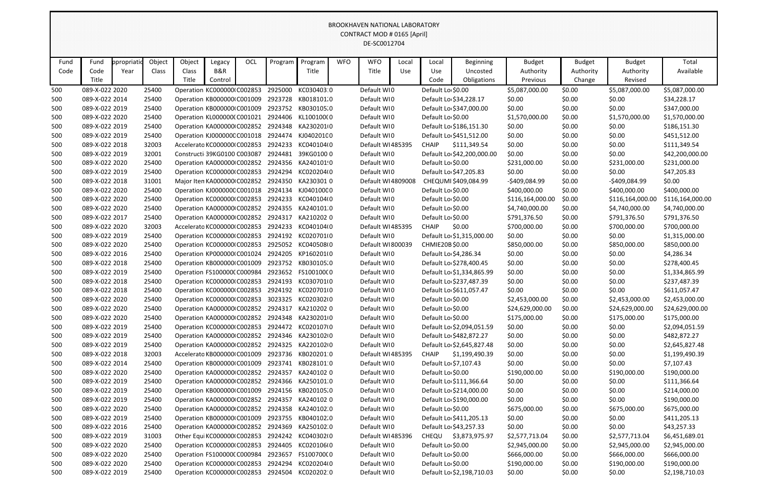|            |                                                                                                                                                                                                                                                           |      |                |       |                                    |  |         |                                                                                                |  | BROOKHAVEN NATIONAL LABORATORY |     |                   |                                             |                  |                  |                  |                              |
|------------|-----------------------------------------------------------------------------------------------------------------------------------------------------------------------------------------------------------------------------------------------------------|------|----------------|-------|------------------------------------|--|---------|------------------------------------------------------------------------------------------------|--|--------------------------------|-----|-------------------|---------------------------------------------|------------------|------------------|------------------|------------------------------|
|            | CONTRACT MOD # 0165 [April]<br>DE-SC0012704<br>Object<br>Object<br>OCL<br><b>WFO</b><br><b>WFO</b><br>Total<br>propriati<br>Program<br>Program<br><b>Budget</b><br><b>Budget</b><br>Fund<br>Legacy<br><b>Beginning</b><br><b>Budget</b><br>Local<br>Local |      |                |       |                                    |  |         |                                                                                                |  |                                |     |                   |                                             |                  |                  |                  |                              |
|            |                                                                                                                                                                                                                                                           |      |                |       |                                    |  |         |                                                                                                |  |                                |     |                   |                                             |                  |                  |                  |                              |
| Fund       |                                                                                                                                                                                                                                                           |      |                |       |                                    |  |         |                                                                                                |  |                                |     |                   |                                             |                  |                  |                  |                              |
| Code       | Code                                                                                                                                                                                                                                                      | Year | Class          | Class | B&R                                |  |         | Title                                                                                          |  | Title                          | Use | Use               | Uncosted                                    | Authority        | Authority        | Authority        | Available                    |
|            | Title                                                                                                                                                                                                                                                     |      |                | Title | Control                            |  |         |                                                                                                |  |                                |     | Code              | Obligations                                 | Previous         | Change           | Revised          |                              |
| 500        | 089-X-022 2020                                                                                                                                                                                                                                            |      | 25400          |       | Operation KC000000 C002853         |  | 2925000 | KC030403.0                                                                                     |  | Default WI0                    |     | Default Lo \$0.00 |                                             | \$5,087,000.00   | \$0.00           | \$5,087,000.00   | \$5,087,000.00               |
| 500        | 089-X-022 2014                                                                                                                                                                                                                                            |      | 25400          |       | Operation KB000000 C001009         |  | 2923728 | KB018101.0                                                                                     |  | Default WI0                    |     |                   | Default Lo \$34,228.17                      | \$0.00           | \$0.00           | \$0.00           | \$34,228.17                  |
| 500        | 089-X-022 2019                                                                                                                                                                                                                                            |      | 25400          |       | Operation KB000000 C001009         |  |         | 2923752 KB030105.0                                                                             |  | Default WI0                    |     |                   | Default Lo \$347,000.00                     | \$0.00           | \$0.00           | \$0.00           | \$347,000.00                 |
| 500        | 089-X-022 2020                                                                                                                                                                                                                                            |      | 25400          |       | Operation KL000000(C001021         |  | 2924406 | KL100100(0                                                                                     |  | Default WI0                    |     | Default Lo \$0.00 |                                             | \$1,570,000.00   | \$0.00           | \$1,570,000.00   | \$1,570,000.00               |
| 500        | 089-X-022 2019                                                                                                                                                                                                                                            |      | 25400          |       | Operation KA000000 C002852         |  |         | 2924348 KA2302010                                                                              |  | Default WI0                    |     |                   | Default Lo \$186,151.30                     | \$0.00           | \$0.00           | \$0.00           | \$186,151.30                 |
| 500        | 089-X-022 2019                                                                                                                                                                                                                                            |      | 25400          |       | Operation KJ000000C C001018        |  | 2924474 | KJ040201C0                                                                                     |  | Default WI0                    |     |                   | Default Lo \$451,512.00                     | \$0.00           | \$0.00           | \$0.00           | \$451,512.00                 |
| 500        | 089-X-022 2018                                                                                                                                                                                                                                            |      | 32003          |       | Accelerato KC000000 C002853        |  | 2924233 | KC040104(0                                                                                     |  | Default WI485395               |     | <b>CHAIP</b>      | \$111,349.54                                | \$0.00           | \$0.00           | \$0.00           | \$111,349.54                 |
| 500        | 089-X-022 2019                                                                                                                                                                                                                                            |      | 32001          |       | Constructi 39KG0100 C003087        |  | 2924481 | 39KG01000                                                                                      |  | Default WI0                    |     |                   | Default Lo \$42,200,000.00                  | \$0.00           | \$0.00           | \$0.00           | \$42,200,000.00              |
| 500        | 089-X-022 2020                                                                                                                                                                                                                                            |      | 25400          |       | Operation KA000000 C002852         |  |         | 2924356 KA240101 0                                                                             |  | Default WI0                    |     | Default Lo \$0.00 |                                             | \$231,000.00     | \$0.00           | \$231,000.00     | \$231,000.00                 |
| 500        | 089-X-022 2019                                                                                                                                                                                                                                            |      | 25400          |       | Operation KC000000 C002853         |  | 2924294 | KC020204(0                                                                                     |  | Default WIO                    |     |                   | Default Lo \$47,205.83                      | \$0.00           | \$0.00           | \$0.00           | \$47,205.83                  |
| 500        | 089-X-022 2018                                                                                                                                                                                                                                            |      | 31001          |       | Major Iten KA000000 C002852        |  | 2924350 | KA2303010                                                                                      |  | Default WI4809008              |     |                   | CHEQUMI \$409,084.99                        | -\$409,084.99    | \$0.00           | $-$409,084.99$   | \$0.00                       |
| 500        | 089-X-022 2020                                                                                                                                                                                                                                            |      | 25400          |       | Operation KJ000000C C001018        |  | 2924134 | KJ040100C0                                                                                     |  | Default WI0                    |     | Default Lo \$0.00 |                                             | \$400,000.00     | \$0.00           | \$400,000.00     | \$400,000.00                 |
| 500        | 089-X-022 2020                                                                                                                                                                                                                                            |      | 25400          |       | Operation KC000000 C002853         |  | 2924233 | KC040104(0                                                                                     |  | Default WIO                    |     | Default Lo \$0.00 |                                             | \$116,164,000.00 | \$0.00           | \$116,164,000.00 | \$116,164,000.00             |
| 500        | 089-X-022 2020                                                                                                                                                                                                                                            |      | 25400          |       | Operation KA000000 C002852         |  |         | 2924355 KA240101.0                                                                             |  | Default WI0                    |     | Default Lo \$0.00 |                                             | \$4,740,000.00   | \$0.00           | \$4,740,000.00   | \$4,740,000.00               |
| 500        | 089-X-022 2017                                                                                                                                                                                                                                            |      | 25400          |       | Operation KA000000 C002852         |  | 2924317 | KA2102020                                                                                      |  | Default WIO                    |     | Default Lo \$0.00 |                                             | \$791,376.50     | \$0.00           | \$791,376.50     | \$791,376.50                 |
| 500        | 089-X-022 2020                                                                                                                                                                                                                                            |      | 32003          |       | Accelerato KC000000 C002853        |  | 2924233 | KC040104(0                                                                                     |  | Default WI485395               |     | <b>CHAIP</b>      | \$0.00                                      | \$700,000.00     | \$0.00           | \$700,000.00     | \$700,000.00                 |
| 500        | 089-X-022 2019                                                                                                                                                                                                                                            |      | 25400          |       | Operation KC000000 C002853         |  |         | 2924192 KC0207010                                                                              |  | Default WI0                    |     |                   | Default Lo \$1,315,000.00                   | \$0.00           | \$0.00           | \$0.00           | \$1,315,000.00               |
| 500        | 089-X-022 2020                                                                                                                                                                                                                                            |      | 25400          |       | Operation KC000000 C002853         |  | 2925052 | KC04050800                                                                                     |  | Default WI800039               |     | CHMIE20B \$0.00   |                                             | \$850,000.00     | \$0.00           | \$850,000.00     | \$850,000.00                 |
| 500        | 089-X-022 2016                                                                                                                                                                                                                                            |      | 25400          |       | Operation KP000000(C001024         |  | 2924205 | KP1602010                                                                                      |  | Default WI0                    |     |                   | Default Lo \$4,286.34                       | \$0.00           | \$0.00           | \$0.00           | \$4,286.34                   |
| 500        | 089-X-022 2018                                                                                                                                                                                                                                            |      | 25400          |       | Operation KB000000 C001009         |  |         | 2923752 KB030105.0                                                                             |  | Default WIO                    |     |                   | Default Lo \$278,400.45                     | \$0.00           | \$0.00           | \$0.00           | \$278,400.45                 |
| 500        | 089-X-022 2019                                                                                                                                                                                                                                            |      | 25400          |       | Operation FS1000000 C000984        |  | 2923652 | FS100100(0                                                                                     |  | Default WI0                    |     |                   | Default Lo \$1,334,865.99                   | \$0.00           | \$0.00           | \$0.00           | \$1,334,865.99               |
| 500        | 089-X-022 2018                                                                                                                                                                                                                                            |      | 25400          |       | Operation KC000000 C002853         |  | 2924193 | KC0307010                                                                                      |  | Default WI0                    |     |                   | Default Lo \$237,487.39                     | \$0.00           | \$0.00           | \$0.00           | \$237,487.39                 |
| 500        | 089-X-022 2018                                                                                                                                                                                                                                            |      | 25400          |       | Operation KC000000 C002853         |  | 2924192 | KC020701(0                                                                                     |  | Default WI0                    |     |                   | Default Lo \$611,057.47                     | \$0.00           | \$0.00           | \$0.00           | \$611,057.47                 |
| 500        | 089-X-022 2020                                                                                                                                                                                                                                            |      | 25400          |       | Operation KC000000 C002853         |  |         | 3023325 KC020302I0                                                                             |  | Default WI0                    |     | Default Lo \$0.00 |                                             | \$2,453,000.00   | \$0.00           | \$2,453,000.00   | \$2,453,000.00               |
| 500        | 089-X-022 2020                                                                                                                                                                                                                                            |      | 25400          |       |                                    |  |         | Operation KA000000 C002852 2924317 KA210202 0                                                  |  | Default WI0                    |     | Default Lo \$0.00 |                                             | \$24,629,000.00  | \$0.00           | \$24,629,000.00  | \$24,629,000.00              |
| 500        | 089-X-022 2020                                                                                                                                                                                                                                            |      | 25400          |       |                                    |  |         | Operation KA000000 C002852 2924348 KA230201 0                                                  |  | Default WI0                    |     | Default Lo \$0.00 |                                             | \$175,000.00     | \$0.00           | \$175,000.00     | \$175,000.00                 |
| 500        | 089-X-022 2019                                                                                                                                                                                                                                            |      | 25400          |       |                                    |  |         | Operation KC000000(C002853 2924472 KC020107(0                                                  |  | Default WIO                    |     |                   | Default Lo \$2,094,051.59                   | \$0.00           | \$0.00           | \$0.00           | \$2,094,051.59               |
| 500        | 089-X-022 2019<br>089-X-022 2019                                                                                                                                                                                                                          |      | 25400          |       |                                    |  |         | Operation KA000000 C002852 2924346 KA230102 0<br>Operation KA000000 C002852 2924325 KA220102 0 |  | Default WIO<br>Default WIO     |     |                   | Default Lo \$482,872.27                     | \$0.00           | \$0.00           | \$0.00           | \$482,872.27                 |
| 500        | 089-X-022 2018                                                                                                                                                                                                                                            |      | 25400          |       |                                    |  |         | Accelerato KB000000 (C001009 2923736 KB020201 0                                                |  | Default WI485395               |     | <b>CHAIP</b>      | Default Lo \$2,645,827.48<br>\$1,199,490.39 | \$0.00           | \$0.00           | \$0.00<br>\$0.00 | \$2,645,827.48               |
| 500<br>500 | 089-X-022 2014                                                                                                                                                                                                                                            |      | 32003<br>25400 |       |                                    |  |         | Operation KB000000 C001009 2923741 KB028101 0                                                  |  | Default WIO                    |     |                   | Default Lo \$7,107.43                       | \$0.00<br>\$0.00 | \$0.00<br>\$0.00 | \$0.00           | \$1,199,490.39<br>\$7,107.43 |
| 500        | 089-X-022 2020                                                                                                                                                                                                                                            |      | 25400          |       |                                    |  |         | Operation KA000000 C002852 2924357 KA240102 0                                                  |  | Default WIO                    |     | Default Lo \$0.00 |                                             | \$190,000.00     | \$0.00           | \$190,000.00     | \$190,000.00                 |
| 500        | 089-X-022 2019                                                                                                                                                                                                                                            |      | 25400          |       |                                    |  |         | Operation KA000000 C002852 2924366 KA250101 0                                                  |  | Default WIO                    |     |                   | Default Lo \$111,366.64                     | \$0.00           | \$0.00           | \$0.00           | \$111,366.64                 |
| 500        | 089-X-022 2019                                                                                                                                                                                                                                            |      | 25400          |       |                                    |  |         | Operation KB000000 C001009 2924156 KB020105.0                                                  |  | Default WIO                    |     |                   | Default Lo \$214,000.00                     | \$0.00           | \$0.00           | \$0.00           | \$214,000.00                 |
| 500        | 089-X-022 2019                                                                                                                                                                                                                                            |      | 25400          |       |                                    |  |         | Operation KA000000 C002852 2924357 KA240102 0                                                  |  | Default WIO                    |     |                   | Default Lo \$190,000.00                     | \$0.00           | \$0.00           | \$0.00           | \$190,000.00                 |
| 500        | 089-X-022 2020                                                                                                                                                                                                                                            |      | 25400          |       |                                    |  |         | Operation KA000000 C002852 2924358 KA240102.0                                                  |  | Default WIO                    |     | Default Lo \$0.00 |                                             | \$675,000.00     | \$0.00           | \$675,000.00     | \$675,000.00                 |
| 500        | 089-X-022 2019                                                                                                                                                                                                                                            |      | 25400          |       |                                    |  |         | Operation KB000000IC001009 2923755 KB040102.0                                                  |  | Default WIO                    |     |                   | Default Lo \$411,205.13                     | \$0.00           | \$0.00           | \$0.00           | \$411,205.13                 |
| 500        | 089-X-022 2016                                                                                                                                                                                                                                            |      | 25400          |       |                                    |  |         | Operation KA000000 C002852 2924369 KA250102 0                                                  |  | Default WI0                    |     |                   | Default Lo \$43,257.33                      | \$0.00           | \$0.00           | \$0.00           | \$43,257.33                  |
| 500        | 089-X-022 2019                                                                                                                                                                                                                                            |      | 31003          |       |                                    |  |         | Other Equi KC000000 (C002853 2924242 KC040302 0                                                |  | Default WI485396               |     | CHEQU             | \$3,873,975.97                              | \$2,577,713.04   | \$0.00           | \$2,577,713.04   | \$6,451,689.01               |
| 500        | 089-X-022 2020                                                                                                                                                                                                                                            |      | 25400          |       |                                    |  |         | Operation KC000000(C002853 2924405 KC020106(0                                                  |  | Default WIO                    |     | Default Lo \$0.00 |                                             | \$2,945,000.00   | \$0.00           | \$2,945,000.00   | \$2,945,000.00               |
| 500        | 089-X-022 2020                                                                                                                                                                                                                                            |      | 25400          |       | Operation FS100000(C000984         |  | 2923657 | FS10070000                                                                                     |  | Default WIO                    |     | Default Lo \$0.00 |                                             | \$666,000.00     | \$0.00           | \$666,000.00     | \$666,000.00                 |
| 500        | 089-X-022 2020                                                                                                                                                                                                                                            |      | 25400          |       | Operation KC000000(C002853 2924294 |  |         | KC020204(0                                                                                     |  | Default WIO                    |     | Default Lo \$0.00 |                                             | \$190,000.00     | \$0.00           | \$190,000.00     | \$190,000.00                 |
| 500        | 089-X-022 2019                                                                                                                                                                                                                                            |      | 25400          |       | Operation KC000000 C002853 2924504 |  |         | KC020202:0                                                                                     |  | Default WIO                    |     |                   | Default Lo \$2,198,710.03                   | \$0.00           | \$0.00           | \$0.00           | \$2,198,710.03               |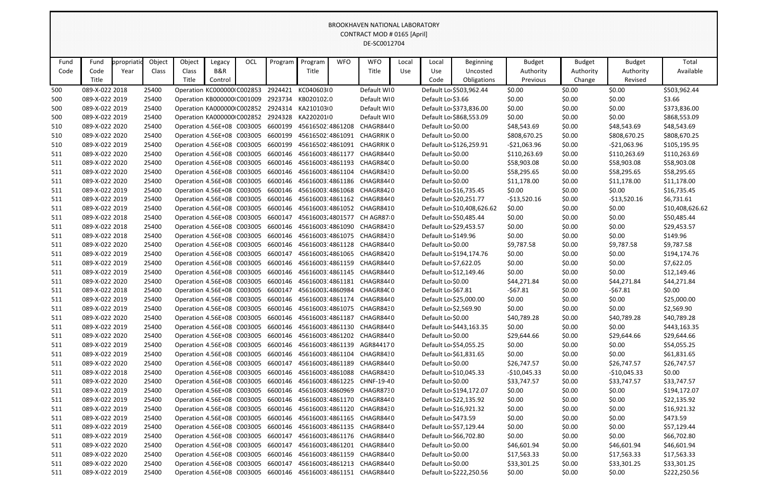|            |                                  |            |                |                                                                  |                |     |                                                     |                          |            | <b>BROOKHAVEN NATIONAL LABORATORY</b>                                                                |       |                       |                            |                       |                  |                       |                             |
|------------|----------------------------------|------------|----------------|------------------------------------------------------------------|----------------|-----|-----------------------------------------------------|--------------------------|------------|------------------------------------------------------------------------------------------------------|-------|-----------------------|----------------------------|-----------------------|------------------|-----------------------|-----------------------------|
|            |                                  |            |                |                                                                  |                |     |                                                     |                          |            | CONTRACT MOD # 0165 [April]                                                                          |       |                       |                            |                       |                  |                       |                             |
|            |                                  |            |                |                                                                  |                |     |                                                     |                          |            | DE-SC0012704                                                                                         |       |                       |                            |                       |                  |                       |                             |
|            |                                  |            |                |                                                                  |                |     |                                                     |                          |            |                                                                                                      |       |                       |                            |                       |                  |                       |                             |
| Fund       | Fund                             | ppropriati | Object         | Object                                                           | Legacy         | OCL | Program                                             | Program                  | <b>WFO</b> | <b>WFO</b>                                                                                           | Local | Local                 | <b>Beginning</b>           | <b>Budget</b>         | <b>Budget</b>    | <b>Budget</b>         | Total                       |
| Code       | Code                             | Year       | Class          | Class                                                            | <b>B&amp;R</b> |     |                                                     | Title                    |            | Title                                                                                                | Use   | Use                   | Uncosted                   | Authority             | Authority        | Authority             | Available                   |
|            | Title                            |            |                | Title                                                            | Control        |     |                                                     |                          |            |                                                                                                      |       | Code                  | Obligations                | Previous              | Change           | Revised               |                             |
| 500        | 089-X-022 2018                   |            | 25400          | Operation KC000000 C002853                                       |                |     |                                                     | 2924421 KC040603I0       |            | Default WI0                                                                                          |       |                       | Default Lo \$503,962.44    | \$0.00                | \$0.00           | \$0.00                | \$503,962.44                |
| 500        | 089-X-022 2019                   |            | 25400          | Operation KB000000 C001009                                       |                |     | 2923734 KB020102.0                                  |                          |            | Default WI0                                                                                          |       | Default Lo \$3.66     |                            | \$0.00                | \$0.00           | \$0.00                | \$3.66                      |
| 500        | 089-X-022 2019                   |            | 25400          | Operation KA000000 C002852                                       |                |     |                                                     | 2924314 KA2101030        |            | Default WIO                                                                                          |       |                       | Default Lo \$373,836.00    | \$0.00                | \$0.00           | \$0.00                | \$373,836.00                |
| 500        | 089-X-022 2019                   |            | 25400          | Operation KA000000 C002852                                       |                |     |                                                     | 2924328 KA2202010        |            | Default WIO                                                                                          |       |                       | Default Lo \$868,553.09    | \$0.00                | \$0.00           | \$0.00                | \$868,553.09                |
| 510        | 089-X-022 2020                   |            | 25400          | Operation 4.56E+08 C003005                                       |                |     | 6600199                                             | 45616502 4861208         |            | CHAGR8440                                                                                            |       | Default Lo \$0.00     |                            | \$48,543.69           | \$0.00           | \$48,543.69           | \$48,543.69                 |
| 510        | 089-X-022 2020                   |            | 25400          | Operation 4.56E+08 C003005                                       |                |     | 6600199                                             | 45616502:4861091         |            | <b>CHAGRRIK 0</b>                                                                                    |       | Default Lo \$0.00     |                            | \$808,670.25          | \$0.00           | \$808,670.25          | \$808,670.25                |
| 510        | 089-X-022 2019                   |            | 25400          | Operation 4.56E+08 C003005                                       |                |     | 6600199                                             | 45616502 4861091         |            | CHAGRRIK 0                                                                                           |       |                       | Default Lo \$126,259.91    | $-521,063.96$         | \$0.00           | $-521,063.96$         | \$105,195.95                |
| 511        | 089-X-022 2020                   |            | 25400          | Operation 4.56E+08 C003005                                       |                |     | 6600146                                             | 45616003 4861177         |            | CHAGR8440                                                                                            |       | Default Lo \$0.00     |                            | \$110,263.69          | \$0.00           | \$110,263.69          | \$110,263.69                |
| 511        | 089-X-022 2020                   |            | 25400          | Operation 4.56E+08 C003005                                       |                |     | 6600146                                             | 45616003 4861193         |            | CHAGR84C0                                                                                            |       | Default Lo \$0.00     |                            | \$58,903.08           | \$0.00           | \$58,903.08           | \$58,903.08                 |
| 511        | 089-X-022 2020                   |            | 25400          | Operation 4.56E+08 C003005                                       |                |     | 6600146                                             | 45616003 4861104         |            | CHAGR8430                                                                                            |       | Default Lo \$0.00     |                            | \$58,295.65           | \$0.00           | \$58,295.65           | \$58,295.65                 |
| 511        | 089-X-022 2020                   |            | 25400          | Operation 4.56E+08 C003005                                       |                |     | 6600146                                             | 45616003:4861186         |            | CHAGR8440                                                                                            |       | Default Lo \$0.00     |                            | \$11,178.00           | \$0.00           | \$11,178.00           | \$11,178.00                 |
| 511        | 089-X-022 2019                   |            | 25400          | Operation 4.56E+08 C003005                                       |                |     | 6600146                                             | 45616003 4861068         |            | CHAGR8420                                                                                            |       |                       | Default Lo \$16,735.45     | \$0.00                | \$0.00           | \$0.00                | \$16,735.45                 |
| 511        | 089-X-022 2019                   |            | 25400          | Operation 4.56E+08 C003005                                       |                |     | 6600146                                             | 45616003 4861162         |            | CHAGR8440                                                                                            |       |                       | Default Lo \$20,251.77     | $-$13,520.16$         | \$0.00           | $-$13,520.16$         | \$6,731.61                  |
| 511        | 089-X-022 2019                   |            | 25400          | Operation 4.56E+08 C003005                                       |                |     | 6600146                                             |                          |            | 45616003:4861052 CHAGR8410                                                                           |       |                       | Default Lo \$10,408,626.62 | \$0.00                | \$0.00           | \$0.00                | \$10,408,626.62             |
| 511        | 089-X-022 2018                   |            | 25400          | Operation 4.56E+08 C003005                                       |                |     | 6600147                                             | 45616003.4801577         |            | CH AGR87:0                                                                                           |       |                       | Default Lo \$50,485.44     | \$0.00                | \$0.00           | \$0.00                | \$50,485.44                 |
| 511        | 089-X-022 2018                   |            | 25400          | Operation 4.56E+08 C003005                                       |                |     | 6600146                                             | 45616003:4861090         |            | CHAGR8430                                                                                            |       |                       | Default Lo \$29,453.57     | \$0.00                | \$0.00           | \$0.00                | \$29,453.57                 |
| 511        | 089-X-022 2018                   |            | 25400          | Operation 4.56E+08 C003005                                       |                |     | 6600146                                             | 45616003 4861075         |            | CHAGR8430                                                                                            |       | Default Lo \$149.96   |                            | \$0.00                | \$0.00           | \$0.00                | \$149.96                    |
| 511        | 089-X-022 2020                   |            | 25400          | Operation 4.56E+08 C003005                                       |                |     | 6600146                                             | 45616003:4861128         |            | CHAGR8440                                                                                            |       | Default Lo \$0.00     |                            | \$9,787.58            | \$0.00           | \$9,787.58            | \$9,787.58                  |
| 511        | 089-X-022 2019                   |            | 25400          | Operation 4.56E+08 C003005                                       |                |     | 6600147                                             |                          |            | 45616003.4861065 CHAGR8420                                                                           |       |                       | Default Lo \$194,174.76    | \$0.00                | \$0.00           | \$0.00                | \$194,174.76                |
| 511        | 089-X-022 2019                   |            | 25400          | Operation 4.56E+08 C003005                                       |                |     | 6600146                                             | 45616003 4861159         |            | CHAGR8440                                                                                            |       | Default Lo \$7,622.05 |                            | \$0.00                | \$0.00           | \$0.00                | \$7,622.05                  |
| 511        | 089-X-022 2019                   |            | 25400          | Operation 4.56E+08 C003005                                       |                |     | 6600146                                             | 45616003:4861145         |            | CHAGR8440                                                                                            |       |                       | Default Lo \$12,149.46     | \$0.00                | \$0.00           | \$0.00                | \$12,149.46                 |
| 511        | 089-X-022 2020                   |            | 25400          | Operation 4.56E+08 C003005                                       |                |     | 6600146                                             | 45616003 4861181         |            | CHAGR8440                                                                                            |       | Default Lo \$0.00     |                            | \$44,271.84           | \$0.00           | \$44,271.84           | \$44,271.84                 |
| 511        | 089-X-022 2018                   |            | 25400          | Operation 4.56E+08 C003005                                       |                |     | 6600147                                             |                          |            | 45616003.4860984 CHAGR84C0                                                                           |       | Default Lo \$67.81    |                            | $-567.81$             | \$0.00           | $-567.81$             | \$0.00                      |
| 511        | 089-X-022 2019                   |            | 25400          | Operation 4.56E+08 C003005                                       |                |     | 6600146                                             |                          |            | 45616003 4861174 CHAGR8440                                                                           |       |                       | Default Lo \$25,000.00     | \$0.00                | \$0.00           | \$0.00                | \$25,000.00                 |
| 511        | 089-X-022 2019                   |            | 25400          | Operation 4.56E+08 C003005                                       |                |     |                                                     | 6600146 45616003 4861075 |            | CHAGR8430                                                                                            |       | Default Lo \$2,569.90 |                            | \$0.00                | \$0.00           | \$0.00                | \$2,569.90                  |
| 511        | 089-X-022 2020                   |            | 25400          |                                                                  |                |     | Operation 4.56E+08 C003005 6600146 45616003 4861187 |                          |            | CHAGR8440                                                                                            |       | Default Lo \$0.00     |                            | \$40,789.28           | \$0.00           | \$40,789.28           | \$40,789.28                 |
| 511        | 089-X-022 2019                   |            | 25400          |                                                                  |                |     |                                                     |                          |            | Operation 4.56E+08 C003005 6600146 45616003 4861130 CHAGR8440                                        |       |                       | Default Lo \$443,163.35    | \$0.00                | \$0.00           | \$0.00                | \$443,163.35                |
| 511        | 089-X-022 2020                   |            | 25400          | Operation 4.56E+08 C003005                                       |                |     |                                                     |                          |            | 6600146 45616003 4861202 CHAGR8440                                                                   |       | Default Lo \$0.00     |                            | \$29,644.66           | \$0.00           | \$29,644.66           | \$29,644.66                 |
| 511        | 089-X-022 2019                   |            | 25400          | Operation 4.56E+08 C003005                                       |                |     |                                                     |                          |            | 6600146 45616003:4861139 AGR844170                                                                   |       |                       | Default Lo \$54,055.25     | \$0.00                | \$0.00           | \$0.00                | \$54,055.25                 |
| 511        | 089-X-022 2019<br>089-X-022 2020 |            | 25400<br>25400 | Operation 4.56E+08 C003005<br>Operation 4.56E+08 C003005 6600147 |                |     |                                                     |                          |            | 6600146 45616003:4861104 CHAGR8430<br>45616003.4861189 CHAGR8440                                     |       | Default Lo \$0.00     | Default Lo \$61,831.65     | \$0.00                | \$0.00<br>\$0.00 | \$0.00<br>\$26,747.57 | \$61,831.65                 |
| 511        |                                  |            |                |                                                                  |                |     |                                                     |                          |            |                                                                                                      |       |                       |                            | \$26,747.57           |                  |                       | \$26,747.57                 |
| 511        | 089-X-022 2018<br>089-X-022 2020 |            | 25400          |                                                                  |                |     |                                                     |                          |            | Operation 4.56E+08 C003005 6600146 45616003 4861088 CHAGR8430                                        |       | Default Lo \$0.00     | Default Lo \$10,045.33     | $-$10,045.33$         | \$0.00           | $-$10,045.33$         | \$0.00                      |
| 511<br>511 | 089-X-022 2019                   |            | 25400<br>25400 | Operation 4.56E+08 C003005                                       |                |     |                                                     |                          |            | Operation 4.56E+08 C003005 6600146 45616003 4861225 CHNF-19-40<br>6600146 45616003 4860969 CHAGR8730 |       |                       | Default Lo \$194,172.07    | \$33,747.57<br>\$0.00 | \$0.00<br>\$0.00 | \$33,747.57<br>\$0.00 | \$33,747.57<br>\$194,172.07 |
|            | 089-X-022 2019                   |            |                | Operation 4.56E+08 C003005                                       |                |     |                                                     |                          |            | 6600146 45616003:4861170 CHAGR8440                                                                   |       |                       | Default Lo \$22,135.92     | \$0.00                |                  |                       |                             |
| 511        | 089-X-022 2019                   |            | 25400          | Operation 4.56E+08 C003005                                       |                |     |                                                     |                          |            | 6600146 45616003 4861120 CHAGR8430                                                                   |       |                       | Default Lo \$16,921.32     | \$0.00                | \$0.00           | \$0.00<br>\$0.00      | \$22,135.92                 |
| 511        |                                  |            | 25400          |                                                                  |                |     |                                                     |                          |            |                                                                                                      |       |                       |                            |                       | \$0.00           |                       | \$16,921.32                 |
| 511<br>511 | 089-X-022 2019<br>089-X-022 2019 |            | 25400<br>25400 | Operation 4.56E+08 C003005<br>Operation 4.56E+08 C003005         |                |     | 6600146                                             |                          |            | 45616003:4861165 CHAGR8440<br>6600146 45616003 4861135 CHAGR8440                                     |       | Default Lo \$473.59   | Default Lo \$57,129.44     | \$0.00<br>\$0.00      | \$0.00<br>\$0.00 | \$0.00<br>\$0.00      | \$473.59<br>\$57,129.44     |
|            | 089-X-022 2019                   |            | 25400          | Operation 4.56E+08 C003005 6600147                               |                |     |                                                     |                          |            | 45616003.4861176 CHAGR8440                                                                           |       |                       | Default Lo \$66,702.80     | \$0.00                | \$0.00           | \$0.00                | \$66,702.80                 |
| 511<br>511 | 089-X-022 2020                   |            | 25400          | Operation 4.56E+08 C003005                                       |                |     | 6600147                                             |                          |            | 45616003.4861201 CHAGR8440                                                                           |       | Default Lo \$0.00     |                            | \$46,601.94           | \$0.00           | \$46,601.94           | \$46,601.94                 |
| 511        | 089-X-022 2020                   |            | 25400          | Operation 4.56E+08 C003005                                       |                |     | 6600146                                             |                          |            | 45616003:4861159 CHAGR8440                                                                           |       | Default Lo \$0.00     |                            | \$17,563.33           | \$0.00           | \$17,563.33           | \$17,563.33                 |
|            | 089-X-022 2020                   |            | 25400          | Operation 4.56E+08 C003005                                       |                |     | 6600147                                             | 45616003.4861213         |            | CHAGR8440                                                                                            |       | Default Lo \$0.00     |                            | \$33,301.25           | \$0.00           | \$33,301.25           | \$33,301.25                 |
| 511        | 089-X-022 2019                   |            |                |                                                                  |                |     |                                                     |                          |            |                                                                                                      |       |                       |                            |                       |                  |                       |                             |
| 511        |                                  |            | 25400          |                                                                  |                |     |                                                     |                          |            | Operation 4.56E+08 C003005 6600146 45616003 4861151 CHAGR8440                                        |       |                       | Default Lo \$222,250.56    | \$0.00                | \$0.00           | \$0.00                | \$222,250.56                |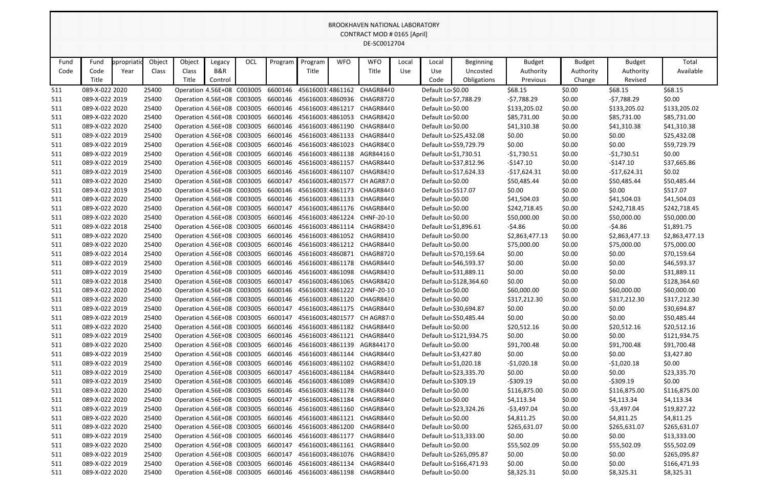| Object<br>Object<br>OCL<br><b>WFO</b><br><b>WFO</b><br>Fund<br>Program<br>Program<br>Total<br>Fund<br>ppropriati<br>Legacy<br>Local<br>Local<br><b>Beginning</b><br><b>Budget</b><br><b>Budget</b><br><b>Budget</b><br>B&R<br>Available<br>Code<br>Class<br>Title<br>Title<br>Authority<br>Code<br>Year<br>Class<br>Use<br>Use<br>Uncosted<br>Authority<br>Authority<br>Title<br>Title<br>Control<br>Code<br>Obligations<br>Previous<br>Change<br>Revised<br>Default Lo \$0.00<br>089-X-022 2020<br>Operation 4.56E+08 C003005 6600146 45616003 4861162<br>\$68.15<br>\$0.00<br>\$68.15<br>\$68.15<br>25400<br>CHAGR8440<br>511<br>\$0.00<br>\$0.00<br>089-X-022 2019<br>25400<br>Operation 4.56E+08 C003005 6600146 45616003 4860936<br>CHAGR8720<br>Default Lo \$7,788.29<br>$-57,788.29$<br>$-57,788.29$<br>511<br>Operation 4.56E+08 C003005 6600146 45616003 4861217<br>\$133,205.02<br>089-X-022 2020<br>25400<br>CHAGR8440<br>Default Lo \$0.00<br>\$133,205.02<br>\$0.00<br>\$133,205.02<br>511<br>089-X-022 2020<br>25400<br>Operation 4.56E+08 C003005 6600146 45616003 4861053<br>CHAGR8420<br>Default Lo \$0.00<br>\$85,731.00<br>\$0.00<br>\$85,731.00<br>\$85,731.00<br>511<br>Default Lo \$0.00<br>089-X-022 2020<br>25400<br>Operation 4.56E+08 C003005<br>6600146 45616003 4861190<br>CHAGR8440<br>\$41,310.38<br>\$0.00<br>\$41,310.38<br>\$41,310.38<br>511<br>089-X-022 2019<br>Operation 4.56E+08 C003005<br>6600146 45616003:4861133<br>CHAGR8440<br>Default Lo \$25,432.08<br>\$0.00<br>\$0.00<br>\$0.00<br>\$25,432.08<br>25400<br>511<br>Operation 4.56E+08 C003005 6600146 45616003 4861023<br>\$0.00<br>\$0.00<br>\$0.00<br>089-X-022 2019<br>25400<br>CHAGR84C0<br>Default Lo \$59,729.79<br>\$59,729.79<br>511<br>$-$1,730.51$<br>\$0.00<br>089-X-022 2019<br>25400<br>Operation 4.56E+08 C003005 6600146 45616003 4861138<br>AGR844160<br>Default Lo \$1,730.51<br>$-$1,730.51$<br>\$0.00<br>511<br>089-X-022 2019<br>25400<br>Operation 4.56E+08 C003005<br>6600146 45616003 4861157<br>CHAGR8440<br>Default Lo \$37,812.96<br>$-5147.10$<br>\$0.00<br>$-5147.10$<br>\$37,665.86<br>511<br>\$0.02<br>089-X-022 2019<br>25400<br>Operation 4.56E+08 C003005 6600146 45616003:4861107<br>CHAGR8430<br>Default Lo \$17,624.33<br>$-$17,624.31$<br>\$0.00<br>-\$17,624.31<br>511<br>089-X-022 2020<br>25400<br>Operation 4.56E+08 C003005<br>6600147<br>45616003.4801577<br>CH AGR8710<br>Default Lo \$0.00<br>\$50,485.44<br>\$0.00<br>\$50,485.44<br>\$50,485.44<br>511<br>\$0.00<br>\$517.07<br>089-X-022 2019<br>25400<br>Operation 4.56E+08 C003005 6600146 45616003 4861173<br>CHAGR8440<br>Default Lo \$517.07<br>\$0.00<br>\$0.00<br>511<br>089-X-022 2020<br>Operation 4.56E+08 C003005 6600146 45616003 4861133 CHAGR8440<br>Default Lo \$0.00<br>\$41,504.03<br>\$0.00<br>\$41,504.03<br>\$41,504.03<br>25400<br>511<br>Default Lo \$0.00<br>\$0.00<br>089-X-022 2020<br>25400<br>Operation 4.56E+08 C003005 6600147 45616003.4861176 CHAGR8440<br>\$242,718.45<br>\$242,718.45<br>\$242,718.45<br>511<br>Default Lo \$0.00<br>\$50,000.00<br>\$50,000.00<br>089-X-022 2020<br>25400<br>Operation 4.56E+08 C003005 6600146 45616003:4861224<br>CHNF-20-10<br>\$0.00<br>\$50,000.00<br>511<br>$-54.86$<br>\$0.00<br>$-54.86$<br>089-X-022 2018<br>25400<br>Operation 4.56E+08 C003005 6600146 45616003 4861114 CHAGR8430<br>Default Lo \$1,896.61<br>\$1,891.75<br>511<br>Default Lo \$0.00<br>089-X-022 2020<br>25400<br>Operation 4.56E+08 C003005 6600146 45616003 4861052<br>CHAGR8410<br>\$2,863,477.13<br>\$0.00<br>\$2,863,477.13<br>\$2,863,477.13<br>511<br>089-X-022 2020<br>Operation 4.56E+08 C003005<br>6600146<br>45616003:4861212<br>CHAGR8440<br>Default Lo \$0.00<br>\$75,000.00<br>\$0.00<br>\$75,000.00<br>25400<br>\$75,000.00<br>511<br>\$0.00<br>\$0.00<br>089-X-022 2014<br>25400<br>Operation 4.56E+08 C003005 6600146 45616003 4860871 CHAGR8720<br>Default Lo \$70,159.64<br>\$0.00<br>\$70,159.64<br>511<br>089-X-022 2019<br>25400<br>Operation 4.56E+08 C003005 6600146 45616003 4861178<br>CHAGR8440<br>Default Lo \$46,593.37<br>\$0.00<br>\$0.00<br>\$0.00<br>\$46,593.37<br>511<br>089-X-022 2019<br>25400<br>Operation 4.56E+08 C003005<br>6600146 45616003 4861098<br>CHAGR8430<br>Default Lo \$31,889.11<br>\$0.00<br>\$0.00<br>\$0.00<br>\$31,889.11<br>511<br>Operation 4.56E+08 C003005 6600147<br>\$0.00<br>\$0.00<br>089-X-022 2018<br>25400<br>45616003.4861065<br>CHAGR8420<br>Default Lo \$128,364.60<br>\$0.00<br>\$128,364.60<br>511<br>089-X-022 2020<br>25400<br>Operation 4.56E+08 C003005<br>6600146<br>45616003 4861222<br>Default Lo \$0.00<br>\$60,000.00<br>\$0.00<br>\$60,000.00<br>\$60,000.00<br>511<br>CHNF-20-10<br>089-X-022 2020<br>25400<br>Operation 4.56E+08 C003005 6600146 45616003:4861120 CHAGR8430<br>Default Lo \$0.00<br>\$317,212.30<br>\$0.00<br>\$317,212.30<br>\$317,212.30<br>511<br>25400<br>Operation 4.56E+08 C003005 6600147 45616003.4861175 CHAGR8440<br>Default Lo \$30,694.87<br>\$0.00<br>\$30,694.87<br>511<br>089-X-022 2019<br>\$0.00<br>\$0.00<br>\$0.00<br>\$0.00<br>\$0.00<br>089-X-022 2019<br>25400<br>Operation 4.56E+08 C003005 6600147 45616003.4801577<br>Default Lo \$50,485.44<br>\$50,485.44<br>511<br>CH AGR87 0<br>Default Lo \$0.00<br>089-X-022 2020<br>Operation 4.56E+08 C003005 6600146 45616003 4861182<br>\$20,512.16<br>\$0.00<br>\$20,512.16<br>\$20,512.16<br>511<br>25400<br>CHAGR8440<br>Operation 4.56E+08 C003005 6600146 45616003 4861121 CHAGR8440<br>\$0.00<br>\$0.00<br>089-X-022 2019<br>Default Lo \$121,934.75<br>\$0.00<br>\$121,934.75<br>511<br>25400<br>Default Lo \$0.00<br>\$91,700.48<br>089-X-022 2020<br>25400<br>Operation 4.56E+08 C003005 6600146 45616003 4861139<br>AGR844170<br>\$91,700.48<br>\$0.00<br>\$91,700.48<br>511<br>\$3,427.80<br>089-X-022 2019<br>Operation 4.56E+08 C003005<br>6600146 45616003 4861144 CHAGR8440<br>Default Lo \$3,427.80<br>\$0.00<br>\$0.00<br>\$0.00<br>511<br>25400<br>089-X-022 2019<br>\$0.00<br>25400<br>Operation 4.56E+08 C003005 6600146 45616003 4861102 CHAGR8430<br>Default Lo \$1,020.18<br>$-$1,020.18$<br>\$0.00<br>$-$1,020.18$<br>511<br>\$0.00<br>\$0.00<br>089-X-022 2019<br>Operation 4.56E+08 C003005 6600147 45616003.4861184<br>CHAGR8440<br>Default Lo \$23,335.70<br>\$0.00<br>\$23,335.70<br>25400<br>511<br>Default Lo \$309.19<br>$-5309.19$<br>\$0.00<br>$-5309.19$<br>\$0.00<br>089-X-022 2019<br>25400<br>Operation 4.56E+08 C003005 6600146 45616003 4861089<br>CHAGR8430<br>511<br>Default Lo \$0.00<br>089-X-022 2020<br>25400<br>Operation 4.56E+08 C003005 6600146 45616003 4861178 CHAGR8440<br>\$116,875.00<br>\$0.00<br>\$116,875.00<br>\$116,875.00<br>511<br>089-X-022 2020<br>25400<br>Operation 4.56E+08 C003005 6600147<br>45616003.4861184 CHAGR8440<br>Default Lo \$0.00<br>\$4,113.34<br>\$0.00<br>\$4,113.34<br>\$4,113.34<br>511<br>089-X-022 2019<br>$-53,497.04$<br>25400<br>Operation 4.56E+08 C003005<br>6600146 45616003 4861160<br>CHAGR8440<br>Default Lo \$23,324.26<br>$-$3,497.04$<br>\$0.00<br>\$19,827.22<br>511<br>\$4,811.25<br>\$4,811.25<br>\$4,811.25<br>089-X-022 2020<br>Operation 4.56E+08 C003005<br>6600146 45616003:4861121<br>CHAGR8440<br>Default Lo \$0.00<br>\$0.00<br>511<br>25400<br>Default Lo \$0.00<br>089-X-022 2020<br>25400<br>Operation 4.56E+08 C003005 6600146 45616003 4861200<br>CHAGR8440<br>\$265,631.07<br>\$0.00<br>\$265,631.07<br>\$265,631.07<br>511<br>\$0.00<br>089-X-022 2019<br>Operation 4.56E+08 C003005 6600146 45616003 4861177<br>CHAGR8440<br>Default Lo \$13,333.00<br>\$0.00<br>\$0.00<br>\$13,333.00<br>511<br>25400<br>Default Lo \$0.00<br>089-X-022 2020<br>25400<br>Operation 4.56E+08 C003005<br>6600147<br>45616003.4861161 CHAGR8440<br>\$55,502.09<br>\$0.00<br>\$55,502.09<br>\$55,502.09<br>511<br>\$0.00<br>\$0.00<br>089-X-022 2019<br>Operation 4.56E+08 C003005 6600147<br>45616003.4861076 CHAGR8430<br>Default Lo \$265,095.87<br>\$0.00<br>\$265,095.87<br>511<br>25400<br>089-X-022 2019<br>Operation 4.56E+08 C003005<br>6600146 45616003 4861134<br>CHAGR8440<br>Default Lo \$166,471.93<br>\$0.00<br>\$0.00<br>\$0.00<br>\$166,471.93<br>511<br>25400<br>Default Lo \$0.00<br>089-X-022 2020<br>Operation 4.56E+08 C003005 6600146 45616003 4861198 CHAGR8440<br>\$0.00<br>511<br>25400 |  |  |  |  |  | <u>DINOONI IAVEIV INATIONAL LADONATOINI</u><br>CONTRACT MOD # 0165 [April]<br>DE-SC0012704 |  |            |            |            |
|------------------------------------------------------------------------------------------------------------------------------------------------------------------------------------------------------------------------------------------------------------------------------------------------------------------------------------------------------------------------------------------------------------------------------------------------------------------------------------------------------------------------------------------------------------------------------------------------------------------------------------------------------------------------------------------------------------------------------------------------------------------------------------------------------------------------------------------------------------------------------------------------------------------------------------------------------------------------------------------------------------------------------------------------------------------------------------------------------------------------------------------------------------------------------------------------------------------------------------------------------------------------------------------------------------------------------------------------------------------------------------------------------------------------------------------------------------------------------------------------------------------------------------------------------------------------------------------------------------------------------------------------------------------------------------------------------------------------------------------------------------------------------------------------------------------------------------------------------------------------------------------------------------------------------------------------------------------------------------------------------------------------------------------------------------------------------------------------------------------------------------------------------------------------------------------------------------------------------------------------------------------------------------------------------------------------------------------------------------------------------------------------------------------------------------------------------------------------------------------------------------------------------------------------------------------------------------------------------------------------------------------------------------------------------------------------------------------------------------------------------------------------------------------------------------------------------------------------------------------------------------------------------------------------------------------------------------------------------------------------------------------------------------------------------------------------------------------------------------------------------------------------------------------------------------------------------------------------------------------------------------------------------------------------------------------------------------------------------------------------------------------------------------------------------------------------------------------------------------------------------------------------------------------------------------------------------------------------------------------------------------------------------------------------------------------------------------------------------------------------------------------------------------------------------------------------------------------------------------------------------------------------------------------------------------------------------------------------------------------------------------------------------------------------------------------------------------------------------------------------------------------------------------------------------------------------------------------------------------------------------------------------------------------------------------------------------------------------------------------------------------------------------------------------------------------------------------------------------------------------------------------------------------------------------------------------------------------------------------------------------------------------------------------------------------------------------------------------------------------------------------------------------------------------------------------------------------------------------------------------------------------------------------------------------------------------------------------------------------------------------------------------------------------------------------------------------------------------------------------------------------------------------------------------------------------------------------------------------------------------------------------------------------------------------------------------------------------------------------------------------------------------------------------------------------------------------------------------------------------------------------------------------------------------------------------------------------------------------------------------------------------------------------------------------------------------------------------------------------------------------------------------------------------------------------------------------------------------------------------------------------------------------------------------------------------------------------------------------------------------------------------------------------------------------------------------------------------------------------------------------------------------------------------------------------------------------------------------------------------------------------------------------------------------------------------------------------------------------------------------------------------------------------------------------------------------------------------------------------------------------------------------------------------------------------------------------------------------------------------------------------------------------------------------------------------------------------------------------------------------------------------------------------------------------------------------------------------------------------------------------------------------------------------------------------------------------------------------------------------------------------------------------------------------------------------------------------------------------------------------------------------------------------------------------------------------------------------------------------------------------------------------------------------------------------------------------------------------------------------------------------------------------------------------------------------------------------------------------------------------------------------------------------------------------------------------------------------------------------------------------------------------------------------------------------------------------------------------------------------------------------------------------------------------------------------------------------------------------------------------------------------------------------------------------------------------------------------------------------------------------------------------------------------------------------------------------------------------------------------------------------------------------------------------------------------------------------------------------------------------------------------------------------------------------------------------------------------|--|--|--|--|--|--------------------------------------------------------------------------------------------|--|------------|------------|------------|
|                                                                                                                                                                                                                                                                                                                                                                                                                                                                                                                                                                                                                                                                                                                                                                                                                                                                                                                                                                                                                                                                                                                                                                                                                                                                                                                                                                                                                                                                                                                                                                                                                                                                                                                                                                                                                                                                                                                                                                                                                                                                                                                                                                                                                                                                                                                                                                                                                                                                                                                                                                                                                                                                                                                                                                                                                                                                                                                                                                                                                                                                                                                                                                                                                                                                                                                                                                                                                                                                                                                                                                                                                                                                                                                                                                                                                                                                                                                                                                                                                                                                                                                                                                                                                                                                                                                                                                                                                                                                                                                                                                                                                                                                                                                                                                                                                                                                                                                                                                                                                                                                                                                                                                                                                                                                                                                                                                                                                                                                                                                                                                                                                                                                                                                                                                                                                                                                                                                                                                                                                                                                                                                                                                                                                                                                                                                                                                                                                                                                                                                                                                                                                                                                                                                                                                                                                                                                                                                                                                                                                                                                                                                                                                                                                                                                                                                                                                                                                                                                                                                                                                                                                                                                                                                                                                                                                                                                                                                                                                                                                                                                                                                                                                                                                                                                                                                                          |  |  |  |  |  |                                                                                            |  |            |            |            |
|                                                                                                                                                                                                                                                                                                                                                                                                                                                                                                                                                                                                                                                                                                                                                                                                                                                                                                                                                                                                                                                                                                                                                                                                                                                                                                                                                                                                                                                                                                                                                                                                                                                                                                                                                                                                                                                                                                                                                                                                                                                                                                                                                                                                                                                                                                                                                                                                                                                                                                                                                                                                                                                                                                                                                                                                                                                                                                                                                                                                                                                                                                                                                                                                                                                                                                                                                                                                                                                                                                                                                                                                                                                                                                                                                                                                                                                                                                                                                                                                                                                                                                                                                                                                                                                                                                                                                                                                                                                                                                                                                                                                                                                                                                                                                                                                                                                                                                                                                                                                                                                                                                                                                                                                                                                                                                                                                                                                                                                                                                                                                                                                                                                                                                                                                                                                                                                                                                                                                                                                                                                                                                                                                                                                                                                                                                                                                                                                                                                                                                                                                                                                                                                                                                                                                                                                                                                                                                                                                                                                                                                                                                                                                                                                                                                                                                                                                                                                                                                                                                                                                                                                                                                                                                                                                                                                                                                                                                                                                                                                                                                                                                                                                                                                                                                                                                                                          |  |  |  |  |  |                                                                                            |  |            |            |            |
|                                                                                                                                                                                                                                                                                                                                                                                                                                                                                                                                                                                                                                                                                                                                                                                                                                                                                                                                                                                                                                                                                                                                                                                                                                                                                                                                                                                                                                                                                                                                                                                                                                                                                                                                                                                                                                                                                                                                                                                                                                                                                                                                                                                                                                                                                                                                                                                                                                                                                                                                                                                                                                                                                                                                                                                                                                                                                                                                                                                                                                                                                                                                                                                                                                                                                                                                                                                                                                                                                                                                                                                                                                                                                                                                                                                                                                                                                                                                                                                                                                                                                                                                                                                                                                                                                                                                                                                                                                                                                                                                                                                                                                                                                                                                                                                                                                                                                                                                                                                                                                                                                                                                                                                                                                                                                                                                                                                                                                                                                                                                                                                                                                                                                                                                                                                                                                                                                                                                                                                                                                                                                                                                                                                                                                                                                                                                                                                                                                                                                                                                                                                                                                                                                                                                                                                                                                                                                                                                                                                                                                                                                                                                                                                                                                                                                                                                                                                                                                                                                                                                                                                                                                                                                                                                                                                                                                                                                                                                                                                                                                                                                                                                                                                                                                                                                                                                          |  |  |  |  |  |                                                                                            |  |            |            |            |
|                                                                                                                                                                                                                                                                                                                                                                                                                                                                                                                                                                                                                                                                                                                                                                                                                                                                                                                                                                                                                                                                                                                                                                                                                                                                                                                                                                                                                                                                                                                                                                                                                                                                                                                                                                                                                                                                                                                                                                                                                                                                                                                                                                                                                                                                                                                                                                                                                                                                                                                                                                                                                                                                                                                                                                                                                                                                                                                                                                                                                                                                                                                                                                                                                                                                                                                                                                                                                                                                                                                                                                                                                                                                                                                                                                                                                                                                                                                                                                                                                                                                                                                                                                                                                                                                                                                                                                                                                                                                                                                                                                                                                                                                                                                                                                                                                                                                                                                                                                                                                                                                                                                                                                                                                                                                                                                                                                                                                                                                                                                                                                                                                                                                                                                                                                                                                                                                                                                                                                                                                                                                                                                                                                                                                                                                                                                                                                                                                                                                                                                                                                                                                                                                                                                                                                                                                                                                                                                                                                                                                                                                                                                                                                                                                                                                                                                                                                                                                                                                                                                                                                                                                                                                                                                                                                                                                                                                                                                                                                                                                                                                                                                                                                                                                                                                                                                                          |  |  |  |  |  |                                                                                            |  |            |            |            |
|                                                                                                                                                                                                                                                                                                                                                                                                                                                                                                                                                                                                                                                                                                                                                                                                                                                                                                                                                                                                                                                                                                                                                                                                                                                                                                                                                                                                                                                                                                                                                                                                                                                                                                                                                                                                                                                                                                                                                                                                                                                                                                                                                                                                                                                                                                                                                                                                                                                                                                                                                                                                                                                                                                                                                                                                                                                                                                                                                                                                                                                                                                                                                                                                                                                                                                                                                                                                                                                                                                                                                                                                                                                                                                                                                                                                                                                                                                                                                                                                                                                                                                                                                                                                                                                                                                                                                                                                                                                                                                                                                                                                                                                                                                                                                                                                                                                                                                                                                                                                                                                                                                                                                                                                                                                                                                                                                                                                                                                                                                                                                                                                                                                                                                                                                                                                                                                                                                                                                                                                                                                                                                                                                                                                                                                                                                                                                                                                                                                                                                                                                                                                                                                                                                                                                                                                                                                                                                                                                                                                                                                                                                                                                                                                                                                                                                                                                                                                                                                                                                                                                                                                                                                                                                                                                                                                                                                                                                                                                                                                                                                                                                                                                                                                                                                                                                                                          |  |  |  |  |  |                                                                                            |  |            |            |            |
|                                                                                                                                                                                                                                                                                                                                                                                                                                                                                                                                                                                                                                                                                                                                                                                                                                                                                                                                                                                                                                                                                                                                                                                                                                                                                                                                                                                                                                                                                                                                                                                                                                                                                                                                                                                                                                                                                                                                                                                                                                                                                                                                                                                                                                                                                                                                                                                                                                                                                                                                                                                                                                                                                                                                                                                                                                                                                                                                                                                                                                                                                                                                                                                                                                                                                                                                                                                                                                                                                                                                                                                                                                                                                                                                                                                                                                                                                                                                                                                                                                                                                                                                                                                                                                                                                                                                                                                                                                                                                                                                                                                                                                                                                                                                                                                                                                                                                                                                                                                                                                                                                                                                                                                                                                                                                                                                                                                                                                                                                                                                                                                                                                                                                                                                                                                                                                                                                                                                                                                                                                                                                                                                                                                                                                                                                                                                                                                                                                                                                                                                                                                                                                                                                                                                                                                                                                                                                                                                                                                                                                                                                                                                                                                                                                                                                                                                                                                                                                                                                                                                                                                                                                                                                                                                                                                                                                                                                                                                                                                                                                                                                                                                                                                                                                                                                                                                          |  |  |  |  |  |                                                                                            |  |            |            |            |
|                                                                                                                                                                                                                                                                                                                                                                                                                                                                                                                                                                                                                                                                                                                                                                                                                                                                                                                                                                                                                                                                                                                                                                                                                                                                                                                                                                                                                                                                                                                                                                                                                                                                                                                                                                                                                                                                                                                                                                                                                                                                                                                                                                                                                                                                                                                                                                                                                                                                                                                                                                                                                                                                                                                                                                                                                                                                                                                                                                                                                                                                                                                                                                                                                                                                                                                                                                                                                                                                                                                                                                                                                                                                                                                                                                                                                                                                                                                                                                                                                                                                                                                                                                                                                                                                                                                                                                                                                                                                                                                                                                                                                                                                                                                                                                                                                                                                                                                                                                                                                                                                                                                                                                                                                                                                                                                                                                                                                                                                                                                                                                                                                                                                                                                                                                                                                                                                                                                                                                                                                                                                                                                                                                                                                                                                                                                                                                                                                                                                                                                                                                                                                                                                                                                                                                                                                                                                                                                                                                                                                                                                                                                                                                                                                                                                                                                                                                                                                                                                                                                                                                                                                                                                                                                                                                                                                                                                                                                                                                                                                                                                                                                                                                                                                                                                                                                                          |  |  |  |  |  |                                                                                            |  |            |            |            |
|                                                                                                                                                                                                                                                                                                                                                                                                                                                                                                                                                                                                                                                                                                                                                                                                                                                                                                                                                                                                                                                                                                                                                                                                                                                                                                                                                                                                                                                                                                                                                                                                                                                                                                                                                                                                                                                                                                                                                                                                                                                                                                                                                                                                                                                                                                                                                                                                                                                                                                                                                                                                                                                                                                                                                                                                                                                                                                                                                                                                                                                                                                                                                                                                                                                                                                                                                                                                                                                                                                                                                                                                                                                                                                                                                                                                                                                                                                                                                                                                                                                                                                                                                                                                                                                                                                                                                                                                                                                                                                                                                                                                                                                                                                                                                                                                                                                                                                                                                                                                                                                                                                                                                                                                                                                                                                                                                                                                                                                                                                                                                                                                                                                                                                                                                                                                                                                                                                                                                                                                                                                                                                                                                                                                                                                                                                                                                                                                                                                                                                                                                                                                                                                                                                                                                                                                                                                                                                                                                                                                                                                                                                                                                                                                                                                                                                                                                                                                                                                                                                                                                                                                                                                                                                                                                                                                                                                                                                                                                                                                                                                                                                                                                                                                                                                                                                                                          |  |  |  |  |  |                                                                                            |  |            |            |            |
|                                                                                                                                                                                                                                                                                                                                                                                                                                                                                                                                                                                                                                                                                                                                                                                                                                                                                                                                                                                                                                                                                                                                                                                                                                                                                                                                                                                                                                                                                                                                                                                                                                                                                                                                                                                                                                                                                                                                                                                                                                                                                                                                                                                                                                                                                                                                                                                                                                                                                                                                                                                                                                                                                                                                                                                                                                                                                                                                                                                                                                                                                                                                                                                                                                                                                                                                                                                                                                                                                                                                                                                                                                                                                                                                                                                                                                                                                                                                                                                                                                                                                                                                                                                                                                                                                                                                                                                                                                                                                                                                                                                                                                                                                                                                                                                                                                                                                                                                                                                                                                                                                                                                                                                                                                                                                                                                                                                                                                                                                                                                                                                                                                                                                                                                                                                                                                                                                                                                                                                                                                                                                                                                                                                                                                                                                                                                                                                                                                                                                                                                                                                                                                                                                                                                                                                                                                                                                                                                                                                                                                                                                                                                                                                                                                                                                                                                                                                                                                                                                                                                                                                                                                                                                                                                                                                                                                                                                                                                                                                                                                                                                                                                                                                                                                                                                                                                          |  |  |  |  |  |                                                                                            |  |            |            |            |
|                                                                                                                                                                                                                                                                                                                                                                                                                                                                                                                                                                                                                                                                                                                                                                                                                                                                                                                                                                                                                                                                                                                                                                                                                                                                                                                                                                                                                                                                                                                                                                                                                                                                                                                                                                                                                                                                                                                                                                                                                                                                                                                                                                                                                                                                                                                                                                                                                                                                                                                                                                                                                                                                                                                                                                                                                                                                                                                                                                                                                                                                                                                                                                                                                                                                                                                                                                                                                                                                                                                                                                                                                                                                                                                                                                                                                                                                                                                                                                                                                                                                                                                                                                                                                                                                                                                                                                                                                                                                                                                                                                                                                                                                                                                                                                                                                                                                                                                                                                                                                                                                                                                                                                                                                                                                                                                                                                                                                                                                                                                                                                                                                                                                                                                                                                                                                                                                                                                                                                                                                                                                                                                                                                                                                                                                                                                                                                                                                                                                                                                                                                                                                                                                                                                                                                                                                                                                                                                                                                                                                                                                                                                                                                                                                                                                                                                                                                                                                                                                                                                                                                                                                                                                                                                                                                                                                                                                                                                                                                                                                                                                                                                                                                                                                                                                                                                                          |  |  |  |  |  |                                                                                            |  |            |            |            |
|                                                                                                                                                                                                                                                                                                                                                                                                                                                                                                                                                                                                                                                                                                                                                                                                                                                                                                                                                                                                                                                                                                                                                                                                                                                                                                                                                                                                                                                                                                                                                                                                                                                                                                                                                                                                                                                                                                                                                                                                                                                                                                                                                                                                                                                                                                                                                                                                                                                                                                                                                                                                                                                                                                                                                                                                                                                                                                                                                                                                                                                                                                                                                                                                                                                                                                                                                                                                                                                                                                                                                                                                                                                                                                                                                                                                                                                                                                                                                                                                                                                                                                                                                                                                                                                                                                                                                                                                                                                                                                                                                                                                                                                                                                                                                                                                                                                                                                                                                                                                                                                                                                                                                                                                                                                                                                                                                                                                                                                                                                                                                                                                                                                                                                                                                                                                                                                                                                                                                                                                                                                                                                                                                                                                                                                                                                                                                                                                                                                                                                                                                                                                                                                                                                                                                                                                                                                                                                                                                                                                                                                                                                                                                                                                                                                                                                                                                                                                                                                                                                                                                                                                                                                                                                                                                                                                                                                                                                                                                                                                                                                                                                                                                                                                                                                                                                                                          |  |  |  |  |  |                                                                                            |  |            |            |            |
|                                                                                                                                                                                                                                                                                                                                                                                                                                                                                                                                                                                                                                                                                                                                                                                                                                                                                                                                                                                                                                                                                                                                                                                                                                                                                                                                                                                                                                                                                                                                                                                                                                                                                                                                                                                                                                                                                                                                                                                                                                                                                                                                                                                                                                                                                                                                                                                                                                                                                                                                                                                                                                                                                                                                                                                                                                                                                                                                                                                                                                                                                                                                                                                                                                                                                                                                                                                                                                                                                                                                                                                                                                                                                                                                                                                                                                                                                                                                                                                                                                                                                                                                                                                                                                                                                                                                                                                                                                                                                                                                                                                                                                                                                                                                                                                                                                                                                                                                                                                                                                                                                                                                                                                                                                                                                                                                                                                                                                                                                                                                                                                                                                                                                                                                                                                                                                                                                                                                                                                                                                                                                                                                                                                                                                                                                                                                                                                                                                                                                                                                                                                                                                                                                                                                                                                                                                                                                                                                                                                                                                                                                                                                                                                                                                                                                                                                                                                                                                                                                                                                                                                                                                                                                                                                                                                                                                                                                                                                                                                                                                                                                                                                                                                                                                                                                                                                          |  |  |  |  |  |                                                                                            |  |            |            |            |
|                                                                                                                                                                                                                                                                                                                                                                                                                                                                                                                                                                                                                                                                                                                                                                                                                                                                                                                                                                                                                                                                                                                                                                                                                                                                                                                                                                                                                                                                                                                                                                                                                                                                                                                                                                                                                                                                                                                                                                                                                                                                                                                                                                                                                                                                                                                                                                                                                                                                                                                                                                                                                                                                                                                                                                                                                                                                                                                                                                                                                                                                                                                                                                                                                                                                                                                                                                                                                                                                                                                                                                                                                                                                                                                                                                                                                                                                                                                                                                                                                                                                                                                                                                                                                                                                                                                                                                                                                                                                                                                                                                                                                                                                                                                                                                                                                                                                                                                                                                                                                                                                                                                                                                                                                                                                                                                                                                                                                                                                                                                                                                                                                                                                                                                                                                                                                                                                                                                                                                                                                                                                                                                                                                                                                                                                                                                                                                                                                                                                                                                                                                                                                                                                                                                                                                                                                                                                                                                                                                                                                                                                                                                                                                                                                                                                                                                                                                                                                                                                                                                                                                                                                                                                                                                                                                                                                                                                                                                                                                                                                                                                                                                                                                                                                                                                                                                                          |  |  |  |  |  |                                                                                            |  |            |            |            |
|                                                                                                                                                                                                                                                                                                                                                                                                                                                                                                                                                                                                                                                                                                                                                                                                                                                                                                                                                                                                                                                                                                                                                                                                                                                                                                                                                                                                                                                                                                                                                                                                                                                                                                                                                                                                                                                                                                                                                                                                                                                                                                                                                                                                                                                                                                                                                                                                                                                                                                                                                                                                                                                                                                                                                                                                                                                                                                                                                                                                                                                                                                                                                                                                                                                                                                                                                                                                                                                                                                                                                                                                                                                                                                                                                                                                                                                                                                                                                                                                                                                                                                                                                                                                                                                                                                                                                                                                                                                                                                                                                                                                                                                                                                                                                                                                                                                                                                                                                                                                                                                                                                                                                                                                                                                                                                                                                                                                                                                                                                                                                                                                                                                                                                                                                                                                                                                                                                                                                                                                                                                                                                                                                                                                                                                                                                                                                                                                                                                                                                                                                                                                                                                                                                                                                                                                                                                                                                                                                                                                                                                                                                                                                                                                                                                                                                                                                                                                                                                                                                                                                                                                                                                                                                                                                                                                                                                                                                                                                                                                                                                                                                                                                                                                                                                                                                                                          |  |  |  |  |  |                                                                                            |  |            |            |            |
|                                                                                                                                                                                                                                                                                                                                                                                                                                                                                                                                                                                                                                                                                                                                                                                                                                                                                                                                                                                                                                                                                                                                                                                                                                                                                                                                                                                                                                                                                                                                                                                                                                                                                                                                                                                                                                                                                                                                                                                                                                                                                                                                                                                                                                                                                                                                                                                                                                                                                                                                                                                                                                                                                                                                                                                                                                                                                                                                                                                                                                                                                                                                                                                                                                                                                                                                                                                                                                                                                                                                                                                                                                                                                                                                                                                                                                                                                                                                                                                                                                                                                                                                                                                                                                                                                                                                                                                                                                                                                                                                                                                                                                                                                                                                                                                                                                                                                                                                                                                                                                                                                                                                                                                                                                                                                                                                                                                                                                                                                                                                                                                                                                                                                                                                                                                                                                                                                                                                                                                                                                                                                                                                                                                                                                                                                                                                                                                                                                                                                                                                                                                                                                                                                                                                                                                                                                                                                                                                                                                                                                                                                                                                                                                                                                                                                                                                                                                                                                                                                                                                                                                                                                                                                                                                                                                                                                                                                                                                                                                                                                                                                                                                                                                                                                                                                                                                          |  |  |  |  |  |                                                                                            |  |            |            |            |
|                                                                                                                                                                                                                                                                                                                                                                                                                                                                                                                                                                                                                                                                                                                                                                                                                                                                                                                                                                                                                                                                                                                                                                                                                                                                                                                                                                                                                                                                                                                                                                                                                                                                                                                                                                                                                                                                                                                                                                                                                                                                                                                                                                                                                                                                                                                                                                                                                                                                                                                                                                                                                                                                                                                                                                                                                                                                                                                                                                                                                                                                                                                                                                                                                                                                                                                                                                                                                                                                                                                                                                                                                                                                                                                                                                                                                                                                                                                                                                                                                                                                                                                                                                                                                                                                                                                                                                                                                                                                                                                                                                                                                                                                                                                                                                                                                                                                                                                                                                                                                                                                                                                                                                                                                                                                                                                                                                                                                                                                                                                                                                                                                                                                                                                                                                                                                                                                                                                                                                                                                                                                                                                                                                                                                                                                                                                                                                                                                                                                                                                                                                                                                                                                                                                                                                                                                                                                                                                                                                                                                                                                                                                                                                                                                                                                                                                                                                                                                                                                                                                                                                                                                                                                                                                                                                                                                                                                                                                                                                                                                                                                                                                                                                                                                                                                                                                                          |  |  |  |  |  |                                                                                            |  |            |            |            |
|                                                                                                                                                                                                                                                                                                                                                                                                                                                                                                                                                                                                                                                                                                                                                                                                                                                                                                                                                                                                                                                                                                                                                                                                                                                                                                                                                                                                                                                                                                                                                                                                                                                                                                                                                                                                                                                                                                                                                                                                                                                                                                                                                                                                                                                                                                                                                                                                                                                                                                                                                                                                                                                                                                                                                                                                                                                                                                                                                                                                                                                                                                                                                                                                                                                                                                                                                                                                                                                                                                                                                                                                                                                                                                                                                                                                                                                                                                                                                                                                                                                                                                                                                                                                                                                                                                                                                                                                                                                                                                                                                                                                                                                                                                                                                                                                                                                                                                                                                                                                                                                                                                                                                                                                                                                                                                                                                                                                                                                                                                                                                                                                                                                                                                                                                                                                                                                                                                                                                                                                                                                                                                                                                                                                                                                                                                                                                                                                                                                                                                                                                                                                                                                                                                                                                                                                                                                                                                                                                                                                                                                                                                                                                                                                                                                                                                                                                                                                                                                                                                                                                                                                                                                                                                                                                                                                                                                                                                                                                                                                                                                                                                                                                                                                                                                                                                                                          |  |  |  |  |  |                                                                                            |  |            |            |            |
|                                                                                                                                                                                                                                                                                                                                                                                                                                                                                                                                                                                                                                                                                                                                                                                                                                                                                                                                                                                                                                                                                                                                                                                                                                                                                                                                                                                                                                                                                                                                                                                                                                                                                                                                                                                                                                                                                                                                                                                                                                                                                                                                                                                                                                                                                                                                                                                                                                                                                                                                                                                                                                                                                                                                                                                                                                                                                                                                                                                                                                                                                                                                                                                                                                                                                                                                                                                                                                                                                                                                                                                                                                                                                                                                                                                                                                                                                                                                                                                                                                                                                                                                                                                                                                                                                                                                                                                                                                                                                                                                                                                                                                                                                                                                                                                                                                                                                                                                                                                                                                                                                                                                                                                                                                                                                                                                                                                                                                                                                                                                                                                                                                                                                                                                                                                                                                                                                                                                                                                                                                                                                                                                                                                                                                                                                                                                                                                                                                                                                                                                                                                                                                                                                                                                                                                                                                                                                                                                                                                                                                                                                                                                                                                                                                                                                                                                                                                                                                                                                                                                                                                                                                                                                                                                                                                                                                                                                                                                                                                                                                                                                                                                                                                                                                                                                                                                          |  |  |  |  |  |                                                                                            |  |            |            |            |
|                                                                                                                                                                                                                                                                                                                                                                                                                                                                                                                                                                                                                                                                                                                                                                                                                                                                                                                                                                                                                                                                                                                                                                                                                                                                                                                                                                                                                                                                                                                                                                                                                                                                                                                                                                                                                                                                                                                                                                                                                                                                                                                                                                                                                                                                                                                                                                                                                                                                                                                                                                                                                                                                                                                                                                                                                                                                                                                                                                                                                                                                                                                                                                                                                                                                                                                                                                                                                                                                                                                                                                                                                                                                                                                                                                                                                                                                                                                                                                                                                                                                                                                                                                                                                                                                                                                                                                                                                                                                                                                                                                                                                                                                                                                                                                                                                                                                                                                                                                                                                                                                                                                                                                                                                                                                                                                                                                                                                                                                                                                                                                                                                                                                                                                                                                                                                                                                                                                                                                                                                                                                                                                                                                                                                                                                                                                                                                                                                                                                                                                                                                                                                                                                                                                                                                                                                                                                                                                                                                                                                                                                                                                                                                                                                                                                                                                                                                                                                                                                                                                                                                                                                                                                                                                                                                                                                                                                                                                                                                                                                                                                                                                                                                                                                                                                                                                                          |  |  |  |  |  |                                                                                            |  |            |            |            |
|                                                                                                                                                                                                                                                                                                                                                                                                                                                                                                                                                                                                                                                                                                                                                                                                                                                                                                                                                                                                                                                                                                                                                                                                                                                                                                                                                                                                                                                                                                                                                                                                                                                                                                                                                                                                                                                                                                                                                                                                                                                                                                                                                                                                                                                                                                                                                                                                                                                                                                                                                                                                                                                                                                                                                                                                                                                                                                                                                                                                                                                                                                                                                                                                                                                                                                                                                                                                                                                                                                                                                                                                                                                                                                                                                                                                                                                                                                                                                                                                                                                                                                                                                                                                                                                                                                                                                                                                                                                                                                                                                                                                                                                                                                                                                                                                                                                                                                                                                                                                                                                                                                                                                                                                                                                                                                                                                                                                                                                                                                                                                                                                                                                                                                                                                                                                                                                                                                                                                                                                                                                                                                                                                                                                                                                                                                                                                                                                                                                                                                                                                                                                                                                                                                                                                                                                                                                                                                                                                                                                                                                                                                                                                                                                                                                                                                                                                                                                                                                                                                                                                                                                                                                                                                                                                                                                                                                                                                                                                                                                                                                                                                                                                                                                                                                                                                                                          |  |  |  |  |  |                                                                                            |  |            |            |            |
|                                                                                                                                                                                                                                                                                                                                                                                                                                                                                                                                                                                                                                                                                                                                                                                                                                                                                                                                                                                                                                                                                                                                                                                                                                                                                                                                                                                                                                                                                                                                                                                                                                                                                                                                                                                                                                                                                                                                                                                                                                                                                                                                                                                                                                                                                                                                                                                                                                                                                                                                                                                                                                                                                                                                                                                                                                                                                                                                                                                                                                                                                                                                                                                                                                                                                                                                                                                                                                                                                                                                                                                                                                                                                                                                                                                                                                                                                                                                                                                                                                                                                                                                                                                                                                                                                                                                                                                                                                                                                                                                                                                                                                                                                                                                                                                                                                                                                                                                                                                                                                                                                                                                                                                                                                                                                                                                                                                                                                                                                                                                                                                                                                                                                                                                                                                                                                                                                                                                                                                                                                                                                                                                                                                                                                                                                                                                                                                                                                                                                                                                                                                                                                                                                                                                                                                                                                                                                                                                                                                                                                                                                                                                                                                                                                                                                                                                                                                                                                                                                                                                                                                                                                                                                                                                                                                                                                                                                                                                                                                                                                                                                                                                                                                                                                                                                                                                          |  |  |  |  |  |                                                                                            |  |            |            |            |
|                                                                                                                                                                                                                                                                                                                                                                                                                                                                                                                                                                                                                                                                                                                                                                                                                                                                                                                                                                                                                                                                                                                                                                                                                                                                                                                                                                                                                                                                                                                                                                                                                                                                                                                                                                                                                                                                                                                                                                                                                                                                                                                                                                                                                                                                                                                                                                                                                                                                                                                                                                                                                                                                                                                                                                                                                                                                                                                                                                                                                                                                                                                                                                                                                                                                                                                                                                                                                                                                                                                                                                                                                                                                                                                                                                                                                                                                                                                                                                                                                                                                                                                                                                                                                                                                                                                                                                                                                                                                                                                                                                                                                                                                                                                                                                                                                                                                                                                                                                                                                                                                                                                                                                                                                                                                                                                                                                                                                                                                                                                                                                                                                                                                                                                                                                                                                                                                                                                                                                                                                                                                                                                                                                                                                                                                                                                                                                                                                                                                                                                                                                                                                                                                                                                                                                                                                                                                                                                                                                                                                                                                                                                                                                                                                                                                                                                                                                                                                                                                                                                                                                                                                                                                                                                                                                                                                                                                                                                                                                                                                                                                                                                                                                                                                                                                                                                                          |  |  |  |  |  |                                                                                            |  |            |            |            |
|                                                                                                                                                                                                                                                                                                                                                                                                                                                                                                                                                                                                                                                                                                                                                                                                                                                                                                                                                                                                                                                                                                                                                                                                                                                                                                                                                                                                                                                                                                                                                                                                                                                                                                                                                                                                                                                                                                                                                                                                                                                                                                                                                                                                                                                                                                                                                                                                                                                                                                                                                                                                                                                                                                                                                                                                                                                                                                                                                                                                                                                                                                                                                                                                                                                                                                                                                                                                                                                                                                                                                                                                                                                                                                                                                                                                                                                                                                                                                                                                                                                                                                                                                                                                                                                                                                                                                                                                                                                                                                                                                                                                                                                                                                                                                                                                                                                                                                                                                                                                                                                                                                                                                                                                                                                                                                                                                                                                                                                                                                                                                                                                                                                                                                                                                                                                                                                                                                                                                                                                                                                                                                                                                                                                                                                                                                                                                                                                                                                                                                                                                                                                                                                                                                                                                                                                                                                                                                                                                                                                                                                                                                                                                                                                                                                                                                                                                                                                                                                                                                                                                                                                                                                                                                                                                                                                                                                                                                                                                                                                                                                                                                                                                                                                                                                                                                                                          |  |  |  |  |  |                                                                                            |  |            |            |            |
|                                                                                                                                                                                                                                                                                                                                                                                                                                                                                                                                                                                                                                                                                                                                                                                                                                                                                                                                                                                                                                                                                                                                                                                                                                                                                                                                                                                                                                                                                                                                                                                                                                                                                                                                                                                                                                                                                                                                                                                                                                                                                                                                                                                                                                                                                                                                                                                                                                                                                                                                                                                                                                                                                                                                                                                                                                                                                                                                                                                                                                                                                                                                                                                                                                                                                                                                                                                                                                                                                                                                                                                                                                                                                                                                                                                                                                                                                                                                                                                                                                                                                                                                                                                                                                                                                                                                                                                                                                                                                                                                                                                                                                                                                                                                                                                                                                                                                                                                                                                                                                                                                                                                                                                                                                                                                                                                                                                                                                                                                                                                                                                                                                                                                                                                                                                                                                                                                                                                                                                                                                                                                                                                                                                                                                                                                                                                                                                                                                                                                                                                                                                                                                                                                                                                                                                                                                                                                                                                                                                                                                                                                                                                                                                                                                                                                                                                                                                                                                                                                                                                                                                                                                                                                                                                                                                                                                                                                                                                                                                                                                                                                                                                                                                                                                                                                                                                          |  |  |  |  |  |                                                                                            |  |            |            |            |
|                                                                                                                                                                                                                                                                                                                                                                                                                                                                                                                                                                                                                                                                                                                                                                                                                                                                                                                                                                                                                                                                                                                                                                                                                                                                                                                                                                                                                                                                                                                                                                                                                                                                                                                                                                                                                                                                                                                                                                                                                                                                                                                                                                                                                                                                                                                                                                                                                                                                                                                                                                                                                                                                                                                                                                                                                                                                                                                                                                                                                                                                                                                                                                                                                                                                                                                                                                                                                                                                                                                                                                                                                                                                                                                                                                                                                                                                                                                                                                                                                                                                                                                                                                                                                                                                                                                                                                                                                                                                                                                                                                                                                                                                                                                                                                                                                                                                                                                                                                                                                                                                                                                                                                                                                                                                                                                                                                                                                                                                                                                                                                                                                                                                                                                                                                                                                                                                                                                                                                                                                                                                                                                                                                                                                                                                                                                                                                                                                                                                                                                                                                                                                                                                                                                                                                                                                                                                                                                                                                                                                                                                                                                                                                                                                                                                                                                                                                                                                                                                                                                                                                                                                                                                                                                                                                                                                                                                                                                                                                                                                                                                                                                                                                                                                                                                                                                                          |  |  |  |  |  |                                                                                            |  |            |            |            |
|                                                                                                                                                                                                                                                                                                                                                                                                                                                                                                                                                                                                                                                                                                                                                                                                                                                                                                                                                                                                                                                                                                                                                                                                                                                                                                                                                                                                                                                                                                                                                                                                                                                                                                                                                                                                                                                                                                                                                                                                                                                                                                                                                                                                                                                                                                                                                                                                                                                                                                                                                                                                                                                                                                                                                                                                                                                                                                                                                                                                                                                                                                                                                                                                                                                                                                                                                                                                                                                                                                                                                                                                                                                                                                                                                                                                                                                                                                                                                                                                                                                                                                                                                                                                                                                                                                                                                                                                                                                                                                                                                                                                                                                                                                                                                                                                                                                                                                                                                                                                                                                                                                                                                                                                                                                                                                                                                                                                                                                                                                                                                                                                                                                                                                                                                                                                                                                                                                                                                                                                                                                                                                                                                                                                                                                                                                                                                                                                                                                                                                                                                                                                                                                                                                                                                                                                                                                                                                                                                                                                                                                                                                                                                                                                                                                                                                                                                                                                                                                                                                                                                                                                                                                                                                                                                                                                                                                                                                                                                                                                                                                                                                                                                                                                                                                                                                                                          |  |  |  |  |  |                                                                                            |  |            |            |            |
|                                                                                                                                                                                                                                                                                                                                                                                                                                                                                                                                                                                                                                                                                                                                                                                                                                                                                                                                                                                                                                                                                                                                                                                                                                                                                                                                                                                                                                                                                                                                                                                                                                                                                                                                                                                                                                                                                                                                                                                                                                                                                                                                                                                                                                                                                                                                                                                                                                                                                                                                                                                                                                                                                                                                                                                                                                                                                                                                                                                                                                                                                                                                                                                                                                                                                                                                                                                                                                                                                                                                                                                                                                                                                                                                                                                                                                                                                                                                                                                                                                                                                                                                                                                                                                                                                                                                                                                                                                                                                                                                                                                                                                                                                                                                                                                                                                                                                                                                                                                                                                                                                                                                                                                                                                                                                                                                                                                                                                                                                                                                                                                                                                                                                                                                                                                                                                                                                                                                                                                                                                                                                                                                                                                                                                                                                                                                                                                                                                                                                                                                                                                                                                                                                                                                                                                                                                                                                                                                                                                                                                                                                                                                                                                                                                                                                                                                                                                                                                                                                                                                                                                                                                                                                                                                                                                                                                                                                                                                                                                                                                                                                                                                                                                                                                                                                                                                          |  |  |  |  |  |                                                                                            |  |            |            |            |
|                                                                                                                                                                                                                                                                                                                                                                                                                                                                                                                                                                                                                                                                                                                                                                                                                                                                                                                                                                                                                                                                                                                                                                                                                                                                                                                                                                                                                                                                                                                                                                                                                                                                                                                                                                                                                                                                                                                                                                                                                                                                                                                                                                                                                                                                                                                                                                                                                                                                                                                                                                                                                                                                                                                                                                                                                                                                                                                                                                                                                                                                                                                                                                                                                                                                                                                                                                                                                                                                                                                                                                                                                                                                                                                                                                                                                                                                                                                                                                                                                                                                                                                                                                                                                                                                                                                                                                                                                                                                                                                                                                                                                                                                                                                                                                                                                                                                                                                                                                                                                                                                                                                                                                                                                                                                                                                                                                                                                                                                                                                                                                                                                                                                                                                                                                                                                                                                                                                                                                                                                                                                                                                                                                                                                                                                                                                                                                                                                                                                                                                                                                                                                                                                                                                                                                                                                                                                                                                                                                                                                                                                                                                                                                                                                                                                                                                                                                                                                                                                                                                                                                                                                                                                                                                                                                                                                                                                                                                                                                                                                                                                                                                                                                                                                                                                                                                                          |  |  |  |  |  |                                                                                            |  |            |            |            |
|                                                                                                                                                                                                                                                                                                                                                                                                                                                                                                                                                                                                                                                                                                                                                                                                                                                                                                                                                                                                                                                                                                                                                                                                                                                                                                                                                                                                                                                                                                                                                                                                                                                                                                                                                                                                                                                                                                                                                                                                                                                                                                                                                                                                                                                                                                                                                                                                                                                                                                                                                                                                                                                                                                                                                                                                                                                                                                                                                                                                                                                                                                                                                                                                                                                                                                                                                                                                                                                                                                                                                                                                                                                                                                                                                                                                                                                                                                                                                                                                                                                                                                                                                                                                                                                                                                                                                                                                                                                                                                                                                                                                                                                                                                                                                                                                                                                                                                                                                                                                                                                                                                                                                                                                                                                                                                                                                                                                                                                                                                                                                                                                                                                                                                                                                                                                                                                                                                                                                                                                                                                                                                                                                                                                                                                                                                                                                                                                                                                                                                                                                                                                                                                                                                                                                                                                                                                                                                                                                                                                                                                                                                                                                                                                                                                                                                                                                                                                                                                                                                                                                                                                                                                                                                                                                                                                                                                                                                                                                                                                                                                                                                                                                                                                                                                                                                                                          |  |  |  |  |  |                                                                                            |  |            |            |            |
|                                                                                                                                                                                                                                                                                                                                                                                                                                                                                                                                                                                                                                                                                                                                                                                                                                                                                                                                                                                                                                                                                                                                                                                                                                                                                                                                                                                                                                                                                                                                                                                                                                                                                                                                                                                                                                                                                                                                                                                                                                                                                                                                                                                                                                                                                                                                                                                                                                                                                                                                                                                                                                                                                                                                                                                                                                                                                                                                                                                                                                                                                                                                                                                                                                                                                                                                                                                                                                                                                                                                                                                                                                                                                                                                                                                                                                                                                                                                                                                                                                                                                                                                                                                                                                                                                                                                                                                                                                                                                                                                                                                                                                                                                                                                                                                                                                                                                                                                                                                                                                                                                                                                                                                                                                                                                                                                                                                                                                                                                                                                                                                                                                                                                                                                                                                                                                                                                                                                                                                                                                                                                                                                                                                                                                                                                                                                                                                                                                                                                                                                                                                                                                                                                                                                                                                                                                                                                                                                                                                                                                                                                                                                                                                                                                                                                                                                                                                                                                                                                                                                                                                                                                                                                                                                                                                                                                                                                                                                                                                                                                                                                                                                                                                                                                                                                                                                          |  |  |  |  |  |                                                                                            |  |            |            |            |
|                                                                                                                                                                                                                                                                                                                                                                                                                                                                                                                                                                                                                                                                                                                                                                                                                                                                                                                                                                                                                                                                                                                                                                                                                                                                                                                                                                                                                                                                                                                                                                                                                                                                                                                                                                                                                                                                                                                                                                                                                                                                                                                                                                                                                                                                                                                                                                                                                                                                                                                                                                                                                                                                                                                                                                                                                                                                                                                                                                                                                                                                                                                                                                                                                                                                                                                                                                                                                                                                                                                                                                                                                                                                                                                                                                                                                                                                                                                                                                                                                                                                                                                                                                                                                                                                                                                                                                                                                                                                                                                                                                                                                                                                                                                                                                                                                                                                                                                                                                                                                                                                                                                                                                                                                                                                                                                                                                                                                                                                                                                                                                                                                                                                                                                                                                                                                                                                                                                                                                                                                                                                                                                                                                                                                                                                                                                                                                                                                                                                                                                                                                                                                                                                                                                                                                                                                                                                                                                                                                                                                                                                                                                                                                                                                                                                                                                                                                                                                                                                                                                                                                                                                                                                                                                                                                                                                                                                                                                                                                                                                                                                                                                                                                                                                                                                                                                                          |  |  |  |  |  |                                                                                            |  |            |            |            |
|                                                                                                                                                                                                                                                                                                                                                                                                                                                                                                                                                                                                                                                                                                                                                                                                                                                                                                                                                                                                                                                                                                                                                                                                                                                                                                                                                                                                                                                                                                                                                                                                                                                                                                                                                                                                                                                                                                                                                                                                                                                                                                                                                                                                                                                                                                                                                                                                                                                                                                                                                                                                                                                                                                                                                                                                                                                                                                                                                                                                                                                                                                                                                                                                                                                                                                                                                                                                                                                                                                                                                                                                                                                                                                                                                                                                                                                                                                                                                                                                                                                                                                                                                                                                                                                                                                                                                                                                                                                                                                                                                                                                                                                                                                                                                                                                                                                                                                                                                                                                                                                                                                                                                                                                                                                                                                                                                                                                                                                                                                                                                                                                                                                                                                                                                                                                                                                                                                                                                                                                                                                                                                                                                                                                                                                                                                                                                                                                                                                                                                                                                                                                                                                                                                                                                                                                                                                                                                                                                                                                                                                                                                                                                                                                                                                                                                                                                                                                                                                                                                                                                                                                                                                                                                                                                                                                                                                                                                                                                                                                                                                                                                                                                                                                                                                                                                                                          |  |  |  |  |  |                                                                                            |  |            |            |            |
|                                                                                                                                                                                                                                                                                                                                                                                                                                                                                                                                                                                                                                                                                                                                                                                                                                                                                                                                                                                                                                                                                                                                                                                                                                                                                                                                                                                                                                                                                                                                                                                                                                                                                                                                                                                                                                                                                                                                                                                                                                                                                                                                                                                                                                                                                                                                                                                                                                                                                                                                                                                                                                                                                                                                                                                                                                                                                                                                                                                                                                                                                                                                                                                                                                                                                                                                                                                                                                                                                                                                                                                                                                                                                                                                                                                                                                                                                                                                                                                                                                                                                                                                                                                                                                                                                                                                                                                                                                                                                                                                                                                                                                                                                                                                                                                                                                                                                                                                                                                                                                                                                                                                                                                                                                                                                                                                                                                                                                                                                                                                                                                                                                                                                                                                                                                                                                                                                                                                                                                                                                                                                                                                                                                                                                                                                                                                                                                                                                                                                                                                                                                                                                                                                                                                                                                                                                                                                                                                                                                                                                                                                                                                                                                                                                                                                                                                                                                                                                                                                                                                                                                                                                                                                                                                                                                                                                                                                                                                                                                                                                                                                                                                                                                                                                                                                                                                          |  |  |  |  |  |                                                                                            |  |            |            |            |
|                                                                                                                                                                                                                                                                                                                                                                                                                                                                                                                                                                                                                                                                                                                                                                                                                                                                                                                                                                                                                                                                                                                                                                                                                                                                                                                                                                                                                                                                                                                                                                                                                                                                                                                                                                                                                                                                                                                                                                                                                                                                                                                                                                                                                                                                                                                                                                                                                                                                                                                                                                                                                                                                                                                                                                                                                                                                                                                                                                                                                                                                                                                                                                                                                                                                                                                                                                                                                                                                                                                                                                                                                                                                                                                                                                                                                                                                                                                                                                                                                                                                                                                                                                                                                                                                                                                                                                                                                                                                                                                                                                                                                                                                                                                                                                                                                                                                                                                                                                                                                                                                                                                                                                                                                                                                                                                                                                                                                                                                                                                                                                                                                                                                                                                                                                                                                                                                                                                                                                                                                                                                                                                                                                                                                                                                                                                                                                                                                                                                                                                                                                                                                                                                                                                                                                                                                                                                                                                                                                                                                                                                                                                                                                                                                                                                                                                                                                                                                                                                                                                                                                                                                                                                                                                                                                                                                                                                                                                                                                                                                                                                                                                                                                                                                                                                                                                                          |  |  |  |  |  |                                                                                            |  |            |            |            |
|                                                                                                                                                                                                                                                                                                                                                                                                                                                                                                                                                                                                                                                                                                                                                                                                                                                                                                                                                                                                                                                                                                                                                                                                                                                                                                                                                                                                                                                                                                                                                                                                                                                                                                                                                                                                                                                                                                                                                                                                                                                                                                                                                                                                                                                                                                                                                                                                                                                                                                                                                                                                                                                                                                                                                                                                                                                                                                                                                                                                                                                                                                                                                                                                                                                                                                                                                                                                                                                                                                                                                                                                                                                                                                                                                                                                                                                                                                                                                                                                                                                                                                                                                                                                                                                                                                                                                                                                                                                                                                                                                                                                                                                                                                                                                                                                                                                                                                                                                                                                                                                                                                                                                                                                                                                                                                                                                                                                                                                                                                                                                                                                                                                                                                                                                                                                                                                                                                                                                                                                                                                                                                                                                                                                                                                                                                                                                                                                                                                                                                                                                                                                                                                                                                                                                                                                                                                                                                                                                                                                                                                                                                                                                                                                                                                                                                                                                                                                                                                                                                                                                                                                                                                                                                                                                                                                                                                                                                                                                                                                                                                                                                                                                                                                                                                                                                                                          |  |  |  |  |  |                                                                                            |  |            |            |            |
|                                                                                                                                                                                                                                                                                                                                                                                                                                                                                                                                                                                                                                                                                                                                                                                                                                                                                                                                                                                                                                                                                                                                                                                                                                                                                                                                                                                                                                                                                                                                                                                                                                                                                                                                                                                                                                                                                                                                                                                                                                                                                                                                                                                                                                                                                                                                                                                                                                                                                                                                                                                                                                                                                                                                                                                                                                                                                                                                                                                                                                                                                                                                                                                                                                                                                                                                                                                                                                                                                                                                                                                                                                                                                                                                                                                                                                                                                                                                                                                                                                                                                                                                                                                                                                                                                                                                                                                                                                                                                                                                                                                                                                                                                                                                                                                                                                                                                                                                                                                                                                                                                                                                                                                                                                                                                                                                                                                                                                                                                                                                                                                                                                                                                                                                                                                                                                                                                                                                                                                                                                                                                                                                                                                                                                                                                                                                                                                                                                                                                                                                                                                                                                                                                                                                                                                                                                                                                                                                                                                                                                                                                                                                                                                                                                                                                                                                                                                                                                                                                                                                                                                                                                                                                                                                                                                                                                                                                                                                                                                                                                                                                                                                                                                                                                                                                                                                          |  |  |  |  |  |                                                                                            |  |            |            |            |
|                                                                                                                                                                                                                                                                                                                                                                                                                                                                                                                                                                                                                                                                                                                                                                                                                                                                                                                                                                                                                                                                                                                                                                                                                                                                                                                                                                                                                                                                                                                                                                                                                                                                                                                                                                                                                                                                                                                                                                                                                                                                                                                                                                                                                                                                                                                                                                                                                                                                                                                                                                                                                                                                                                                                                                                                                                                                                                                                                                                                                                                                                                                                                                                                                                                                                                                                                                                                                                                                                                                                                                                                                                                                                                                                                                                                                                                                                                                                                                                                                                                                                                                                                                                                                                                                                                                                                                                                                                                                                                                                                                                                                                                                                                                                                                                                                                                                                                                                                                                                                                                                                                                                                                                                                                                                                                                                                                                                                                                                                                                                                                                                                                                                                                                                                                                                                                                                                                                                                                                                                                                                                                                                                                                                                                                                                                                                                                                                                                                                                                                                                                                                                                                                                                                                                                                                                                                                                                                                                                                                                                                                                                                                                                                                                                                                                                                                                                                                                                                                                                                                                                                                                                                                                                                                                                                                                                                                                                                                                                                                                                                                                                                                                                                                                                                                                                                                          |  |  |  |  |  |                                                                                            |  |            |            |            |
|                                                                                                                                                                                                                                                                                                                                                                                                                                                                                                                                                                                                                                                                                                                                                                                                                                                                                                                                                                                                                                                                                                                                                                                                                                                                                                                                                                                                                                                                                                                                                                                                                                                                                                                                                                                                                                                                                                                                                                                                                                                                                                                                                                                                                                                                                                                                                                                                                                                                                                                                                                                                                                                                                                                                                                                                                                                                                                                                                                                                                                                                                                                                                                                                                                                                                                                                                                                                                                                                                                                                                                                                                                                                                                                                                                                                                                                                                                                                                                                                                                                                                                                                                                                                                                                                                                                                                                                                                                                                                                                                                                                                                                                                                                                                                                                                                                                                                                                                                                                                                                                                                                                                                                                                                                                                                                                                                                                                                                                                                                                                                                                                                                                                                                                                                                                                                                                                                                                                                                                                                                                                                                                                                                                                                                                                                                                                                                                                                                                                                                                                                                                                                                                                                                                                                                                                                                                                                                                                                                                                                                                                                                                                                                                                                                                                                                                                                                                                                                                                                                                                                                                                                                                                                                                                                                                                                                                                                                                                                                                                                                                                                                                                                                                                                                                                                                                                          |  |  |  |  |  |                                                                                            |  |            |            |            |
|                                                                                                                                                                                                                                                                                                                                                                                                                                                                                                                                                                                                                                                                                                                                                                                                                                                                                                                                                                                                                                                                                                                                                                                                                                                                                                                                                                                                                                                                                                                                                                                                                                                                                                                                                                                                                                                                                                                                                                                                                                                                                                                                                                                                                                                                                                                                                                                                                                                                                                                                                                                                                                                                                                                                                                                                                                                                                                                                                                                                                                                                                                                                                                                                                                                                                                                                                                                                                                                                                                                                                                                                                                                                                                                                                                                                                                                                                                                                                                                                                                                                                                                                                                                                                                                                                                                                                                                                                                                                                                                                                                                                                                                                                                                                                                                                                                                                                                                                                                                                                                                                                                                                                                                                                                                                                                                                                                                                                                                                                                                                                                                                                                                                                                                                                                                                                                                                                                                                                                                                                                                                                                                                                                                                                                                                                                                                                                                                                                                                                                                                                                                                                                                                                                                                                                                                                                                                                                                                                                                                                                                                                                                                                                                                                                                                                                                                                                                                                                                                                                                                                                                                                                                                                                                                                                                                                                                                                                                                                                                                                                                                                                                                                                                                                                                                                                                                          |  |  |  |  |  |                                                                                            |  |            |            |            |
|                                                                                                                                                                                                                                                                                                                                                                                                                                                                                                                                                                                                                                                                                                                                                                                                                                                                                                                                                                                                                                                                                                                                                                                                                                                                                                                                                                                                                                                                                                                                                                                                                                                                                                                                                                                                                                                                                                                                                                                                                                                                                                                                                                                                                                                                                                                                                                                                                                                                                                                                                                                                                                                                                                                                                                                                                                                                                                                                                                                                                                                                                                                                                                                                                                                                                                                                                                                                                                                                                                                                                                                                                                                                                                                                                                                                                                                                                                                                                                                                                                                                                                                                                                                                                                                                                                                                                                                                                                                                                                                                                                                                                                                                                                                                                                                                                                                                                                                                                                                                                                                                                                                                                                                                                                                                                                                                                                                                                                                                                                                                                                                                                                                                                                                                                                                                                                                                                                                                                                                                                                                                                                                                                                                                                                                                                                                                                                                                                                                                                                                                                                                                                                                                                                                                                                                                                                                                                                                                                                                                                                                                                                                                                                                                                                                                                                                                                                                                                                                                                                                                                                                                                                                                                                                                                                                                                                                                                                                                                                                                                                                                                                                                                                                                                                                                                                                                          |  |  |  |  |  |                                                                                            |  |            |            |            |
|                                                                                                                                                                                                                                                                                                                                                                                                                                                                                                                                                                                                                                                                                                                                                                                                                                                                                                                                                                                                                                                                                                                                                                                                                                                                                                                                                                                                                                                                                                                                                                                                                                                                                                                                                                                                                                                                                                                                                                                                                                                                                                                                                                                                                                                                                                                                                                                                                                                                                                                                                                                                                                                                                                                                                                                                                                                                                                                                                                                                                                                                                                                                                                                                                                                                                                                                                                                                                                                                                                                                                                                                                                                                                                                                                                                                                                                                                                                                                                                                                                                                                                                                                                                                                                                                                                                                                                                                                                                                                                                                                                                                                                                                                                                                                                                                                                                                                                                                                                                                                                                                                                                                                                                                                                                                                                                                                                                                                                                                                                                                                                                                                                                                                                                                                                                                                                                                                                                                                                                                                                                                                                                                                                                                                                                                                                                                                                                                                                                                                                                                                                                                                                                                                                                                                                                                                                                                                                                                                                                                                                                                                                                                                                                                                                                                                                                                                                                                                                                                                                                                                                                                                                                                                                                                                                                                                                                                                                                                                                                                                                                                                                                                                                                                                                                                                                                                          |  |  |  |  |  |                                                                                            |  |            |            |            |
|                                                                                                                                                                                                                                                                                                                                                                                                                                                                                                                                                                                                                                                                                                                                                                                                                                                                                                                                                                                                                                                                                                                                                                                                                                                                                                                                                                                                                                                                                                                                                                                                                                                                                                                                                                                                                                                                                                                                                                                                                                                                                                                                                                                                                                                                                                                                                                                                                                                                                                                                                                                                                                                                                                                                                                                                                                                                                                                                                                                                                                                                                                                                                                                                                                                                                                                                                                                                                                                                                                                                                                                                                                                                                                                                                                                                                                                                                                                                                                                                                                                                                                                                                                                                                                                                                                                                                                                                                                                                                                                                                                                                                                                                                                                                                                                                                                                                                                                                                                                                                                                                                                                                                                                                                                                                                                                                                                                                                                                                                                                                                                                                                                                                                                                                                                                                                                                                                                                                                                                                                                                                                                                                                                                                                                                                                                                                                                                                                                                                                                                                                                                                                                                                                                                                                                                                                                                                                                                                                                                                                                                                                                                                                                                                                                                                                                                                                                                                                                                                                                                                                                                                                                                                                                                                                                                                                                                                                                                                                                                                                                                                                                                                                                                                                                                                                                                                          |  |  |  |  |  |                                                                                            |  |            |            |            |
|                                                                                                                                                                                                                                                                                                                                                                                                                                                                                                                                                                                                                                                                                                                                                                                                                                                                                                                                                                                                                                                                                                                                                                                                                                                                                                                                                                                                                                                                                                                                                                                                                                                                                                                                                                                                                                                                                                                                                                                                                                                                                                                                                                                                                                                                                                                                                                                                                                                                                                                                                                                                                                                                                                                                                                                                                                                                                                                                                                                                                                                                                                                                                                                                                                                                                                                                                                                                                                                                                                                                                                                                                                                                                                                                                                                                                                                                                                                                                                                                                                                                                                                                                                                                                                                                                                                                                                                                                                                                                                                                                                                                                                                                                                                                                                                                                                                                                                                                                                                                                                                                                                                                                                                                                                                                                                                                                                                                                                                                                                                                                                                                                                                                                                                                                                                                                                                                                                                                                                                                                                                                                                                                                                                                                                                                                                                                                                                                                                                                                                                                                                                                                                                                                                                                                                                                                                                                                                                                                                                                                                                                                                                                                                                                                                                                                                                                                                                                                                                                                                                                                                                                                                                                                                                                                                                                                                                                                                                                                                                                                                                                                                                                                                                                                                                                                                                                          |  |  |  |  |  |                                                                                            |  |            |            |            |
|                                                                                                                                                                                                                                                                                                                                                                                                                                                                                                                                                                                                                                                                                                                                                                                                                                                                                                                                                                                                                                                                                                                                                                                                                                                                                                                                                                                                                                                                                                                                                                                                                                                                                                                                                                                                                                                                                                                                                                                                                                                                                                                                                                                                                                                                                                                                                                                                                                                                                                                                                                                                                                                                                                                                                                                                                                                                                                                                                                                                                                                                                                                                                                                                                                                                                                                                                                                                                                                                                                                                                                                                                                                                                                                                                                                                                                                                                                                                                                                                                                                                                                                                                                                                                                                                                                                                                                                                                                                                                                                                                                                                                                                                                                                                                                                                                                                                                                                                                                                                                                                                                                                                                                                                                                                                                                                                                                                                                                                                                                                                                                                                                                                                                                                                                                                                                                                                                                                                                                                                                                                                                                                                                                                                                                                                                                                                                                                                                                                                                                                                                                                                                                                                                                                                                                                                                                                                                                                                                                                                                                                                                                                                                                                                                                                                                                                                                                                                                                                                                                                                                                                                                                                                                                                                                                                                                                                                                                                                                                                                                                                                                                                                                                                                                                                                                                                                          |  |  |  |  |  |                                                                                            |  |            |            |            |
|                                                                                                                                                                                                                                                                                                                                                                                                                                                                                                                                                                                                                                                                                                                                                                                                                                                                                                                                                                                                                                                                                                                                                                                                                                                                                                                                                                                                                                                                                                                                                                                                                                                                                                                                                                                                                                                                                                                                                                                                                                                                                                                                                                                                                                                                                                                                                                                                                                                                                                                                                                                                                                                                                                                                                                                                                                                                                                                                                                                                                                                                                                                                                                                                                                                                                                                                                                                                                                                                                                                                                                                                                                                                                                                                                                                                                                                                                                                                                                                                                                                                                                                                                                                                                                                                                                                                                                                                                                                                                                                                                                                                                                                                                                                                                                                                                                                                                                                                                                                                                                                                                                                                                                                                                                                                                                                                                                                                                                                                                                                                                                                                                                                                                                                                                                                                                                                                                                                                                                                                                                                                                                                                                                                                                                                                                                                                                                                                                                                                                                                                                                                                                                                                                                                                                                                                                                                                                                                                                                                                                                                                                                                                                                                                                                                                                                                                                                                                                                                                                                                                                                                                                                                                                                                                                                                                                                                                                                                                                                                                                                                                                                                                                                                                                                                                                                                                          |  |  |  |  |  |                                                                                            |  | \$8,325.31 | \$8,325.31 | \$8,325.31 |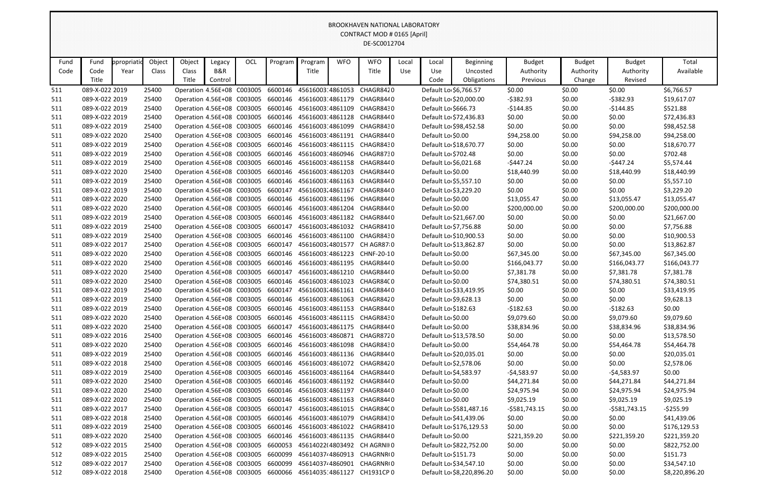|      |                |             |        |                                    |         |            |                                                     |                  |            | <b>BROOKHAVEN NATIONAL LABORATORY</b>                          |       |                       |                           |               |               |                |                |
|------|----------------|-------------|--------|------------------------------------|---------|------------|-----------------------------------------------------|------------------|------------|----------------------------------------------------------------|-------|-----------------------|---------------------------|---------------|---------------|----------------|----------------|
|      |                |             |        |                                    |         |            |                                                     |                  |            | CONTRACT MOD # 0165 [April]                                    |       |                       |                           |               |               |                |                |
|      |                |             |        |                                    |         |            |                                                     |                  |            | DE-SC0012704                                                   |       |                       |                           |               |               |                |                |
|      |                |             |        |                                    |         |            |                                                     |                  |            |                                                                |       |                       |                           |               |               |                |                |
| Fund | Fund           | ppropriatio | Object | Object                             | Legacy  | <b>OCL</b> | Program                                             | Program          | <b>WFO</b> | <b>WFO</b>                                                     | Local | Local                 | <b>Beginning</b>          | <b>Budget</b> | <b>Budget</b> | <b>Budget</b>  | Total          |
| Code | Code           | Year        | Class  | Class                              | B&R     |            |                                                     | Title            |            | Title                                                          | Use   | Use                   | Uncosted                  | Authority     | Authority     | Authority      | Available      |
|      | Title          |             |        | Title                              | Control |            |                                                     |                  |            |                                                                |       | Code                  | Obligations               | Previous      | Change        | Revised        |                |
| 511  | 089-X-022 2019 |             | 25400  | Operation 4.56E+08 C003005         |         |            | 6600146                                             | 45616003 4861053 |            | CHAGR8420                                                      |       | Default Lo \$6,766.57 |                           | \$0.00        | \$0.00        | \$0.00         | \$6,766.57     |
| 511  | 089-X-022 2019 |             | 25400  |                                    |         |            | Operation 4.56E+08 C003005 6600146 45616003 4861179 |                  |            | CHAGR8440                                                      |       |                       | Default Lo \$20,000.00    | $-5382.93$    | \$0.00        | $-5382.93$     | \$19,617.07    |
| 511  | 089-X-022 2019 |             | 25400  | Operation 4.56E+08 C003005         |         |            | 6600146 45616003:4861109                            |                  |            | CHAGR8430                                                      |       | Default Lo \$666.73   |                           | $-$144.85$    | \$0.00        | $-$144.85$     | \$521.88       |
| 511  | 089-X-022 2019 |             | 25400  |                                    |         |            | Operation 4.56E+08 C003005 6600146 45616003 4861128 |                  |            | CHAGR8440                                                      |       |                       | Default Lo \$72,436.83    | \$0.00        | \$0.00        | \$0.00         | \$72,436.83    |
| 511  | 089-X-022 2019 |             | 25400  |                                    |         |            | Operation 4.56E+08 C003005 6600146 45616003 4861099 |                  |            | CHAGR8430                                                      |       |                       | Default Lo \$98,452.58    | \$0.00        | \$0.00        | \$0.00         | \$98,452.58    |
| 511  | 089-X-022 2020 |             | 25400  | Operation 4.56E+08 C003005         |         |            | 6600146 45616003 4861191                            |                  |            | CHAGR8440                                                      |       | Default Lo \$0.00     |                           | \$94,258.00   | \$0.00        | \$94,258.00    | \$94,258.00    |
| 511  | 089-X-022 2019 |             | 25400  | Operation 4.56E+08 C003005         |         |            | 6600146                                             | 45616003 4861115 |            | CHAGR8430                                                      |       |                       | Default Lo \$18,670.77    | \$0.00        | \$0.00        | \$0.00         | \$18,670.77    |
| 511  | 089-X-022 2019 |             | 25400  | Operation 4.56E+08 C003005         |         |            | 6600146                                             | 45616003 4860946 |            | CHAGR8730                                                      |       | Default Lo \$702.48   |                           | \$0.00        | \$0.00        | \$0.00         | \$702.48       |
| 511  | 089-X-022 2019 |             | 25400  | Operation 4.56E+08 C003005         |         |            | 6600146 45616003:4861158                            |                  |            | CHAGR8440                                                      |       | Default Lo \$6,021.68 |                           | $-$447.24$    | \$0.00        | $-5447.24$     | \$5,574.44     |
| 511  | 089-X-022 2020 |             | 25400  |                                    |         |            | Operation 4.56E+08 C003005 6600146 45616003 4861203 |                  |            | CHAGR8440                                                      |       | Default Lo \$0.00     |                           | \$18,440.99   | \$0.00        | \$18,440.99    | \$18,440.99    |
| 511  | 089-X-022 2019 |             | 25400  |                                    |         |            | Operation 4.56E+08 C003005 6600146 45616003 4861163 |                  |            | CHAGR8440                                                      |       | Default Lo \$5,557.10 |                           | \$0.00        | \$0.00        | \$0.00         | \$5,557.10     |
| 511  | 089-X-022 2019 |             | 25400  | Operation 4.56E+08 C003005         |         |            | 6600147                                             | 45616003.4861167 |            | CHAGR8440                                                      |       | Default Lo \$3,229.20 |                           | \$0.00        | \$0.00        | \$0.00         | \$3,229.20     |
| 511  | 089-X-022 2020 |             | 25400  | Operation 4.56E+08 C003005         |         |            | 6600146                                             | 45616003:4861196 |            | CHAGR8440                                                      |       | Default Lo \$0.00     |                           | \$13,055.47   | \$0.00        | \$13,055.47    | \$13,055.47    |
| 511  | 089-X-022 2020 |             | 25400  | Operation 4.56E+08 C003005         |         |            | 6600146                                             | 45616003 4861204 |            | CHAGR8440                                                      |       | Default Lo \$0.00     |                           | \$200,000.00  | \$0.00        | \$200,000.00   | \$200,000.00   |
| 511  | 089-X-022 2019 |             | 25400  | Operation 4.56E+08 C003005         |         |            | 6600146                                             | 45616003 4861182 |            | CHAGR8440                                                      |       |                       | Default Lo \$21,667.00    | \$0.00        | \$0.00        | \$0.00         | \$21,667.00    |
| 511  | 089-X-022 2019 |             | 25400  | Operation 4.56E+08 C003005 6600147 |         |            |                                                     |                  |            | 45616003.4861032 CHAGR8410                                     |       | Default Lo \$7,756.88 |                           | \$0.00        | \$0.00        | \$0.00         | \$7,756.88     |
| 511  | 089-X-022 2019 |             | 25400  | Operation 4.56E+08 C003005         |         |            | 6600146 45616003 4861100                            |                  |            | CHAGR8430                                                      |       |                       | Default Lo \$10,900.53    | \$0.00        | \$0.00        | \$0.00         | \$10,900.53    |
| 511  | 089-X-022 2017 |             | 25400  | Operation 4.56E+08 C003005         |         |            | 6600147                                             | 45616003.4801577 |            | CH AGR87:0                                                     |       |                       | Default Lo \$13,862.87    | \$0.00        | \$0.00        | \$0.00         | \$13,862.87    |
| 511  | 089-X-022 2020 |             | 25400  | Operation 4.56E+08 C003005         |         |            | 6600146                                             | 45616003:4861223 |            | CHNF-20-10                                                     |       | Default Lo \$0.00     |                           | \$67,345.00   | \$0.00        | \$67,345.00    | \$67,345.00    |
| 511  | 089-X-022 2020 |             | 25400  | Operation 4.56E+08 C003005         |         |            | 6600146                                             | 45616003 4861195 |            | CHAGR8440                                                      |       | Default Lo \$0.00     |                           | \$166,043.77  | \$0.00        | \$166,043.77   | \$166,043.77   |
| 511  | 089-X-022 2020 |             | 25400  | Operation 4.56E+08 C003005         |         |            | 6600147                                             | 45616003.4861210 |            | CHAGR8440                                                      |       | Default Lo \$0.00     |                           | \$7,381.78    | \$0.00        | \$7,381.78     | \$7,381.78     |
| 511  | 089-X-022 2020 |             | 25400  | Operation 4.56E+08 C003005         |         |            | 6600146                                             | 45616003 4861023 |            | CHAGR84C0                                                      |       | Default Lo \$0.00     |                           | \$74,380.51   | \$0.00        | \$74,380.51    | \$74,380.51    |
| 511  | 089-X-022 2019 |             | 25400  | Operation 4.56E+08 C003005         |         |            | 6600147                                             | 45616003.4861161 |            | CHAGR8440                                                      |       |                       | Default Lo \$33,419.95    | \$0.00        | \$0.00        | \$0.00         | \$33,419.95    |
| 511  | 089-X-022 2019 |             | 25400  |                                    |         |            | Operation 4.56E+08 C003005 6600146 45616003 4861063 |                  |            | CHAGR8420                                                      |       | Default Lo \$9,628.13 |                           | \$0.00        | \$0.00        | \$0.00         | \$9,628.13     |
| 511  | 089-X-022 2019 |             | 25400  |                                    |         |            | Operation 4.56E+08 C003005 6600146 45616003 4861153 |                  |            | CHAGR8440                                                      |       | Default Lo \$182.63   |                           | $-5182.63$    | \$0.00        | $-5182.63$     | \$0.00         |
| 511  | 089-X-022 2020 |             | 25400  |                                    |         |            |                                                     |                  |            | Operation 4.56E+08 C003005 6600146 45616003 4861115 CHAGR8430  |       | Default Lo \$0.00     |                           | \$9,079.60    | \$0.00        | \$9,079.60     | \$9,079.60     |
| 511  | 089-X-022 2020 |             | 25400  |                                    |         |            | Operation 4.56E+08 C003005 6600147                  |                  |            | 45616003.4861175 CHAGR8440                                     |       | Default Lo \$0.00     |                           | \$38,834.96   | \$0.00        | \$38,834.96    | \$38,834.96    |
| 511  | 089-X-022 2016 |             | 25400  |                                    |         |            | Operation 4.56E+08 C003005 6600146 45616003 4860871 |                  |            | CHAGR8720                                                      |       |                       | Default Lo \$13,578.50    | \$0.00        | \$0.00        | \$0.00         | \$13,578.50    |
| 511  | 089-X-022 2020 |             | 25400  |                                    |         |            | Operation 4.56E+08 C003005 6600146 45616003 4861098 |                  |            | CHAGR8430                                                      |       | Default Lo \$0.00     |                           | \$54,464.78   | \$0.00        | \$54,464.78    | \$54,464.78    |
| 511  | 089-X-022 2019 |             | 25400  |                                    |         |            |                                                     |                  |            | Operation 4.56E+08 C003005 6600146 45616003 4861136 CHAGR8440  |       |                       | Default Lo \$20,035.01    | \$0.00        | \$0.00        | \$0.00         | \$20,035.01    |
| 511  | 089-X-022 2018 |             | 25400  |                                    |         |            | Operation 4.56E+08 C003005 6600146 45616003 4861072 |                  |            | CHAGR8420                                                      |       | Default Lo \$2,578.06 |                           | \$0.00        | \$0.00        | \$0.00         | \$2,578.06     |
| 511  | 089-X-022 2019 |             | 25400  |                                    |         |            | Operation 4.56E+08 C003005 6600146 45616003 4861164 |                  |            | CHAGR8440                                                      |       | Default Lo \$4,583.97 |                           | -\$4,583.97   | \$0.00        | -\$4,583.97    | \$0.00         |
| 511  | 089-X-022 2020 |             | 25400  |                                    |         |            | Operation 4.56E+08 C003005 6600146 45616003 4861192 |                  |            | CHAGR8440                                                      |       | Default Lo \$0.00     |                           | \$44,271.84   | \$0.00        | \$44,271.84    | \$44,271.84    |
| 511  | 089-X-022 2020 |             | 25400  |                                    |         |            | Operation 4.56E+08 C003005 6600146 45616003:4861197 |                  |            | CHAGR8440                                                      |       | Default Lo \$0.00     |                           | \$24,975.94   | \$0.00        | \$24,975.94    | \$24,975.94    |
| 511  | 089-X-022 2020 |             | 25400  |                                    |         |            |                                                     |                  |            | Operation 4.56E+08 C003005 6600146 45616003 4861163 CHAGR8440  |       | Default Lo \$0.00     |                           | \$9,025.19    | \$0.00        | \$9,025.19     | \$9,025.19     |
| 511  | 089-X-022 2017 |             | 25400  |                                    |         |            |                                                     |                  |            | Operation 4.56E+08 C003005 6600147 45616003.4861015 CHAGR84C0  |       |                       | Default Lo \$581,487.16   | -\$581,743.15 | \$0.00        | $-5581,743.15$ | -\$255.99      |
| 511  | 089-X-022 2018 |             | 25400  |                                    |         |            | Operation 4.56E+08 C003005 6600146 45616003 4861079 |                  |            | CHAGR8430                                                      |       |                       | Default Lo \$41,439.06    | \$0.00        | \$0.00        | \$0.00         | \$41,439.06    |
| 511  | 089-X-022 2019 |             | 25400  |                                    |         |            | Operation 4.56E+08 C003005 6600146 45616003 4861022 |                  |            | CHAGR8410                                                      |       |                       | Default Lo \$176,129.53   | \$0.00        | \$0.00        | \$0.00         | \$176,129.53   |
| 511  | 089-X-022 2020 |             | 25400  |                                    |         |            | Operation 4.56E+08 C003005 6600146 45616003 4861135 |                  |            | CHAGR8440                                                      |       | Default Lo \$0.00     |                           | \$221,359.20  | \$0.00        | \$221,359.20   | \$221,359.20   |
| 512  | 089-X-022 2015 |             | 25400  | Operation 4.56E+08 C003005 6600053 |         |            |                                                     | 45614022(4803492 |            | CH AGRNII 0                                                    |       |                       | Default Lo \$822,752.00   | \$0.00        | \$0.00        | \$0.00         | \$822,752.00   |
| 512  | 089-X-022 2015 |             | 25400  | Operation 4.56E+08 C003005 6600099 |         |            |                                                     | 4561403744860913 |            | CHAGRNR(0                                                      |       | Default Lo \$151.73   |                           | \$0.00        | \$0.00        | \$0.00         | \$151.73       |
| 512  | 089-X-022 2017 |             | 25400  |                                    |         |            | Operation 4.56E+08 C003005 6600099 45614037 4860901 |                  |            | CHAGRNR(0                                                      |       |                       | Default Lo \$34,547.10    | \$0.00        | \$0.00        | \$0.00         | \$34,547.10    |
| 512  | 089-X-022 2018 |             | 25400  |                                    |         |            |                                                     |                  |            | Operation 4.56E+08 C003005 6600066 45614035 4861127 CH1931CP 0 |       |                       | Default Lo \$8,220,896.20 | \$0.00        | \$0.00        | \$0.00         | \$8,220,896.20 |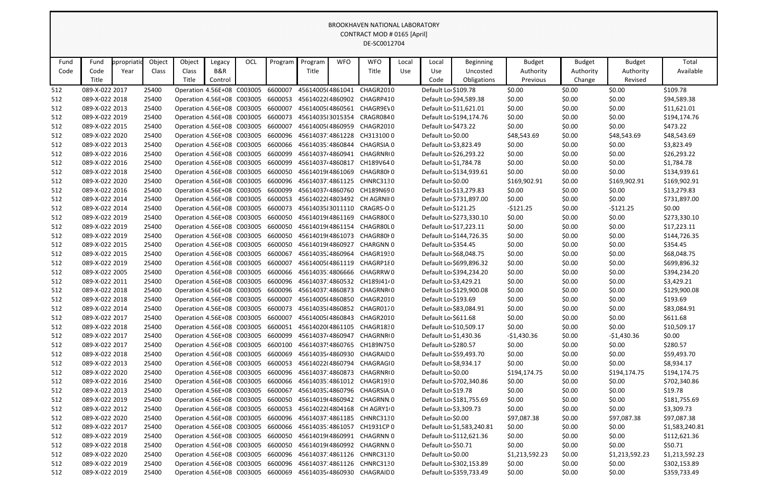|      |                |            |        |                                    |         |     |                                                      |                  |            | <b>BROOKHAVEN NATIONAL LABORATORY</b>                         |       |                     |                           |                |               |                |                |
|------|----------------|------------|--------|------------------------------------|---------|-----|------------------------------------------------------|------------------|------------|---------------------------------------------------------------|-------|---------------------|---------------------------|----------------|---------------|----------------|----------------|
|      |                |            |        |                                    |         |     |                                                      |                  |            | CONTRACT MOD # 0165 [April]                                   |       |                     |                           |                |               |                |                |
|      |                |            |        |                                    |         |     |                                                      |                  |            | DE-SC0012704                                                  |       |                     |                           |                |               |                |                |
|      |                |            |        |                                    |         |     |                                                      |                  |            |                                                               |       |                     |                           |                |               |                |                |
| Fund | Fund           | ppropriati | Object | Object                             | Legacy  | OCL | Program                                              | Program          | <b>WFO</b> | <b>WFO</b>                                                    | Local | Local               | <b>Beginning</b>          | <b>Budget</b>  | <b>Budget</b> | <b>Budget</b>  | Total          |
| Code | Code           | Year       | Class  | Class                              | B&R     |     |                                                      | Title            |            | Title                                                         | Use   | Use                 | Uncosted                  | Authority      | Authority     | Authority      | Available      |
|      | Title          |            |        | Title                              | Control |     |                                                      |                  |            |                                                               |       | Code                | Obligations               | Previous       | Change        | Revised        |                |
| 512  | 089-X-022 2017 |            | 25400  | Operation 4.56E+08 C003005         |         |     | 6600007                                              | 45614005(4861041 |            | CHAGR2010                                                     |       | Default Lo \$109.78 |                           | \$0.00         | \$0.00        | \$0.00         | \$109.78       |
| 512  | 089-X-022 2018 |            | 25400  | Operation 4.56E+08 C003005         |         |     | 6600053                                              | 45614022(4860902 |            | CHAGRP410                                                     |       |                     | Default Lo \$94,589.38    | \$0.00         | \$0.00        | \$0.00         | \$94,589.38    |
| 512  | 089-X-022 2013 |            | 25400  | Operation 4.56E+08 C003005         |         |     | 6600007                                              | 45614005(4860561 |            | CHAGR9EV0                                                     |       |                     | Default Lo \$11,621.01    | \$0.00         | \$0.00        | \$0.00         | \$11,621.01    |
| 512  | 089-X-022 2019 |            | 25400  | Operation 4.56E+08 C003005         |         |     | 6600073                                              | 45614035 3015354 |            | CRAGR0840                                                     |       |                     | Default Lo \$194,174.76   | \$0.00         | \$0.00        | \$0.00         | \$194,174.76   |
| 512  | 089-X-022 2015 |            | 25400  | Operation 4.56E+08 C003005         |         |     | 6600007                                              | 45614005(4860959 |            | CHAGR2010                                                     |       | Default Lo \$473.22 |                           | \$0.00         | \$0.00        | \$0.00         | \$473.22       |
| 512  | 089-X-022 2020 |            | 25400  | Operation 4.56E+08 C003005         |         |     | 6600096                                              | 45614037 4861228 |            | CH3131000                                                     |       | Default Lo \$0.00   |                           | \$48,543.69    | \$0.00        | \$48,543.69    | \$48,543.69    |
| 512  | 089-X-022 2013 |            | 25400  | Operation 4.56E+08 C003005         |         |     | 6600066                                              | 45614035 4860844 |            | CHAGRSIA 0                                                    |       |                     | Default Lo \$3,823.49     | \$0.00         | \$0.00        | \$0.00         | \$3,823.49     |
| 512  | 089-X-022 2016 |            | 25400  | Operation 4.56E+08 C003005         |         |     | 6600099                                              | 4561403744860941 |            | CHAGRNR(0                                                     |       |                     | Default Lo \$26,293.22    | \$0.00         | \$0.00        | \$0.00         | \$26,293.22    |
| 512  | 089-X-022 2016 |            | 25400  | Operation 4.56E+08 C003005         |         |     | 6600099                                              | 456140374860817  |            | CH189V640                                                     |       |                     | Default Lo \$1,784.78     | \$0.00         | \$0.00        | \$0.00         | \$1,784.78     |
| 512  | 089-X-022 2018 |            | 25400  | Operation 4.56E+08 C003005         |         |     | 6600050                                              | 45614019(4861069 |            | CHAGR80F0                                                     |       |                     | Default Lo \$134,939.61   | \$0.00         | \$0.00        | \$0.00         | \$134,939.61   |
| 512  | 089-X-022 2020 |            | 25400  | Operation 4.56E+08 C003005         |         |     | 6600096                                              | 45614037 4861125 |            | CHNRC3130                                                     |       | Default Lo \$0.00   |                           | \$169,902.91   | \$0.00        | \$169,902.91   | \$169,902.91   |
| 512  | 089-X-022 2016 |            | 25400  | Operation 4.56E+08 C003005         |         |     | 6600099                                              | 45614037 4860760 |            | CH189N690                                                     |       |                     | Default Lo \$13,279.83    | \$0.00         | \$0.00        | \$0.00         | \$13,279.83    |
| 512  | 089-X-022 2014 |            | 25400  | Operation 4.56E+08 C003005         |         |     | 6600053                                              | 45614022(4803492 |            | CH AGRNII 0                                                   |       |                     | Default Lo \$731,897.00   | \$0.00         | \$0.00        | \$0.00         | \$731,897.00   |
| 512  | 089-X-022 2014 |            | 25400  | Operation 4.56E+08 C003005         |         |     | 6600073                                              |                  |            | 45614035 3011110 CRAGRS-O 0                                   |       | Default Lo \$121.25 |                           | $-5121.25$     | \$0.00        | $-5121.25$     | \$0.00         |
| 512  | 089-X-022 2019 |            | 25400  | Operation 4.56E+08 C003005         |         |     | 6600050                                              | 45614019(4861169 |            | CHAGR80C0                                                     |       |                     | Default Lo \$273,330.10   | \$0.00         | \$0.00        | \$0.00         | \$273,330.10   |
| 512  | 089-X-022 2019 |            | 25400  | Operation 4.56E+08 C003005         |         |     | 6600050                                              | 45614019(4861154 |            | CHAGR80L0                                                     |       |                     | Default Lo \$17,223.11    | \$0.00         | \$0.00        | \$0.00         | \$17,223.11    |
| 512  | 089-X-022 2019 |            | 25400  | Operation 4.56E+08 C003005         |         |     | 6600050                                              | 45614019(4861073 |            | CHAGR80I 0                                                    |       |                     | Default Lo \$144,726.35   | \$0.00         | \$0.00        | \$0.00         | \$144,726.35   |
| 512  | 089-X-022 2015 |            | 25400  | Operation 4.56E+08 C003005         |         |     | 6600050                                              | 45614019(4860927 |            | <b>CHARGNN 0</b>                                              |       | Default Lo \$354.45 |                           | \$0.00         | \$0.00        | \$0.00         | \$354.45       |
| 512  | 089-X-022 2015 |            | 25400  | Operation 4.56E+08 C003005         |         |     | 6600067                                              | 45614035.4860964 |            | CHAGR1930                                                     |       |                     | Default Lo \$68,048.75    | \$0.00         | \$0.00        | \$0.00         | \$68,048.75    |
| 512  | 089-X-022 2019 |            | 25400  | Operation 4.56E+08 C003005 6600007 |         |     |                                                      | 45614005(4861119 |            | CHAGRP180                                                     |       |                     | Default Lo \$699,896.32   | \$0.00         | \$0.00        | \$0.00         | \$699,896.32   |
| 512  | 089-X-022 2005 |            | 25400  | Operation 4.56E+08 C003005         |         |     | 6600066                                              | 45614035 4806666 |            | CHAGRRW0                                                      |       |                     | Default Lo \$394,234.20   | \$0.00         | \$0.00        | \$0.00         | \$394,234.20   |
| 512  | 089-X-022 2011 |            | 25400  | Operation 4.56E+08 C003005         |         |     | 6600096                                              | 45614037 4860532 |            | CH189J4140                                                    |       |                     | Default Lo \$3,429.21     | \$0.00         | \$0.00        | \$0.00         | \$3,429.21     |
| 512  | 089-X-022 2018 |            | 25400  | Operation 4.56E+08 C003005         |         |     | 6600096                                              | 45614037 4860873 |            | CHAGRNR(0                                                     |       |                     | Default Lo \$129,900.08   | \$0.00         | \$0.00        | \$0.00         | \$129,900.08   |
| 512  | 089-X-022 2018 |            | 25400  | Operation 4.56E+08 C003005         |         |     | 6600007                                              | 45614005(4860850 |            | CHAGR2010                                                     |       | Default Lo \$193.69 |                           | \$0.00         | \$0.00        | \$0.00         | \$193.69       |
| 512  | 089-X-022 2014 |            | 25400  |                                    |         |     | Operation 4.56E+08 C003005 6600073 45614035 4860852  |                  |            | CHAGR0170                                                     |       |                     | Default Lo \$83,084.91    | \$0.00         | \$0.00        | \$0.00         | \$83,084.91    |
| 512  | 089-X-022 2017 |            | 25400  |                                    |         |     | Operation 4.56E+08 C003005 6600007 45614005(4860843  |                  |            | CHAGR2010                                                     |       | Default Lo \$611.68 |                           | \$0.00         | \$0.00        | \$0.00         | \$611.68       |
| 512  | 089-X-022 2018 |            | 25400  |                                    |         |     | Operation 4.56E+08 C003005 6600051 45614020(4861105  |                  |            | CHAGR1830                                                     |       |                     | Default Lo \$10,509.17    | \$0.00         | \$0.00        | \$0.00         | \$10,509.17    |
| 512  | 089-X-022 2017 |            | 25400  | Operation 4.56E+08 C003005 6600099 |         |     |                                                      | 45614037 4860947 |            | CHAGRNR(0                                                     |       |                     | Default Lo \$1,430.36     | -\$1,430.36    | \$0.00        | $-$1,430.36$   | \$0.00         |
| 512  | 089-X-022 2017 |            | 25400  |                                    |         |     | Operation 4.56E+08 C003005 6600100 45614037! 4860765 |                  |            | CH189N750                                                     |       | Default Lo \$280.57 |                           | \$0.00         | \$0.00        | \$0.00         | \$280.57       |
| 512  | 089-X-022 2018 |            | 25400  |                                    |         |     | Operation 4.56E+08 C003005 6600069 45614035 4860930  |                  |            | <b>CHAGRAID0</b>                                              |       |                     | Default Lo \$59,493.70    | \$0.00         | \$0.00        | \$0.00         | \$59,493.70    |
| 512  | 089-X-022 2013 |            | 25400  |                                    |         |     | Operation 4.56E+08 C003005 6600053 45614022(4860794  |                  |            | CHAGRAGI0                                                     |       |                     | Default Lo \$8,934.17     | \$0.00         | \$0.00        | \$0.00         | \$8,934.17     |
| 512  | 089-X-022 2020 |            | 25400  |                                    |         |     | Operation 4.56E+08 C003005 6600096 45614037 4860873  |                  |            | CHAGRNR(0                                                     |       | Default Lo \$0.00   |                           | \$194,174.75   | \$0.00        | \$194,174.75   | \$194,174.75   |
| 512  | 089-X-022 2016 |            | 25400  |                                    |         |     |                                                      |                  |            | Operation 4.56E+08 C003005 6600066 45614035 4861012 CHAGR1930 |       |                     | Default Lo \$702,340.86   | \$0.00         | \$0.00        | \$0.00         | \$702,340.86   |
| 512  | 089-X-022 2013 |            | 25400  | Operation 4.56E+08 C003005 6600067 |         |     |                                                      |                  |            | 45614035.4860796 CHAGRSIA.0                                   |       | Default Lo \$19.78  |                           | \$0.00         | \$0.00        | \$0.00         | \$19.78        |
| 512  | 089-X-022 2019 |            | 25400  |                                    |         |     |                                                      |                  |            | Operation 4.56E+08 C003005 6600050 45614019(4860942 CHAGRNN.0 |       |                     | Default Lo \$181,755.69   | \$0.00         | \$0.00        | \$0.00         | \$181,755.69   |
| 512  | 089-X-022 2012 |            | 25400  |                                    |         |     |                                                      |                  |            | Operation 4.56E+08 C003005 6600053 45614022(4804168 CH AGRY10 |       |                     | Default Lo \$3,309.73     | \$0.00         | \$0.00        | \$0.00         | \$3,309.73     |
| 512  | 089-X-022 2020 |            | 25400  |                                    |         |     | Operation 4.56E+08 C003005 6600096 45614037 4861185  |                  |            | CHNRC3130                                                     |       | Default Lo \$0.00   |                           | \$97,087.38    | \$0.00        | \$97,087.38    | \$97,087.38    |
| 512  | 089-X-022 2017 |            | 25400  |                                    |         |     | Operation 4.56E+08 C003005 6600066 45614035 4861057  |                  |            | CH1931CP 0                                                    |       |                     | Default Lo \$1,583,240.81 | \$0.00         | \$0.00        | \$0.00         | \$1,583,240.81 |
| 512  | 089-X-022 2019 |            | 25400  |                                    |         |     |                                                      |                  |            | Operation 4.56E+08 C003005 6600050 45614019(4860991 CHAGRNN 0 |       |                     | Default Lo \$112,621.36   | \$0.00         | \$0.00        | \$0.00         | \$112,621.36   |
| 512  | 089-X-022 2018 |            | 25400  |                                    |         |     | Operation 4.56E+08 C003005 6600050 45614019(4860992  |                  |            | CHAGRNN.0                                                     |       | Default Lo \$50.71  |                           | \$0.00         | \$0.00        | \$0.00         | \$50.71        |
| 512  | 089-X-022 2020 |            | 25400  |                                    |         |     |                                                      |                  |            | Operation 4.56E+08 C003005 6600096 45614037 4861126 CHNRC3130 |       | Default Lo \$0.00   |                           | \$1,213,592.23 | \$0.00        | \$1,213,592.23 | \$1,213,592.23 |
| 512  | 089-X-022 2019 |            | 25400  | Operation 4.56E+08 C003005         |         |     | 6600096 45614037 4861126                             |                  |            | CHNRC3130                                                     |       |                     | Default Lo \$302,153.89   | \$0.00         | \$0.00        | \$0.00         | \$302,153.89   |
| 512  | 089-X-022 2019 |            | 25400  |                                    |         |     |                                                      |                  |            | Operation 4.56E+08 C003005 6600069 45614035 4860930 CHAGRAID0 |       |                     | Default Lo \$359,733.49   | \$0.00         | \$0.00        | \$0.00         | \$359,733.49   |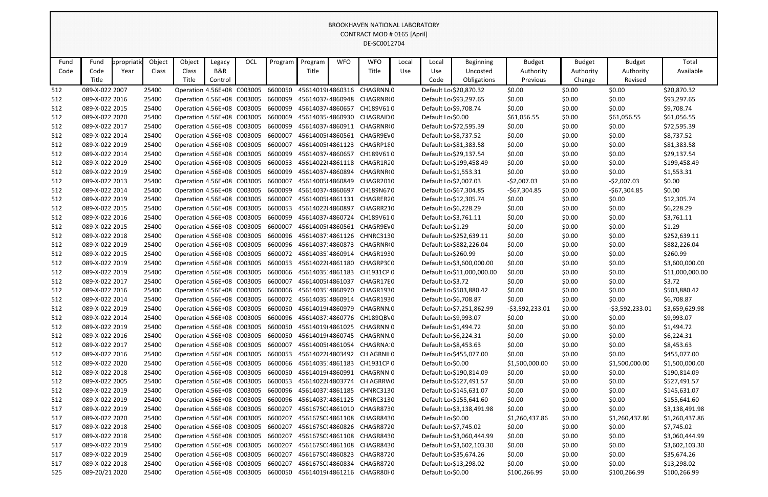|      | <b>BROOKHAVEN NATIONAL LABORATORY</b><br>CONTRACT MOD # 0165 [April]<br>DE-SC0012704 |             |        |                                    |         |            |                                                     |                  |            |                                                                 |       |                       |                            |                  |               |                  |                 |
|------|--------------------------------------------------------------------------------------|-------------|--------|------------------------------------|---------|------------|-----------------------------------------------------|------------------|------------|-----------------------------------------------------------------|-------|-----------------------|----------------------------|------------------|---------------|------------------|-----------------|
|      |                                                                                      |             |        |                                    |         |            |                                                     |                  |            |                                                                 |       |                       |                            |                  |               |                  |                 |
|      |                                                                                      |             |        |                                    |         |            |                                                     |                  |            |                                                                 |       |                       |                            |                  |               |                  |                 |
|      |                                                                                      |             |        |                                    |         |            |                                                     |                  |            |                                                                 |       |                       |                            |                  |               |                  |                 |
| Fund | Fund                                                                                 | ppropriatio | Object | Object                             | Legacy  | <b>OCL</b> | Program                                             | Program          | <b>WFO</b> | <b>WFO</b>                                                      | Local | Local                 | <b>Beginning</b>           | <b>Budget</b>    | <b>Budget</b> | <b>Budget</b>    | Total           |
| Code | Code                                                                                 | Year        | Class  | Class                              | B&R     |            |                                                     | Title            |            | Title                                                           | Use   | Use                   | Uncosted                   | Authority        | Authority     | Authority        | Available       |
|      | Title                                                                                |             |        | Title                              | Control |            |                                                     |                  |            |                                                                 |       | Code                  | Obligations                | Previous         | Change        | Revised          |                 |
| 512  | 089-X-022 2007                                                                       |             | 25400  | Operation 4.56E+08 C003005         |         |            | 6600050                                             | 45614019(4860316 |            | CHAGRNN.0                                                       |       |                       | Default Lo \$20,870.32     | \$0.00           | \$0.00        | \$0.00           | \$20,870.32     |
| 512  | 089-X-022 2016                                                                       |             | 25400  | Operation 4.56E+08 C003005         |         |            | 6600099                                             | 4561403744860948 |            | CHAGRNR(0                                                       |       |                       | Default Lo \$93,297.65     | \$0.00           | \$0.00        | \$0.00           | \$93,297.65     |
| 512  | 089-X-022 2015                                                                       |             | 25400  | Operation 4.56E+08 C003005         |         |            | 6600099                                             | 456140374860657  |            | CH189V610                                                       |       | Default Lo \$9,708.74 |                            | \$0.00           | \$0.00        | \$0.00           | \$9,708.74      |
| 512  | 089-X-022 2020                                                                       |             | 25400  | Operation 4.56E+08 C003005         |         |            | 6600069                                             | 45614035 4860930 |            | <b>CHAGRAID0</b>                                                |       | Default Lo \$0.00     |                            | \$61,056.55      | \$0.00        | \$61,056.55      | \$61,056.55     |
| 512  | 089-X-022 2017                                                                       |             | 25400  | Operation 4.56E+08 C003005         |         |            | 6600099                                             | 4561403744860911 |            | CHAGRNR(0                                                       |       |                       | Default Lo \$72,595.39     | \$0.00           | \$0.00        | \$0.00           | \$72,595.39     |
| 512  | 089-X-022 2014                                                                       |             | 25400  | Operation 4.56E+08 C003005         |         |            | 6600007                                             | 45614005(4860561 |            | CHAGR9EV0                                                       |       | Default Lo \$8,737.52 |                            | \$0.00           | \$0.00        | \$0.00           | \$8,737.52      |
| 512  | 089-X-022 2019                                                                       |             | 25400  | Operation 4.56E+08 C003005         |         |            | 6600007                                             | 45614005(4861123 |            | CHAGRP180                                                       |       |                       | Default Lo \$81,383.58     | \$0.00           | \$0.00        | \$0.00           | \$81,383.58     |
| 512  | 089-X-022 2014                                                                       |             | 25400  | Operation 4.56E+08 C003005         |         |            | 6600099                                             | 456140374860657  |            | CH189V610                                                       |       |                       | Default Lo \$29,137.54     | \$0.00           | \$0.00        | \$0.00           | \$29,137.54     |
| 512  | 089-X-022 2019                                                                       |             | 25400  | Operation 4.56E+08 C003005         |         |            | 6600053                                             | 45614022(4861118 |            | CHAGR1R20                                                       |       |                       | Default Lo \$199,458.49    | \$0.00           | \$0.00        | \$0.00           | \$199,458.49    |
| 512  | 089-X-022 2019                                                                       |             | 25400  | Operation 4.56E+08 C003005         |         |            | 6600099                                             | 45614037 4860894 |            | CHAGRNR(0                                                       |       | Default Lo \$1,553.31 |                            | \$0.00           | \$0.00        | \$0.00           | \$1,553.31      |
| 512  | 089-X-022 2013                                                                       |             | 25400  | Operation 4.56E+08 C003005         |         |            | 6600007                                             | 45614005(4860849 |            | CHAGR2010                                                       |       | Default Lo \$2,007.03 |                            | $-$2,007.03$     | \$0.00        | $-$2,007.03$     | \$0.00          |
| 512  | 089-X-022 2014                                                                       |             | 25400  | Operation 4.56E+08 C003005         |         |            | 6600099                                             | 456140374860697  |            | CH189N670                                                       |       |                       | Default Lo \$67,304.85     | $-567,304.85$    | \$0.00        | $-$67,304.85$    | \$0.00          |
| 512  | 089-X-022 2019                                                                       |             | 25400  | Operation 4.56E+08 C003005         |         |            | 6600007                                             | 45614005(4861131 |            | CHAGRER20                                                       |       |                       | Default Lo \$12,305.74     | \$0.00           | \$0.00        | \$0.00           | \$12,305.74     |
| 512  | 089-X-022 2015                                                                       |             | 25400  | Operation 4.56E+08 C003005         |         |            | 6600053                                             | 45614022(4860897 |            | CHAGRR210                                                       |       | Default Lo \$6,228.29 |                            | \$0.00           | \$0.00        | \$0.00           | \$6,228.29      |
| 512  | 089-X-022 2016                                                                       |             | 25400  | Operation 4.56E+08 C003005         |         |            | 6600099                                             | 45614037 4860724 |            | CH189V610                                                       |       | Default Lo \$3,761.11 |                            | \$0.00           | \$0.00        | \$0.00           | \$3,761.11      |
| 512  | 089-X-022 2015                                                                       |             | 25400  | Operation 4.56E+08 C003005         |         |            | 6600007                                             |                  |            | 45614005(4860561 CHAGR9EV0                                      |       | Default Lo \$1.29     |                            | \$0.00           | \$0.00        | \$0.00           | \$1.29          |
| 512  | 089-X-022 2018                                                                       |             | 25400  | Operation 4.56E+08 C003005         |         |            | 6600096                                             | 45614037 4861126 |            | CHNRC3130                                                       |       |                       | Default Lo \$252,639.11    | \$0.00           | \$0.00        | \$0.00           | \$252,639.11    |
| 512  | 089-X-022 2019                                                                       |             | 25400  | Operation 4.56E+08 C003005         |         |            | 6600096 45614037 4860873                            |                  |            | CHAGRNR(0                                                       |       |                       | Default Lo \$882,226.04    | \$0.00           | \$0.00        | \$0.00           | \$882,226.04    |
| 512  | 089-X-022 2015                                                                       |             | 25400  | Operation 4.56E+08 C003005         |         |            | 6600072                                             | 45614035 4860914 |            | CHAGR1930                                                       |       | Default Lo \$260.99   |                            | \$0.00           | \$0.00        | \$0.00           | \$260.99        |
| 512  | 089-X-022 2019                                                                       |             | 25400  | Operation 4.56E+08 C003005         |         |            | 6600053                                             | 45614022(4861180 |            | CHAGRP3C0                                                       |       |                       | Default Lo \$3,600,000.00  | \$0.00           | \$0.00        | \$0.00           | \$3,600,000.00  |
| 512  | 089-X-022 2019                                                                       |             | 25400  | Operation 4.56E+08 C003005         |         |            | 6600066                                             | 45614035 4861183 |            | CH1931CP 0                                                      |       |                       | Default Lo \$11,000,000.00 | \$0.00           | \$0.00        | \$0.00           | \$11,000,000.00 |
| 512  | 089-X-022 2017                                                                       |             | 25400  | Operation 4.56E+08 C003005         |         |            | 6600007                                             | 45614005(4861037 |            | CHAGR17E0                                                       |       | Default Lo \$3.72     |                            | \$0.00           | \$0.00        | \$0.00           | \$3.72          |
| 512  | 089-X-022 2016                                                                       |             | 25400  | Operation 4.56E+08 C003005         |         |            | 6600066                                             | 45614035 4860970 |            | CHAGR1930                                                       |       |                       | Default Lo \$503,880.42    | \$0.00           | \$0.00        | \$0.00           | \$503,880.42    |
| 512  | 089-X-022 2014                                                                       |             | 25400  | Operation 4.56E+08 C003005         |         |            |                                                     |                  |            | 6600072 45614035 4860914 CHAGR1930                              |       | Default Lo \$6,708.87 |                            | \$0.00           | \$0.00        | \$0.00           | \$6,708.87      |
| 512  | 089-X-022 2019                                                                       |             | 25400  | Operation 4.56E+08 C003005         |         |            | 6600050 45614019(4860979                            |                  |            | CHAGRNN.0                                                       |       |                       | Default Lo \$7,251,862.99  | $-53,592,233.01$ | \$0.00        | $-53,592,233.01$ | \$3,659,629.98  |
| 512  | 089-X-022 2014                                                                       |             | 25400  |                                    |         |            |                                                     |                  |            | Operation 4.56E+08 C003005 6600096 45614037 4860776 CH189QB\0   |       | Default Lo \$9,993.07 |                            | \$0.00           | \$0.00        | \$0.00           | \$9,993.07      |
| 512  | 089-X-022 2019                                                                       |             | 25400  |                                    |         |            |                                                     |                  |            | Operation 4.56E+08 C003005 6600050 45614019(4861025 CHAGRNN 0   |       | Default Lo \$1,494.72 |                            | \$0.00           | \$0.00        | \$0.00           | \$1,494.72      |
| 512  | 089-X-022 2016                                                                       |             | 25400  |                                    |         |            |                                                     |                  |            | Operation 4.56E+08 C003005 6600050 45614019(4860745 CHAGRNN.0   |       | Default Lo \$6,224.31 |                            | \$0.00           | \$0.00        | \$0.00           | \$6,224.31      |
| 512  | 089-X-022 2017                                                                       |             | 25400  |                                    |         |            | Operation 4.56E+08 C003005 6600007 45614005(4861054 |                  |            | CHAGRNA: 0                                                      |       | Default Lo \$8,453.63 |                            | \$0.00           | \$0.00        | \$0.00           | \$8,453.63      |
| 512  | 089-X-022 2016                                                                       |             | 25400  |                                    |         |            |                                                     |                  |            | Operation 4.56E+08 C003005 6600053 45614022(4803492 CH AGRNII 0 |       |                       | Default Lo \$455,077.00    | \$0.00           | \$0.00        | \$0.00           | \$455,077.00    |
| 512  | 089-X-022 2020                                                                       |             | 25400  | Operation 4.56E+08 C003005         |         |            | 6600066 45614035 4861183                            |                  |            | CH1931CP 0                                                      |       | Default Lo \$0.00     |                            | \$1,500,000.00   | \$0.00        | \$1,500,000.00   | \$1,500,000.00  |
| 512  | 089-X-022 2018                                                                       |             | 25400  | Operation 4.56E+08 C003005         |         |            |                                                     |                  |            | 6600050 45614019(4860991 CHAGRNN 0                              |       |                       | Default Lo \$190,814.09    | \$0.00           | \$0.00        | \$0.00           | \$190,814.09    |
| 512  | 089-X-022 2005                                                                       |             | 25400  | Operation 4.56E+08 C003005 6600053 |         |            |                                                     |                  |            | 45614022(4803774 CH AGRRWO                                      |       |                       | Default Lo \$527,491.57    | \$0.00           | \$0.00        | \$0.00           | \$527,491.57    |
| 512  | 089-X-022 2019                                                                       |             | 25400  | Operation 4.56E+08 C003005         |         |            | 6600096 45614037 4861185                            |                  |            | CHNRC3130                                                       |       |                       | Default Lo \$145,631.07    | \$0.00           | \$0.00        | \$0.00           | \$145,631.07    |
| 512  | 089-X-022 2019                                                                       |             | 25400  |                                    |         |            |                                                     |                  |            | Operation 4.56E+08 C003005 6600096 45614037 4861125 CHNRC3130   |       |                       | Default Lo \$155,641.60    | \$0.00           | \$0.00        | \$0.00           | \$155,641.60    |
| 517  | 089-X-022 2019                                                                       |             | 25400  |                                    |         |            |                                                     |                  |            | Operation 4.56E+08 C003005 6600207 456167SC(4861010 CHAGR8730   |       |                       | Default Lo \$3,138,491.98  | \$0.00           | \$0.00        | \$0.00           | \$3,138,491.98  |
| 517  | 089-X-022 2020                                                                       |             | 25400  | Operation 4.56E+08 C003005         |         |            | 6600207                                             |                  |            | 456167SC(4861108 CHAGR8430                                      |       | Default Lo \$0.00     |                            | \$1,260,437.86   | \$0.00        | \$1,260,437.86   | \$1,260,437.86  |
| 517  | 089-X-022 2018                                                                       |             | 25400  | Operation 4.56E+08 C003005 6600207 |         |            |                                                     |                  |            | 456167SC(4860826 CHAGR8720                                      |       | Default Lo \$7,745.02 |                            | \$0.00           | \$0.00        | \$0.00           | \$7,745.02      |
| 517  | 089-X-022 2018                                                                       |             | 25400  | Operation 4.56E+08 C003005         |         |            | 6600207                                             | 456167SC(4861108 |            | CHAGR8430                                                       |       |                       | Default Lo \$3,060,444.99  | \$0.00           | \$0.00        | \$0.00           | \$3,060,444.99  |
| 517  | 089-X-022 2019                                                                       |             | 25400  | Operation 4.56E+08 C003005         |         |            | 6600207                                             | 456167SC(4861108 |            | CHAGR8430                                                       |       |                       | Default Lo \$3,602,103.30  | \$0.00           | \$0.00        | \$0.00           | \$3,602,103.30  |
| 517  | 089-X-022 2019                                                                       |             | 25400  | Operation 4.56E+08 C003005 6600207 |         |            |                                                     | 456167SC(4860823 |            | CHAGR8720                                                       |       |                       | Default Lo \$35,674.26     | \$0.00           | \$0.00        | \$0.00           | \$35,674.26     |
| 517  | 089-X-022 2018                                                                       |             | 25400  | Operation 4.56E+08 C003005         |         |            | 6600207                                             | 456167SC(4860834 |            | CHAGR8720                                                       |       |                       | Default Lo \$13,298.02     | \$0.00           | \$0.00        | \$0.00           | \$13,298.02     |
| 525  | 089-20/21 2020                                                                       |             | 25400  |                                    |         |            |                                                     |                  |            | Operation 4.56E+08 C003005 6600050 45614019(4861216 CHAGR80F0   |       | Default Lo \$0.00     |                            | \$100,266.99     | \$0.00        | \$100,266.99     | \$100,266.99    |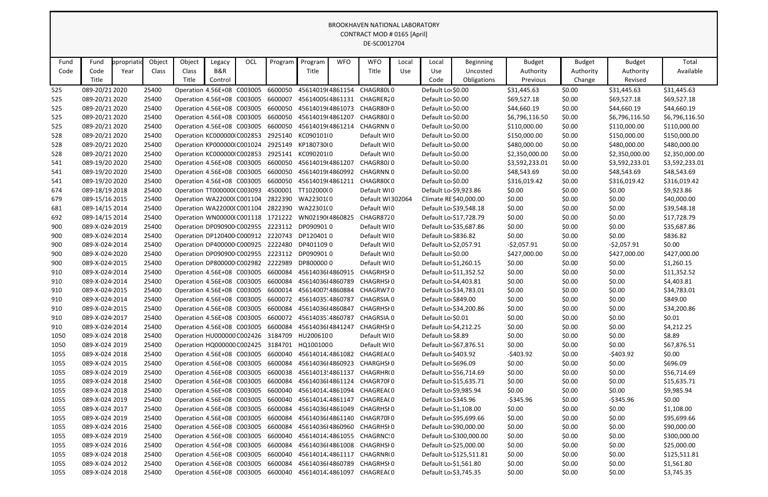|            |                                  |             |                |                                                          |         |     |                                                     |                          |            | BROOKHAVEIN INATIONAL LABORATORY<br>CONTRACT MOD # 0165 [April] |       |                     |                                                 |                  |                  |                  |                           |
|------------|----------------------------------|-------------|----------------|----------------------------------------------------------|---------|-----|-----------------------------------------------------|--------------------------|------------|-----------------------------------------------------------------|-------|---------------------|-------------------------------------------------|------------------|------------------|------------------|---------------------------|
|            |                                  |             |                |                                                          |         |     |                                                     |                          |            | DE-SC0012704                                                    |       |                     |                                                 |                  |                  |                  |                           |
| Fund       | Fund                             | ppropriatio | Object         | Object                                                   | Legacy  | OCL | Program                                             | Program                  | <b>WFO</b> | <b>WFO</b>                                                      | Local | Local               | <b>Beginning</b>                                | <b>Budget</b>    | <b>Budget</b>    | <b>Budget</b>    | Total                     |
| Code       | Code                             | Year        | Class          | Class                                                    | B&R     |     |                                                     | Title                    |            | Title                                                           | Use   | Use                 | Uncosted                                        | Authority        | Authority        | Authority        | Available                 |
|            | Title                            |             |                | Title                                                    | Control |     |                                                     |                          |            |                                                                 |       | Code                | Obligations                                     | Previous         | Change           | Revised          |                           |
| 525        | 089-20/21 2020                   |             | 25400          | Operation 4.56E+08 C003005                               |         |     | 6600050                                             | 45614019(4861154         |            | CHAGR80L0                                                       |       | Default Lo \$0.00   |                                                 | \$31,445.63      | \$0.00           | \$31,445.63      | \$31,445.63               |
| 525        | 089-20/21 2020                   |             | 25400          | Operation 4.56E+08 C003005                               |         |     | 6600007                                             | 45614005(4861131         |            | CHAGRER20                                                       |       | Default Lo \$0.00   |                                                 | \$69,527.18      | \$0.00           | \$69,527.18      | \$69,527.18               |
| 525        | 089-20/21 2020                   |             | 25400          | Operation 4.56E+08 C003005                               |         |     | 6600050                                             | 45614019(4861073         |            | CHAGR80F0                                                       |       | Default Lo \$0.00   |                                                 | \$44,660.19      | \$0.00           | \$44,660.19      | \$44,660.19               |
| 525        | 089-20/21 2020                   |             | 25400          | Operation 4.56E+08 C003005                               |         |     | 6600050                                             | 45614019(4861207         |            | CHAGR80J0                                                       |       | Default Lo \$0.00   |                                                 | \$6,796,116.50   | \$0.00           | \$6,796,116.50   | \$6,796,116.50            |
| 525        | 089-20/21 2020                   |             | 25400          | Operation 4.56E+08 C003005                               |         |     | 6600050                                             | 45614019(4861214         |            | <b>CHAGRNN 0</b>                                                |       | Default Lo \$0.00   |                                                 | \$110,000.00     | \$0.00           | \$110,000.00     | \$110,000.00              |
| 528        | 089-20/21 2020                   |             | 25400          | Operation KC000000 C002853                               |         |     | 2925140                                             | KC090101(0               |            | Default WI0                                                     |       | Default Lo \$0.00   |                                                 | \$150,000.00     | \$0.00           | \$150,000.00     | \$150,000.00              |
| 528        | 089-20/21 2020                   |             | 25400          | Operation KP000000 C001024                               |         |     | 2925149                                             | KP180730(0               |            | Default WI0                                                     |       | Default Lo \$0.00   |                                                 | \$480,000.00     | \$0.00           | \$480,000.00     | \$480,000.00              |
| 528        | 089-20/21 2020                   |             | 25400          | Operation KC000000 C002853                               |         |     | 2925141                                             | KC0902010                |            | Default WI0                                                     |       | Default Lo \$0.00   |                                                 | \$2,350,000.00   | \$0.00           | \$2,350,000.00   | \$2,350,000.00            |
| 541        | 089-19/20 2020                   |             | 25400          | Operation 4.56E+08 C003005                               |         |     | 6600050                                             | 45614019(4861207         |            | CHAGR80J0                                                       |       | Default Lo \$0.00   |                                                 | \$3,592,233.01   | \$0.00           | \$3,592,233.01   | \$3,592,233.01            |
| 541        | 089-19/20 2020                   |             | 25400          | Operation 4.56E+08 C003005                               |         |     | 6600050                                             | 45614019(4860992         |            | CHAGRNN.0                                                       |       | Default Lo \$0.00   |                                                 | \$48,543.69      | \$0.00           | \$48,543.69      | \$48,543.69               |
| 541        | 089-19/20 2020                   |             | 25400          | Operation 4.56E+08 C003005                               |         |     | 6600050                                             | 45614019(4861211         |            | CHAGR80C0                                                       |       | Default Lo \$0.00   |                                                 | \$316,019.42     | \$0.00           | \$316,019.42     | \$316,019.42              |
| 674        | 089-18/19 2018                   |             | 25400          | Operation TT000000(C003093                               |         |     | 4500001                                             | TT102000(0               |            | Default WI0                                                     |       |                     | Default Lo \$9,923.86                           | \$0.00           | \$0.00           | \$0.00           | \$9,923.86                |
| 679        | 089-15/16 2015                   |             | 25400          | Operation WA22000(C001104                                |         |     |                                                     | 2822390 WA22301(0        |            | Default WI302064                                                |       |                     | Climate RE \$40,000.00                          | \$0.00           | \$0.00           | \$0.00           | \$40,000.00               |
| 681        | 089-14/15 2014                   |             | 25400          | Operation WA22000(C001104                                |         |     |                                                     | 2822390 WA22301(0        |            | Default WI0                                                     |       |                     | Default Lo \$39,548.18                          | \$0.00           | \$0.00           | \$0.00           | \$39,548.18               |
| 692        | 089-14/15 2014                   |             | 25400          | Operation WN00000(C001118                                |         |     | 1721222                                             | WN02190(4860825          |            | CHAGR8720                                                       |       |                     | Default Lo \$17,728.79                          | \$0.00           | \$0.00           | \$0.00           | \$17,728.79               |
| 900        | 089-X-024 2019                   |             | 25400          | Operation DP090900 C002955                               |         |     | 2223112                                             | DP0909010                |            | Default WI0                                                     |       |                     | Default Lo \$35,687.86                          | \$0.00           | \$0.00           | \$0.00           | \$35,687.86               |
| 900        | 089-X-024 2014                   |             | 25400          | Operation DP120400 C000912                               |         |     | 2220743                                             | DP1204010                |            | Default WI0                                                     |       | Default Lo \$836.82 |                                                 | \$0.00           | \$0.00           | \$0.00           | \$836.82                  |
| 900        | 089-X-024 2014                   |             | 25400          | Operation DP400000 C000925                               |         |     | 2222480                                             | DP4011090                |            | Default WI0                                                     |       |                     | Default Lo \$2,057.91                           | $-52,057.91$     | \$0.00           | $-52,057.91$     | \$0.00                    |
| 900        | 089-X-024 2020                   |             | 25400          | Operation DP090900 C002955                               |         |     | 2223112<br>2222989                                  | DP0909010<br>DP8000000   |            | Default WI0<br>Default WI0                                      |       | Default Lo \$0.00   |                                                 | \$427,000.00     | \$0.00           | \$427,000.00     | \$427,000.00              |
| 900<br>910 | 089-X-024 2015<br>089-X-024 2014 |             | 25400<br>25400 | Operation DP800000 C002982<br>Operation 4.56E+08 C003005 |         |     | 6600084                                             | 4561403614860915         |            | <b>CHAGRHSIO</b>                                                |       |                     | Default Lo \$1,260.15<br>Default Lo \$11,352.52 | \$0.00<br>\$0.00 | \$0.00<br>\$0.00 | \$0.00<br>\$0.00 | \$1,260.15<br>\$11,352.52 |
| 910        | 089-X-024 2014                   |             | 25400          | Operation 4.56E+08 C003005                               |         |     | 6600084                                             | 4561403614860789         |            | <b>CHAGRHSIO</b>                                                |       |                     | Default Lo \$4,403.81                           | \$0.00           | \$0.00           | \$0.00           | \$4,403.81                |
| 910        | 089-X-024 2015                   |             | 25400          | Operation 4.56E+08 C003005                               |         |     | 6600014                                             | 45614007!4860884         |            | CHAGRW70                                                        |       |                     | Default Lo \$34,783.01                          | \$0.00           | \$0.00           | \$0.00           | \$34,783.01               |
| 910        | 089-X-024 2014                   |             | 25400          | Operation 4.56E+08 C003005                               |         |     | 6600072 45614035 4860787                            |                          |            | CHAGRSIA.0                                                      |       |                     | Default Lo \$849.00                             | \$0.00           | \$0.00           | \$0.00           | \$849.00                  |
| 910        | 089-X-024 2015                   |             | 25400          | Operation 4.56E+08 C003005                               |         |     | 6600084 45614036I4860847                            |                          |            | CHAGRHSI 0                                                      |       |                     | Default Lo \$34,200.86                          | \$0.00           | \$0.00           | \$0.00           | \$34,200.86               |
| 910        | 089-X-024 2017                   |             | 25400          |                                                          |         |     | Operation 4.56E+08 C003005 6600072 45614035 4860787 |                          |            | CHAGRSIA.0                                                      |       | Default Lo \$0.01   |                                                 | \$0.00           | \$0.00           | \$0.00           | \$0.01                    |
| 910        | 089-X-024 2014                   |             | 25400          |                                                          |         |     | Operation 4.56E+08 C003005 6600084 4561403614841247 |                          |            | CHAGRHSI0                                                       |       |                     | Default Lo \$4,212.25                           | \$0.00           | \$0.00           | \$0.00           | \$4,212.25                |
| 1050       | 089-X-024 2018                   |             | 25400          | Operation HU000000 C002426 3184709                       |         |     |                                                     | HU2006100                |            | Default WI0                                                     |       | Default Lo \$8.89   |                                                 | \$0.00           | \$0.00           | \$0.00           | \$8.89                    |
| 1050       | 089-X-024 2019                   |             | 25400          |                                                          |         |     | Operation HQ000000 C002425 3184701 HQ100100 0       |                          |            | Default WIO                                                     |       |                     | Default Lo \$67,876.51                          | \$0.00           | \$0.00           | \$0.00           | \$67,876.51               |
| 1055       | 089-X-024 2018                   |             | 25400          |                                                          |         |     | Operation 4.56E+08 C003005 6600040 45614014.4861082 |                          |            | CHAGREA(0                                                       |       |                     | Default Lo \$403.92                             | $-$ \$403.92     | \$0.00           | $-$ \$403.92     | \$0.00                    |
| 1055       | 089-X-024 2015                   |             | 25400          |                                                          |         |     | Operation 4.56E+08 C003005 6600084 4561403614860923 |                          |            | CHARGHSI 0                                                      |       | Default Lo \$696.09 |                                                 | \$0.00           | \$0.00           | \$0.00           | \$696.09                  |
| 1055       | 089-X-024 2019                   |             | 25400          | Operation 4.56E+08 C003005                               |         |     |                                                     | 6600038 45614013!4861137 |            | CHAGRHR(0                                                       |       |                     | Default Lo \$56,714.69                          | \$0.00           | \$0.00           | \$0.00           | \$56,714.69               |
| 1055       | 089-X-024 2018                   |             | 25400          |                                                          |         |     | Operation 4.56E+08 C003005 6600084 4561403614861124 |                          |            | CHAGR70F0                                                       |       |                     | Default Lo \$15,635.71                          | \$0.00           | \$0.00           | \$0.00           | \$15,635.71               |
| 1055       | 089-X-024 2018                   |             | 25400          | Operation 4.56E+08 C003005                               |         |     | 6600040 45614014.4861094                            |                          |            | CHAGREA(0                                                       |       |                     | Default Lo \$9,985.94                           | \$0.00           | \$0.00           | \$0.00           | \$9,985.94                |
| 1055       | 089-X-024 2019                   |             | 25400          | Operation 4.56E+08 C003005                               |         |     | 6600040 45614014.4861147                            |                          |            | CHAGREA(0                                                       |       |                     | Default Lo \$345.96                             | -\$345.96        | \$0.00           | $-$ \$345.96     | \$0.00                    |
| 1055       | 089-X-024 2017                   |             | 25400          |                                                          |         |     | Operation 4.56E+08 C003005 6600084 4561403614861049 |                          |            | CHAGRHSI 0                                                      |       |                     | Default Lo \$1,108.00                           | \$0.00           | \$0.00           | \$0.00           | \$1,108.00                |
| 1055       | 089-X-024 2019                   |             | 25400          |                                                          |         |     |                                                     |                          |            | Operation 4.56E+08 C003005 6600084 4561403614861140 CHAGR70F0   |       |                     | Default Lo \$95,699.66                          | \$0.00           | \$0.00           | \$0.00           | \$95,699.66               |
| 1055       | 089-X-024 2016                   |             | 25400          | Operation 4.56E+08 C003005                               |         |     | 6600084 45614036l4860960                            |                          |            | CHAGRHSI 0                                                      |       |                     | Default Lo \$90,000.00                          | \$0.00           | \$0.00           | \$0.00           | \$90,000.00               |
| 1055       | 089-X-024 2019                   |             | 25400          | Operation 4.56E+08 C003005                               |         |     |                                                     | 6600040 45614014.4861055 |            | CHAGRNC.0                                                       |       |                     | Default Lo \$300,000.00                         | \$0.00           | \$0.00           | \$0.00           | \$300,000.00              |
| 1055       | 089-X-024 2016                   |             | 25400          |                                                          |         |     | Operation 4.56E+08 C003005 6600084 4561403614861008 |                          |            | CHAGRHSI 0                                                      |       |                     | Default Lo \$25,000.00                          | \$0.00           | \$0.00           | \$0.00           | \$25,000.00               |
| 1055       | 089-X-024 2018                   |             | 25400          | Operation 4.56E+08 C003005                               |         |     |                                                     | 6600040 45614014.4861117 |            | CHAGRNR(0                                                       |       |                     | Default Lo \$125,511.81                         | \$0.00           | \$0.00           | \$0.00           | \$125,511.81              |
| 1055       | 089-X-024 2012                   |             | 25400          |                                                          |         |     | Operation 4.56E+08 C003005 6600084 4561403614860789 |                          |            | CHAGRHSI 0                                                      |       |                     | Default Lo \$1,561.80                           | \$0.00           | \$0.00           | \$0.00           | \$1,561.80                |
| 1055       | 089-X-024 2018                   |             | 25400          |                                                          |         |     | Operation 4.56E+08 C003005 6600040 45614014.4861097 |                          |            | CHAGREA(0                                                       |       |                     | Default Lo \$3,745.35                           | \$0.00           | \$0.00           | \$0.00           | \$3,745.35                |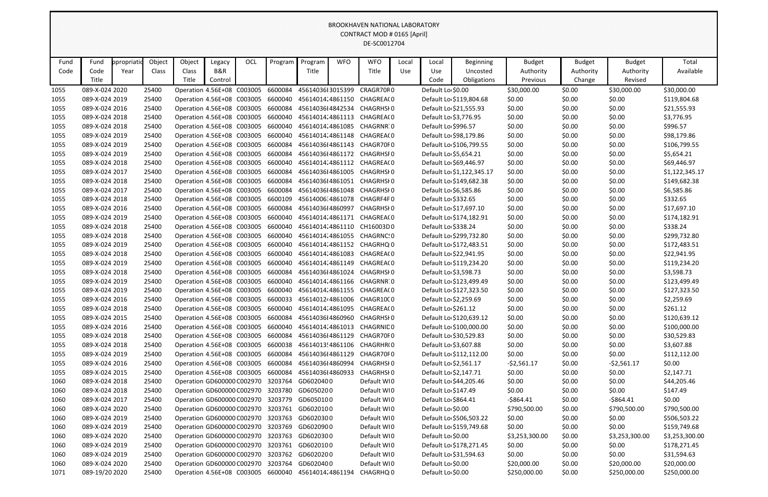|      |                |             |        |                                    |         |     |                                                     |                   |            | <b>BROOKHAVEN NATIONAL LABORATORY</b> |            |                       |                           |                |               |                |                |
|------|----------------|-------------|--------|------------------------------------|---------|-----|-----------------------------------------------------|-------------------|------------|---------------------------------------|------------|-----------------------|---------------------------|----------------|---------------|----------------|----------------|
|      |                |             |        |                                    |         |     |                                                     |                   |            | CONTRACT MOD # 0165 [April]           |            |                       |                           |                |               |                |                |
|      |                |             |        |                                    |         |     |                                                     |                   |            | DE-SC0012704                          |            |                       |                           |                |               |                |                |
|      |                |             |        |                                    |         |     |                                                     |                   |            |                                       |            |                       |                           |                |               |                |                |
| Fund | Fund           | ppropriatio | Object | Object                             | Legacy  | OCL | Program                                             | Program           | <b>WFO</b> | <b>WFO</b>                            | Local      | Local                 | <b>Beginning</b>          | <b>Budget</b>  | <b>Budget</b> | <b>Budget</b>  | Total          |
| Code | Code           | Year        | Class  | Class                              | B&R     |     |                                                     | Title             |            | Title                                 | <b>Use</b> | Use                   | Uncosted                  | Authority      | Authority     | Authority      | Available      |
|      | Title          |             |        | Title                              | Control |     |                                                     |                   |            |                                       |            | Code                  | Obligations               | Previous       | Change        | Revised        |                |
| 1055 | 089-X-024 2020 |             | 25400  | Operation 4.56E+08 C003005         |         |     | 6600084                                             | 4561403613015399  |            | CRAGR70R0                             |            | Default Lo \$0.00     |                           | \$30,000.00    | \$0.00        | \$30,000.00    | \$30,000.00    |
| 1055 | 089-X-024 2019 |             | 25400  | Operation 4.56E+08 C003005         |         |     | 6600040                                             | 45614014.4861150  |            | CHAGREA(0                             |            |                       | Default Lo \$119,804.68   | \$0.00         | \$0.00        | \$0.00         | \$119,804.68   |
| 1055 | 089-X-024 2016 |             | 25400  | Operation 4.56E+08 C003005         |         |     | 6600084                                             | 4561403614842534  |            | <b>CHAGRHSIO</b>                      |            |                       | Default Lo \$21,555.93    | \$0.00         | \$0.00        | \$0.00         | \$21,555.93    |
| 1055 | 089-X-024 2018 |             | 25400  | Operation 4.56E+08 C003005         |         |     | 6600040                                             | 45614014.4861113  |            | CHAGREA(0                             |            | Default Lo \$3,776.95 |                           | \$0.00         | \$0.00        | \$0.00         | \$3,776.95     |
| 1055 | 089-X-024 2018 |             | 25400  | Operation 4.56E+08 C003005         |         |     | 6600040                                             | 45614014.4861085  |            | CHAGRNR 0                             |            | Default Lo \$996.57   |                           | \$0.00         | \$0.00        | \$0.00         | \$996.57       |
| 1055 | 089-X-024 2019 |             | 25400  | Operation 4.56E+08 C003005         |         |     | 6600040                                             | 45614014.4861148  |            | CHAGREA(0                             |            |                       | Default Lo \$98,179.86    | \$0.00         | \$0.00        | \$0.00         | \$98,179.86    |
| 1055 | 089-X-024 2019 |             | 25400  | Operation 4.56E+08 C003005         |         |     | 6600084                                             | 4561403614861143  |            | CHAGR70F0                             |            |                       | Default Lo \$106,799.55   | \$0.00         | \$0.00        | \$0.00         | \$106,799.55   |
| 1055 | 089-X-024 2019 |             | 25400  | Operation 4.56E+08 C003005         |         |     | 6600084                                             | 4561403614861172  |            | <b>CHAGRHSFO</b>                      |            | Default Lo \$5,654.21 |                           | \$0.00         | \$0.00        | \$0.00         | \$5,654.21     |
| 1055 | 089-X-024 2018 |             | 25400  | Operation 4.56E+08 C003005         |         |     | 6600040                                             | 45614014.4861112  |            | CHAGREA(0                             |            |                       | Default Lo \$69,446.97    | \$0.00         | \$0.00        | \$0.00         | \$69,446.97    |
| 1055 | 089-X-024 2017 |             | 25400  | Operation 4.56E+08 C003005         |         |     | 6600084                                             | 4561403614861005  |            | CHAGRHSI 0                            |            |                       | Default Lo \$1,122,345.17 | \$0.00         | \$0.00        | \$0.00         | \$1,122,345.17 |
| 1055 | 089-X-024 2018 |             | 25400  | Operation 4.56E+08 C003005         |         |     | 6600084                                             | 4561403614861051  |            | CHAGRHSI 0                            |            |                       | Default Lo \$149,682.38   | \$0.00         | \$0.00        | \$0.00         | \$149,682.38   |
| 1055 | 089-X-024 2017 |             | 25400  | Operation 4.56E+08 C003005         |         |     | 6600084                                             | 4561403614861048  |            | CHAGRHSI 0                            |            | Default Lo \$6,585.86 |                           | \$0.00         | \$0.00        | \$0.00         | \$6,585.86     |
| 1055 | 089-X-024 2018 |             | 25400  | Operation 4.56E+08 C003005         |         |     | 6600109                                             | 45614006.4861078  |            | CHAGRF4F0                             |            | Default Lo \$332.65   |                           | \$0.00         | \$0.00        | \$0.00         | \$332.65       |
| 1055 | 089-X-024 2016 |             | 25400  | Operation 4.56E+08 C003005         |         |     | 6600084                                             | 4561403614860997  |            | <b>CHAGRHSIO</b>                      |            |                       | Default Lo \$17,697.10    | \$0.00         | \$0.00        | \$0.00         | \$17,697.10    |
| 1055 | 089-X-024 2019 |             | 25400  | Operation 4.56E+08 C003005         |         |     | 6600040                                             | 45614014.4861171  |            | CHAGREA(0                             |            |                       | Default Lo \$174,182.91   | \$0.00         | \$0.00        | \$0.00         | \$174,182.91   |
| 1055 | 089-X-024 2018 |             | 25400  | Operation 4.56E+08 C003005         |         |     | 6600040                                             | 45614014.4861110  |            | CH16003D0                             |            | Default Lo \$338.24   |                           | \$0.00         | \$0.00        | \$0.00         | \$338.24       |
| 1055 | 089-X-024 2018 |             | 25400  | Operation 4.56E+08 C003005         |         |     | 6600040                                             | 45614014.4861055  |            | CHAGRNC.O                             |            |                       | Default Lo \$299,732.80   | \$0.00         | \$0.00        | \$0.00         | \$299,732.80   |
| 1055 | 089-X-024 2019 |             | 25400  | Operation 4.56E+08 C003005         |         |     | 6600040                                             | 45614014.4861152  |            | CHAGRHQ <sub>1</sub> 0                |            |                       | Default Lo \$172,483.51   | \$0.00         | \$0.00        | \$0.00         | \$172,483.51   |
| 1055 | 089-X-024 2018 |             | 25400  | Operation 4.56E+08 C003005         |         |     | 6600040                                             | 45614014.4861083  |            | CHAGREA(0                             |            |                       | Default Lo \$22,941.95    | \$0.00         | \$0.00        | \$0.00         | \$22,941.95    |
| 1055 | 089-X-024 2019 |             | 25400  | Operation 4.56E+08 C003005         |         |     | 6600040                                             | 45614014.4861149  |            | CHAGREA(0                             |            |                       | Default Lo \$119,234.20   | \$0.00         | \$0.00        | \$0.00         | \$119,234.20   |
| 1055 | 089-X-024 2018 |             | 25400  | Operation 4.56E+08 C003005         |         |     | 6600084                                             | 4561403614861024  |            | <b>CHAGRHSIO</b>                      |            | Default Lo \$3,598.73 |                           | \$0.00         | \$0.00        | \$0.00         | \$3,598.73     |
| 1055 | 089-X-024 2019 |             | 25400  | Operation 4.56E+08 C003005         |         |     | 6600040                                             | 45614014.4861166  |            | CHAGRNR 0                             |            |                       | Default Lo \$123,499.49   | \$0.00         | \$0.00        | \$0.00         | \$123,499.49   |
| 1055 | 089-X-024 2019 |             | 25400  | Operation 4.56E+08 C003005         |         |     | 6600040                                             |                   |            | 45614014.4861155 CHAGREA(0            |            |                       | Default Lo \$127,323.50   | \$0.00         | \$0.00        | \$0.00         | \$127,323.50   |
| 1055 | 089-X-024 2016 |             | 25400  | Operation 4.56E+08 C003005         |         |     | 6600033                                             | 45614012، 4861006 |            | CHAGR10C0                             |            | Default Lo \$2,259.69 |                           | \$0.00         | \$0.00        | \$0.00         | \$2,259.69     |
| 1055 | 089-X-024 2018 |             | 25400  |                                    |         |     | Operation 4.56E+08 C003005 6600040 45614014.4861095 |                   |            | CHAGREA(0                             |            | Default Lo \$261.12   |                           | \$0.00         | \$0.00        | \$0.00         | \$261.12       |
| 1055 | 089-X-024 2015 |             | 25400  |                                    |         |     | Operation 4.56E+08 C003005 6600084 45614036I4860960 |                   |            | CHAGRHSI 0                            |            |                       | Default Lo \$120,639.12   | \$0.00         | \$0.00        | \$0.00         | \$120,639.12   |
| 1055 | 089-X-024 2016 |             | 25400  | Operation 4.56E+08 C003005         |         |     | 6600040 45614014.4861013                            |                   |            | <b>CHAGRNIDO</b>                      |            |                       | Default Lo \$100,000.00   | \$0.00         | \$0.00        | \$0.00         | \$100,000.00   |
| 1055 | 089-X-024 2018 |             | 25400  | Operation 4.56E+08 C003005         |         |     | 6600084                                             | 4561403614861129  |            | CHAGR70F0                             |            |                       | Default Lo \$30,529.83    | \$0.00         | \$0.00        | \$0.00         | \$30,529.83    |
| 1055 | 089-X-024 2018 |             | 25400  | Operation 4.56E+08 C003005         |         |     | 6600038 45614013!4861106                            |                   |            | CHAGRHR(0                             |            | Default Lo \$3,607.88 |                           | \$0.00         | \$0.00        | \$0.00         | \$3,607.88     |
| 1055 | 089-X-024 2019 |             | 25400  | Operation 4.56E+08 C003005 6600084 |         |     |                                                     | 4561403614861129  |            | CHAGR70F0                             |            |                       | Default Lo \$112,112.00   | \$0.00         | \$0.00        | \$0.00         | \$112,112.00   |
| 1055 | 089-X-024 2016 |             | 25400  | Operation 4.56E+08 C003005 6600084 |         |     |                                                     | 4561403614860994  |            | <b>CHAGRHSI0</b>                      |            | Default Lo \$2,561.17 |                           | $-52,561.17$   | \$0.00        | $-52,561.17$   | \$0.00         |
| 1055 | 089-X-024 2015 |             | 25400  | Operation 4.56E+08 C003005         |         |     | 6600084                                             | 45614036I4860933  |            | CHAGRHSI0                             |            | Default Lo \$2,147.71 |                           | \$0.00         | \$0.00        | \$0.00         | \$2,147.71     |
| 1060 | 089-X-024 2018 |             | 25400  | Operation GD600000 C002970 3203764 |         |     |                                                     | GD6020400         |            | Default WIO                           |            |                       | Default Lo \$44,205.46    | \$0.00         | \$0.00        | \$0.00         | \$44,205.46    |
| 1060 | 089-X-024 2018 |             | 25400  |                                    |         |     | Operation GD600000 C002970 3203780 GD6050200        |                   |            | Default WIO                           |            | Default Lo \$147.49   |                           | \$0.00         | \$0.00        | \$0.00         | \$147.49       |
| 1060 | 089-X-024 2017 |             | 25400  |                                    |         |     | Operation GD600000 C002970 3203779 GD6050100        |                   |            | Default WI0                           |            | Default Lo \$864.41   |                           | $-$ \$864.41   | \$0.00        | -\$864.41      | \$0.00         |
| 1060 | 089-X-024 2020 |             | 25400  |                                    |         |     | Operation GD600000 C002970 3203761 GD6020100        |                   |            | Default WIO                           |            | Default Lo \$0.00     |                           | \$790,500.00   | \$0.00        | \$790,500.00   | \$790,500.00   |
| 1060 | 089-X-024 2019 |             | 25400  |                                    |         |     | Operation GD600000 C002970 3203763 GD6020300        |                   |            | Default WIO                           |            |                       | Default Lo \$506,503.22   | \$0.00         | \$0.00        | \$0.00         | \$506,503.22   |
| 1060 | 089-X-024 2019 |             | 25400  | Operation GD600000 C002970 3203769 |         |     |                                                     | GD6020900         |            | Default WIO                           |            |                       | Default Lo \$159,749.68   | \$0.00         | \$0.00        | \$0.00         | \$159,749.68   |
| 1060 | 089-X-024 2020 |             | 25400  |                                    |         |     | Operation GD600000 C002970 3203763 GD6020300        |                   |            | Default WIO                           |            | Default Lo \$0.00     |                           | \$3,253,300.00 | \$0.00        | \$3,253,300.00 | \$3,253,300.00 |
| 1060 | 089-X-024 2019 |             | 25400  |                                    |         |     | Operation GD600000 C002970 3203761 GD6020100        |                   |            | Default WIO                           |            |                       | Default Lo \$178,271.45   | \$0.00         | \$0.00        | \$0.00         | \$178,271.45   |
| 1060 | 089-X-024 2019 |             | 25400  |                                    |         |     | Operation GD600000 C002970 3203762 GD6020200        |                   |            | Default WIO                           |            |                       | Default Lo \$31,594.63    | \$0.00         | \$0.00        | \$0.00         | \$31,594.63    |
| 1060 | 089-X-024 2020 |             | 25400  | Operation GD600000 C002970 3203764 |         |     |                                                     | GD6020400         |            | Default WI0                           |            | Default Lo \$0.00     |                           | \$20,000.00    | \$0.00        | \$20,000.00    | \$20,000.00    |
| 1071 | 089-19/20 2020 |             | 25400  |                                    |         |     | Operation 4.56E+08 C003005 6600040 45614014.4861194 |                   |            | CHAGRHQ <sub>1</sub> 0                |            | Default Lo \$0.00     |                           | \$250,000.00   | \$0.00        | \$250,000.00   | \$250,000.00   |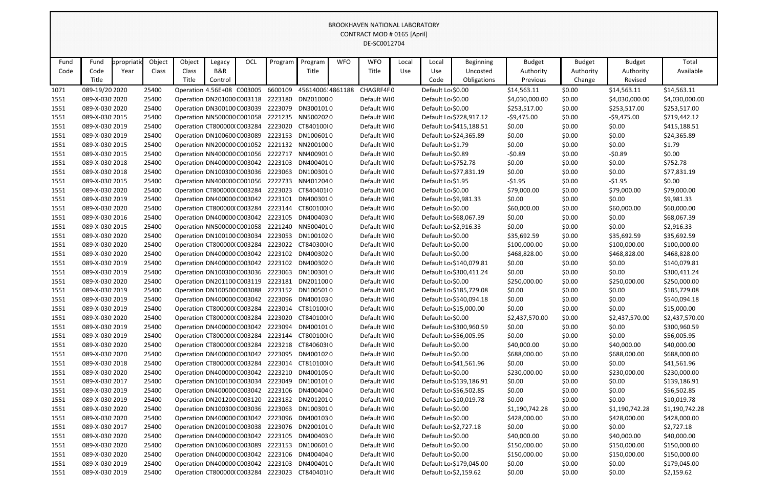|              | <u>WEN INATIONAL LADOIMTONI</u><br>CONTRACT MOD # 0165 [April]<br>DE-SC0012704 |            |                |                                    |         |     |         |                                                                                               |            |                            |       |                                        |                         |                              |                  |                              |                              |
|--------------|--------------------------------------------------------------------------------|------------|----------------|------------------------------------|---------|-----|---------|-----------------------------------------------------------------------------------------------|------------|----------------------------|-------|----------------------------------------|-------------------------|------------------------------|------------------|------------------------------|------------------------------|
|              |                                                                                |            |                |                                    |         |     |         |                                                                                               |            |                            |       |                                        |                         |                              |                  |                              |                              |
| Fund         | Fund                                                                           | ppropriati | Object         | Object                             | Legacy  | OCL | Program | Program                                                                                       | <b>WFO</b> | <b>WFO</b>                 | Local | Local                                  | Beginning               | <b>Budget</b>                | <b>Budget</b>    | <b>Budget</b>                | Total                        |
| Code         | Code                                                                           | Year       | Class          | Class                              | B&R     |     |         | Title                                                                                         |            | Title                      | Use   | Use                                    | Uncosted                | Authority                    | Authority        | Authority                    | Available                    |
|              | Title                                                                          |            |                | Title                              | Control |     |         |                                                                                               |            |                            |       | Code                                   | Obligations             | Previous                     | Change           | Revised                      |                              |
| 1071         | 089-19/20 2020                                                                 |            | 25400          | Operation 4.56E+08 C003005 6600109 |         |     |         | 45614006.4861188                                                                              |            | CHAGRF4F0                  |       | Default Lo \$0.00                      |                         | \$14,563.11                  | \$0.00           | \$14,563.11                  | \$14,563.11                  |
| 1551         | 089-X-030 2020                                                                 |            | 25400          |                                    |         |     |         | Operation DN201000 C003118 2223180 DN201000 0                                                 |            | Default WI0                |       | Default Lo \$0.00                      |                         | \$4,030,000.00               | \$0.00           | \$4,030,000.00               | \$4,030,000.00               |
| 1551         | 089-X-030 2020                                                                 |            | 25400          |                                    |         |     |         | Operation DN300100 C003039 2223079 DN3001010                                                  |            | Default WIO                |       | Default Lo \$0.00                      |                         | \$253,517.00                 | \$0.00           | \$253,517.00                 | \$253,517.00                 |
| 1551         | 089-X-030 2015                                                                 |            | 25400          |                                    |         |     |         | Operation NN500000 C001058 2221235 NN5002020                                                  |            | Default WI0                |       |                                        | Default Lo \$728,917.12 | $-59,475.00$                 | \$0.00           | $-59,475.00$                 | \$719,442.12                 |
| 1551         | 089-X-030 2019                                                                 |            | 25400          | Operation CT800000(C003284         |         |     | 2223020 | CT840100(0                                                                                    |            | Default WIO                |       |                                        | Default Lo \$415,188.51 | \$0.00                       | \$0.00           | \$0.00                       | \$415,188.51                 |
| 1551         | 089-X-030 2019                                                                 |            | 25400          | Operation DN100600 C003089         |         |     |         | 2223153 DN1006010                                                                             |            | Default WI0                |       |                                        | Default Lo \$24,365.89  | \$0.00                       | \$0.00           | \$0.00                       | \$24,365.89                  |
| 1551         | 089-X-030 2015                                                                 |            | 25400          |                                    |         |     |         | Operation NN200000 C001052 2221132 NN200100 0                                                 |            | Default WI0                |       | Default Lo \$1.79                      |                         | \$0.00                       | \$0.00           | \$0.00                       | \$1.79                       |
| 1551         | 089-X-030 2015                                                                 |            | 25400          |                                    |         |     |         | Operation NN400000 C001056 2222717 NN4009010                                                  |            | Default WIO                |       | Default Lo \$0.89                      |                         | $-50.89$                     | \$0.00           | $-50.89$                     | \$0.00                       |
| 1551         | 089-X-030 2018                                                                 |            | 25400          | Operation DN400000 C003042 2223103 |         |     |         | DN4004010                                                                                     |            | Default WI0                |       | Default Lo \$752.78                    |                         | \$0.00                       | \$0.00           | \$0.00                       | \$752.78                     |
| 1551         | 089-X-030 2018                                                                 |            | 25400          | Operation DN100300 C003036 2223063 |         |     |         | DN1003010                                                                                     |            | Default WI0                |       |                                        | Default Lo \$77,831.19  | \$0.00                       | \$0.00           | \$0.00                       | \$77,831.19                  |
| 1551         | 089-X-030 2015                                                                 |            | 25400          |                                    |         |     |         | Operation NN400000 C001056 2222733 NN4012040                                                  |            | Default WI0                |       | Default Lo \$1.95                      |                         | $-51.95$                     | \$0.00           | $-51.95$                     | \$0.00                       |
| 1551         | 089-X-030 2020                                                                 |            | 25400          | Operation CT800000(C003284         |         |     | 2223023 | CT840401(0                                                                                    |            | Default WIO                |       | Default Lo \$0.00                      |                         | \$79,000.00                  | \$0.00           | \$79,000.00                  | \$79,000.00                  |
| 1551         | 089-X-030 2019                                                                 |            | 25400          | Operation DN400000 C003042         |         |     | 2223101 | DN4003010                                                                                     |            | Default WI0                |       |                                        | Default Lo \$9,981.33   | \$0.00                       | \$0.00           | \$0.00                       | \$9,981.33                   |
| 1551         | 089-X-030 2020                                                                 |            | 25400          | Operation CT800000(C003284         |         |     |         | 2223144 CT800100(0                                                                            |            | Default WI0                |       | Default Lo \$0.00                      |                         | \$60,000.00                  | \$0.00           | \$60,000.00                  | \$60,000.00                  |
| 1551         | 089-X-030 2016                                                                 |            | 25400          | Operation DN400000 C003042         |         |     |         | 2223105 DN4004030                                                                             |            | Default WI0                |       |                                        | Default Lo \$68,067.39  | \$0.00                       | \$0.00           | \$0.00                       | \$68,067.39                  |
| 1551         | 089-X-030 2015                                                                 |            | 25400          |                                    |         |     |         | Operation NN500000 C001058 2221240 NN5004010                                                  |            | Default WI0                |       |                                        | Default Lo \$2,916.33   | \$0.00                       | \$0.00           | \$0.00                       | \$2,916.33                   |
| 1551         | 089-X-030 2020                                                                 |            | 25400          | Operation DN100100 C003034         |         |     | 2223053 | DN1001020                                                                                     |            | Default WIO                |       | Default Lo \$0.00                      |                         | \$35,692.59                  | \$0.00           | \$35,692.59                  | \$35,692.59                  |
| 1551         | 089-X-030 2020                                                                 |            | 25400          | Operation CT800000(C003284         |         |     | 2223022 | CT840300(0                                                                                    |            | Default WI0                |       | Default Lo \$0.00                      |                         | \$100,000.00                 | \$0.00           | \$100,000.00                 | \$100,000.00                 |
| 1551         | 089-X-030 2020                                                                 |            | 25400          | Operation DN400000 C003042         |         |     |         | 2223102 DN4003020                                                                             |            | Default WIO                |       | Default Lo \$0.00                      |                         | \$468,828.00                 | \$0.00           | \$468,828.00                 | \$468,828.00                 |
| 1551         | 089-X-030 2019                                                                 |            | 25400          | Operation DN400000 C003042         |         |     |         | 2223102 DN4003020                                                                             |            | Default WI0                |       |                                        | Default Lo \$140,079.81 | \$0.00                       | \$0.00           | \$0.00                       | \$140,079.81                 |
| 1551         | 089-X-030 2019                                                                 |            | 25400          |                                    |         |     |         | Operation DN100300 C003036 2223063 DN1003010                                                  |            | Default WI0                |       |                                        | Default Lo \$300,411.24 | \$0.00                       | \$0.00           | \$0.00                       | \$300,411.24                 |
| 1551         | 089-X-030 2020                                                                 |            | 25400          |                                    |         |     |         | Operation DN201100 C003119 2223181 DN2011000                                                  |            | Default WIO                |       | Default Lo \$0.00                      |                         | \$250,000.00                 | \$0.00           | \$250,000.00                 | \$250,000.00                 |
| 1551         | 089-X-030 2019                                                                 |            | 25400          |                                    |         |     |         | Operation DN100500 C003088 2223152 DN1005010                                                  |            | Default WI0                |       |                                        | Default Lo \$185,729.08 | \$0.00                       | \$0.00           | \$0.00                       | \$185,729.08                 |
| 1551         | 089-X-030 2019                                                                 |            | 25400          |                                    |         |     |         | Operation DN400000 C003042 2223096 DN4001030                                                  |            | Default WI0                |       |                                        | Default Lo \$540,094.18 | \$0.00                       | \$0.00           | \$0.00                       | \$540,094.18                 |
| 1551         | 089-X-030 2019                                                                 |            | 25400          |                                    |         |     |         | Operation CT800000(C003284 2223014 CT810100(0                                                 |            | Default WI0                |       |                                        | Default Lo \$15,000.00  | \$0.00                       | \$0.00           | \$0.00                       | \$15,000.00                  |
| 1551         | 089-X-030 2020                                                                 |            | 25400          | Operation CT800000(C003284         |         |     |         | 2223020 CT840100(0                                                                            |            | Default WI0                |       | Default Lo \$0.00                      |                         | \$2,437,570.00               | \$0.00           | \$2,437,570.00               | \$2,437,570.00               |
| 1551         | 089-X-030 2019                                                                 |            | 25400          | Operation DN400000 C003042         |         |     |         | 2223094 DN4001010                                                                             |            | Default WIO                |       |                                        | Default Lo \$300,960.59 | \$0.00                       | \$0.00           | \$0.00                       | \$300,960.59                 |
| 1551         | 089-X-030 2019                                                                 |            | 25400          | Operation CT800000(C003284         |         |     |         | 2223144 CT800100(0                                                                            |            | Default WI0                |       |                                        | Default Lo \$56,005.95  | \$0.00                       | \$0.00           | \$0.00                       | \$56,005.95                  |
| 1551         | 089-X-030 2020                                                                 |            | 25400          | Operation CT800000(C003284         |         |     |         | 2223218 CT840603(0                                                                            |            | Default WIO                |       | Default Lo \$0.00                      |                         | \$40,000.00                  | \$0.00           | \$40,000.00                  | \$40,000.00                  |
| 1551         | 089-X-030 2020                                                                 |            | 25400          |                                    |         |     |         | Operation DN400000 C003042 2223095 DN4001020                                                  |            | Default WI0                |       | Default Lo \$0.00                      |                         | \$688,000.00                 | \$0.00           | \$688,000.00                 | \$688,000.00                 |
| 1551         | 089-X-030 2018                                                                 |            | 25400          | Operation CT800000(C003284         |         |     | 2223014 | CT810100(0                                                                                    |            | Default WI0                |       |                                        | Default Lo \$41,561.96  | \$0.00                       | \$0.00           | \$0.00                       | \$41,561.96                  |
| 1551         | 089-X-030 2020                                                                 |            | 25400          |                                    |         |     |         | Operation DN400000 C003042 2223210 DN4001050                                                  |            | Default WIO                |       | Default Lo \$0.00                      |                         | \$230,000.00                 | \$0.00           | \$230,000.00                 | \$230,000.00                 |
| 1551         | 089-X-030 2017                                                                 |            | 25400          |                                    |         |     |         | Operation DN100100 C003034 2223049 DN1001010                                                  |            | Default WIO                |       |                                        | Default Lo \$139,186.91 | \$0.00                       | \$0.00           | \$0.00                       | \$139,186.91                 |
| 1551         | 089-X-030 2019                                                                 |            | 25400          |                                    |         |     |         | Operation DN400000 C003042 2223106 DN400404 0                                                 |            | Default WIO                |       |                                        | Default Lo \$56,502.85  | \$0.00                       | \$0.00           | \$0.00                       | \$56,502.85                  |
| 1551         | 089-X-030 2019                                                                 |            | 25400          |                                    |         |     |         | Operation DN201200 C003120 2223182 DN2012010                                                  |            | Default WI0                |       |                                        | Default Lo \$10,019.78  | \$0.00                       | \$0.00           | \$0.00                       | \$10,019.78                  |
| 1551         | 089-X-030 2020                                                                 |            | 25400          | Operation DN100300 C003036 2223063 |         |     |         | DN1003010                                                                                     |            | Default WIO                |       | Default Lo \$0.00                      |                         | \$1,190,742.28               | \$0.00           | \$1,190,742.28               | \$1,190,742.28               |
| 1551         | 089-X-030 2020                                                                 |            | 25400          |                                    |         |     |         | Operation DN400000 C003042 2223096 DN4001030                                                  |            | Default WI0                |       | Default Lo \$0.00                      |                         | \$428,000.00                 | \$0.00           | \$428,000.00<br>\$0.00       | \$428,000.00                 |
| 1551         | 089-X-030 2017                                                                 |            | 25400          |                                    |         |     |         | Operation DN200100 C003038 2223076 DN2001010                                                  |            | Default WIO                |       |                                        | Default Lo \$2,727.18   | \$0.00                       | \$0.00           |                              | \$2,727.18                   |
| 1551         | 089-X-030 2020<br>089-X-030 2020                                               |            | 25400          |                                    |         |     |         | Operation DN400000 C003042 2223105 DN4004030                                                  |            | Default WI0                |       | Default Lo \$0.00<br>Default Lo \$0.00 |                         | \$40,000.00                  | \$0.00           | \$40,000.00                  | \$40,000.00                  |
| 1551<br>1551 | 089-X-030 2020                                                                 |            | 25400<br>25400 |                                    |         |     |         | Operation DN100600 C003089 2223153 DN1006010<br>Operation DN400000 C003042 2223106 DN400404 0 |            | Default WI0<br>Default WI0 |       | Default Lo \$0.00                      |                         | \$150,000.00<br>\$150,000.00 | \$0.00<br>\$0.00 | \$150,000.00<br>\$150,000.00 | \$150,000.00<br>\$150,000.00 |
| 1551         | 089-X-030 2019                                                                 |            | 25400          |                                    |         |     |         | Operation DN400000 C003042 2223103 DN4004010                                                  |            | Default WI0                |       |                                        | Default Lo \$179,045.00 | \$0.00                       | \$0.00           | \$0.00                       | \$179,045.00                 |
|              | 089-X-030 2019                                                                 |            | 25400          | Operation CT800000(C003284         |         |     |         | 2223023 CT840401(0                                                                            |            | Default WIO                |       |                                        | Default Lo \$2,159.62   | \$0.00                       | \$0.00           | \$0.00                       |                              |
| 1551         |                                                                                |            |                |                                    |         |     |         |                                                                                               |            |                            |       |                                        |                         |                              |                  |                              | \$2,159.62                   |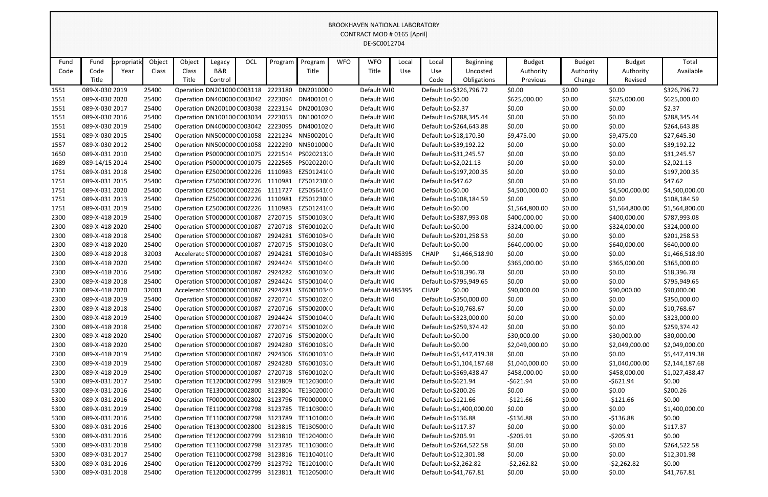|      | <b>BROOKHAVEN NATIONAL LABORATORY</b><br><b>CONTRACT MOD # 0165 [April]</b> |           |        |                                    |         |     |         |                                               |            |                  |       |                     |                           |                |               |                |                |
|------|-----------------------------------------------------------------------------|-----------|--------|------------------------------------|---------|-----|---------|-----------------------------------------------|------------|------------------|-------|---------------------|---------------------------|----------------|---------------|----------------|----------------|
|      | DE-SC0012704                                                                |           |        |                                    |         |     |         |                                               |            |                  |       |                     |                           |                |               |                |                |
|      |                                                                             |           |        |                                    |         |     |         |                                               |            |                  |       |                     |                           |                |               |                |                |
|      |                                                                             |           |        |                                    |         |     |         |                                               |            |                  |       |                     |                           |                |               |                |                |
| Fund | Fund                                                                        | propriati | Object | Object                             | Legacy  | OCL | Program | Program                                       | <b>WFO</b> | <b>WFO</b>       | Local | Local               | <b>Beginning</b>          | <b>Budget</b>  | <b>Budget</b> | <b>Budget</b>  | Total          |
| Code | Code                                                                        | Year      | Class  | Class                              | B&R     |     |         | Title                                         |            | Title            | Use   | Use                 | Uncosted                  | Authority      | Authority     | Authority      | Available      |
|      | Title                                                                       |           |        | Title                              | Control |     |         |                                               |            |                  |       | Code                | Obligations               | Previous       | Change        | Revised        |                |
| 1551 | 089-X-030 2019                                                              |           | 25400  | Operation DN201000 C003118         |         |     | 2223180 | DN2010000                                     |            | Default WI0      |       |                     | Default Lo \$326,796.72   | \$0.00         | \$0.00        | \$0.00         | \$326,796.72   |
| 1551 | 089-X-030 2020                                                              |           | 25400  | Operation DN400000 C003042         |         |     |         | 2223094 DN4001010                             |            | Default WI0      |       | Default Lo \$0.00   |                           | \$625,000.00   | \$0.00        | \$625,000.00   | \$625,000.00   |
| 1551 | 089-X-030 2017                                                              |           | 25400  | Operation DN200100 C003038         |         |     |         | 2223154 DN2001030                             |            | Default WI0      |       | Default Lo \$2.37   |                           | \$0.00         | \$0.00        | \$0.00         | \$2.37         |
| 1551 | 089-X-030 2016                                                              |           | 25400  | Operation DN100100 C003034         |         |     | 2223053 | DN1001020                                     |            | Default WI0      |       |                     | Default Lo \$288,345.44   | \$0.00         | \$0.00        | \$0.00         | \$288,345.44   |
| 1551 | 089-X-030 2019                                                              |           | 25400  | Operation DN400000 C003042         |         |     | 2223095 | DN4001020                                     |            | Default WI0      |       |                     | Default Lo \$264,643.88   | \$0.00         | \$0.00        | \$0.00         | \$264,643.88   |
| 1551 | 089-X-030 2015                                                              |           | 25400  | Operation NN500000 C001058         |         |     |         | 2221234 NN5002010                             |            | Default WI0      |       |                     | Default Lo \$18,170.30    | \$9,475.00     | \$0.00        | \$9,475.00     | \$27,645.30    |
| 1557 | 089-X-030 2012                                                              |           | 25400  | Operation NN500000 C001058         |         |     |         | 2222290 NN5010000                             |            | Default WI0      |       |                     | Default Lo \$39,192.22    | \$0.00         | \$0.00        | \$0.00         | \$39,192.22    |
| 1650 | 089-X-031 2010                                                              |           | 25400  | Operation PS000000(C001075         |         |     |         | 2221514 PS020213.0                            |            | Default WI0      |       |                     | Default Lo \$31,245.57    | \$0.00         | \$0.00        | \$0.00         | \$31,245.57    |
| 1689 | 089-14/15 2014                                                              |           | 25400  |                                    |         |     |         | Operation PS000000(C001075 2222565 PS020220(0 |            | Default WI0      |       |                     | Default Lo \$2,021.13     | \$0.00         | \$0.00        | \$0.00         | \$2,021.13     |
| 1751 | 089-X-031 2018                                                              |           | 25400  | Operation EZ500000(C002226 1110983 |         |     |         | EZ501241(0                                    |            | Default WI0      |       |                     | Default Lo \$197,200.35   | \$0.00         | \$0.00        | \$0.00         | \$197,200.35   |
| 1751 | 089-X-031 2015                                                              |           | 25400  | Operation EZ500000(C002226 1110981 |         |     |         | EZ501230(0                                    |            | Default WI0      |       | Default Lo \$47.62  |                           | \$0.00         | \$0.00        | \$0.00         | \$47.62        |
| 1751 | 089-X-031 2020                                                              |           | 25400  | Operation EZ500000(C002226         |         |     | 1111727 | EZ505641(0                                    |            | Default WI0      |       | Default Lo \$0.00   |                           | \$4,500,000.00 | \$0.00        | \$4,500,000.00 | \$4,500,000.00 |
| 1751 | 089-X-031 2013                                                              |           | 25400  | Operation EZ500000(C002226         |         |     | 1110981 | EZ501230(0                                    |            | Default WIO      |       |                     | Default Lo \$108,184.59   | \$0.00         | \$0.00        | \$0.00         | \$108,184.59   |
| 1751 | 089-X-031 2019                                                              |           | 25400  |                                    |         |     |         | Operation EZ500000(C002226 1110983 EZ501241(0 |            | Default WI0      |       | Default Lo \$0.00   |                           | \$1,564,800.00 | \$0.00        | \$1,564,800.00 | \$1,564,800.00 |
| 2300 | 089-X-418 2019                                                              |           | 25400  | Operation ST000000(C001087         |         |     |         | 2720715 ST500103(0                            |            | Default WI0      |       |                     | Default Lo \$387,993.08   | \$400,000.00   | \$0.00        | \$400,000.00   | \$787,993.08   |
| 2300 | 089-X-418 2020                                                              |           | 25400  | Operation ST000000(C001087         |         |     |         | 2720718 ST600102(0                            |            | Default WI0      |       | Default Lo \$0.00   |                           | \$324,000.00   | \$0.00        | \$324,000.00   | \$324,000.00   |
| 2300 | 089-X-418 2018                                                              |           | 25400  | Operation ST000000(C001087         |         |     |         | 2924281 ST60010340                            |            | Default WI0      |       |                     | Default Lo \$201,258.53   | \$0.00         | \$0.00        | \$0.00         | \$201,258.53   |
| 2300 | 089-X-418 2020                                                              |           | 25400  | Operation ST000000(C001087         |         |     |         | 2720715 ST500103(0                            |            | Default WI0      |       | Default Lo \$0.00   |                           | \$640,000.00   | \$0.00        | \$640,000.00   | \$640,000.00   |
| 2300 | 089-X-418 2018                                                              |           | 32003  | Accelerato ST0000000 C001087       |         |     |         | 2924281 ST60010340                            |            | Default WI485395 |       | <b>CHAIP</b>        | \$1,466,518.90            | \$0.00         | \$0.00        | \$0.00         | \$1,466,518.90 |
| 2300 | 089-X-418 2020                                                              |           | 25400  | Operation ST000000(C001087         |         |     |         | 2924424 ST500104(0                            |            | Default WI0      |       | Default Lo \$0.00   |                           | \$365,000.00   | \$0.00        | \$365,000.00   | \$365,000.00   |
| 2300 | 089-X-418 2016                                                              |           | 25400  | Operation ST000000(C001087         |         |     |         | 2924282 ST600103(0                            |            | Default WI0      |       |                     | Default Lo \$18,396.78    | \$0.00         | \$0.00        | \$0.00         | \$18,396.78    |
| 2300 | 089-X-418 2018                                                              |           | 25400  | Operation ST000000(C001087         |         |     |         | 2924424 ST500104(0                            |            | Default WI0      |       |                     | Default Lo \$795,949.65   | \$0.00         | \$0.00        | \$0.00         | \$795,949.65   |
| 2300 | 089-X-418 2020                                                              |           | 32003  | Accelerato ST0000000 C001087       |         |     |         | 2924281 ST60010340                            |            | Default WI485395 |       | <b>CHAIP</b>        | \$0.00                    | \$90,000.00    | \$0.00        | \$90,000.00    | \$90,000.00    |
| 2300 | 089-X-418 2019                                                              |           | 25400  | Operation ST000000(C001087         |         |     |         | 2720714 ST500102(0                            |            | Default WI0      |       |                     | Default Lo \$350,000.00   | \$0.00         | \$0.00        | \$0.00         | \$350,000.00   |
| 2300 | 089-X-418 2018                                                              |           | 25400  | Operation ST000000(C001087         |         |     |         | 2720716 ST500200(0                            |            | Default WI0      |       |                     | Default Lo \$10,768.67    | \$0.00         | \$0.00        | \$0.00         | \$10,768.67    |
| 2300 | 089-X-418 2019                                                              |           | 25400  | Operation ST000000(C001087         |         |     |         | 2924424 ST500104(0                            |            | Default WI0      |       |                     | Default Lo \$323,000.00   | \$0.00         | \$0.00        | \$0.00         | \$323,000.00   |
| 2300 | 089-X-418 2018                                                              |           | 25400  | Operation ST000000(C001087         |         |     |         | 2720714 ST500102(0                            |            | Default WI0      |       |                     | Default Lo \$259,374.42   | \$0.00         | \$0.00        | \$0.00         | \$259,374.42   |
| 2300 | 089-X-418 2020                                                              |           | 25400  | Operation ST000000(C001087         |         |     |         | 2720716 ST500200(0                            |            | Default WIO      |       | Default Lo \$0.00   |                           | \$30,000.00    | \$0.00        | \$30,000.00    | \$30,000.00    |
| 2300 | 089-X-418 2020                                                              |           | 25400  | Operation ST000000(C001087         |         |     |         | 2924280 ST60010320                            |            | Default WIO      |       | Default Lo \$0.00   |                           | \$2,049,000.00 | \$0.00        | \$2,049,000.00 | \$2,049,000.00 |
| 2300 | 089-X-418 2019                                                              |           | 25400  | Operation ST000000(C001087         |         |     |         | 2924306 ST60010310                            |            | Default WI0      |       |                     | Default Lo \$5,447,419.38 | \$0.00         | \$0.00        | \$0.00         | \$5,447,419.38 |
| 2300 | 089-X-418 2019                                                              |           | 25400  | Operation ST000000(C001087         |         |     |         | 2924280 ST60010320                            |            | Default WIO      |       |                     | Default Lo \$1,104,187.68 | \$1,040,000.00 | \$0.00        | \$1,040,000.00 | \$2,144,187.68 |
| 2300 | 089-X-418 2019                                                              |           | 25400  | Operation ST000000(C001087         |         |     |         | 2720718 ST600102(0                            |            | Default WIO      |       |                     | Default Lo \$569,438.47   | \$458,000.00   | \$0.00        | \$458,000.00   | \$1,027,438.47 |
| 5300 | 089-X-031 2017                                                              |           | 25400  |                                    |         |     |         | Operation TE120000(C002799 3123809 TE120300(0 |            | Default WIO      |       | Default Lo \$621.94 |                           | -\$621.94      | \$0.00        | -\$621.94      | \$0.00         |
| 5300 | 089-X-031 2016                                                              |           | 25400  |                                    |         |     |         | Operation TE130000(C002800 3123804 TE130200(0 |            | Default WIO      |       | Default Lo \$200.26 |                           | \$0.00         | \$0.00        | \$0.00         | \$200.26       |
| 5300 | 089-X-031 2016                                                              |           | 25400  |                                    |         |     |         | Operation TF000000(C002802 3123796 TF000000(0 |            | Default WI0      |       | Default Lo \$121.66 |                           | $-5121.66$     | \$0.00        | -\$121.66      | \$0.00         |
| 5300 | 089-X-031 2019                                                              |           | 25400  |                                    |         |     |         | Operation TE110000(C002798 3123785 TE110300(0 |            | Default WIO      |       |                     | Default Lo \$1,400,000.00 | \$0.00         | \$0.00        | \$0.00         | \$1,400,000.00 |
| 5300 | 089-X-031 2016                                                              |           | 25400  |                                    |         |     |         | Operation TE110000(C002798 3123789 TE110100(0 |            | Default WI0      |       | Default Lo \$136.88 |                           | -\$136.88      | \$0.00        | -\$136.88      | \$0.00         |
| 5300 | 089-X-031 2016                                                              |           | 25400  |                                    |         |     |         | Operation TE130000(C002800 3123815 TE130500(0 |            | Default WI0      |       | Default Lo \$117.37 |                           | \$0.00         | \$0.00        | \$0.00         | \$117.37       |
| 5300 | 089-X-031 2016                                                              |           | 25400  |                                    |         |     |         | Operation TE120000(C002799 3123810 TE120400(0 |            | Default WI0      |       | Default Lo \$205.91 |                           | -\$205.91      | \$0.00        | $-5205.91$     | \$0.00         |
| 5300 | 089-X-031 2018                                                              |           | 25400  |                                    |         |     |         | Operation TE110000(C002798 3123785 TE110300(0 |            | Default WI0      |       |                     | Default Lo \$264,522.58   | \$0.00         | \$0.00        | \$0.00         | \$264,522.58   |
| 5300 | 089-X-031 2017                                                              |           | 25400  |                                    |         |     |         | Operation TE110000(C002798 3123816 TE110401(0 |            | Default WI0      |       |                     | Default Lo \$12,301.98    | \$0.00         | \$0.00        | \$0.00         | \$12,301.98    |
| 5300 | 089-X-031 2016                                                              |           | 25400  |                                    |         |     |         | Operation TE120000(C002799 3123792 TE120100(0 |            | Default WI0      |       |                     | Default Lo \$2,262.82     | $-52,262.82$   | \$0.00        | -\$2,262.82    | \$0.00         |
| 5300 | 089-X-031 2018                                                              |           | 25400  |                                    |         |     |         | Operation TE120000(C002799 3123811 TE120500(0 |            | Default WI0      |       |                     | Default Lo \$41,767.81    | \$0.00         | \$0.00        | \$0.00         | \$41,767.81    |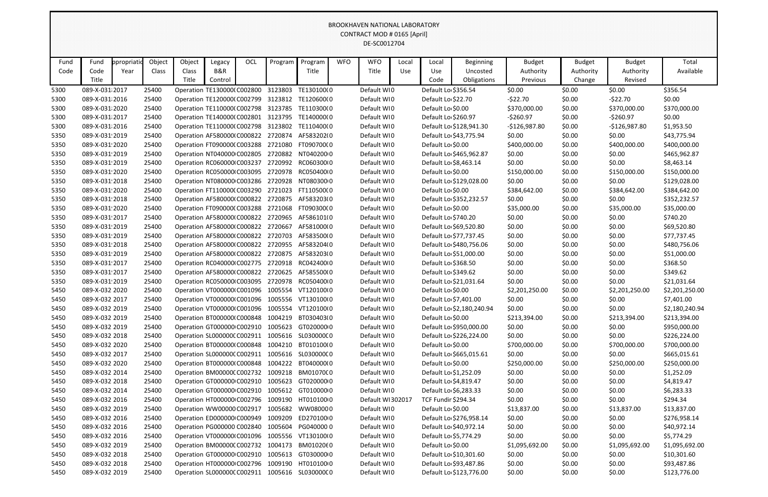|      | ו חס ואוסטולוג וואז ואז אוס ואוסטונא<br>CONTRACT MOD # 0165 [April]<br>DE-SC0012704 |             |        |        |                                    |     |         |                                               |            |                  |       |                     |                           |                |               |                |                |
|------|-------------------------------------------------------------------------------------|-------------|--------|--------|------------------------------------|-----|---------|-----------------------------------------------|------------|------------------|-------|---------------------|---------------------------|----------------|---------------|----------------|----------------|
| Fund | Fund                                                                                | ppropriatio | Object | Object |                                    | OCL | Program | Program                                       | <b>WFO</b> | <b>WFO</b>       | Local |                     | <b>Beginning</b>          | <b>Budget</b>  | <b>Budget</b> | <b>Budget</b>  | Total          |
| Code | Code                                                                                | Year        | Class  | Class  | Legacy<br><b>B&amp;R</b>           |     |         | Title                                         |            | Title            | Use   | Local<br>Use        | Uncosted                  | Authority      | Authority     | Authority      | Available      |
|      | Title                                                                               |             |        | Title  | Control                            |     |         |                                               |            |                  |       | Code                | Obligations               | Previous       | Change        | Revised        |                |
| 5300 | 089-X-031 2017                                                                      |             | 25400  |        | Operation TE130000(C002800 3123803 |     |         | TE130100(0                                    |            | Default WIO      |       | Default Lo \$356.54 |                           | \$0.00         | \$0.00        | \$0.00         | \$356.54       |
| 5300 | 089-X-031 2016                                                                      |             | 25400  |        |                                    |     |         | Operation TE120000(C002799 3123812 TE120600(0 |            | Default WIO      |       | Default Lo \$22.70  |                           | $-522.70$      | \$0.00        | -\$22.70       | \$0.00         |
| 5300 | 089-X-031 2020                                                                      |             | 25400  |        |                                    |     |         | Operation TE110000(C002798 3123785 TE110300(0 |            | Default WIO      |       | Default Lo \$0.00   |                           | \$370,000.00   | \$0.00        | \$370,000.00   | \$370,000.00   |
| 5300 | 089-X-031 2017                                                                      |             | 25400  |        |                                    |     |         | Operation TE140000(C002801 3123795 TE140000(0 |            | Default WIO      |       | Default Lo \$260.97 |                           | $-5260.97$     | \$0.00        | $-5260.97$     | \$0.00         |
| 5300 | 089-X-031 2016                                                                      |             | 25400  |        |                                    |     |         | Operation TE110000(C002798 3123802 TE110400(0 |            | Default WIO      |       |                     | Default Lo \$128,941.30   | $-$126,987.80$ | \$0.00        | $-$126,987.80$ | \$1,953.50     |
| 5350 | 089-X-031 2019                                                                      |             | 25400  |        |                                    |     |         | Operation AF580000(C000822 2720874 AF583202(0 |            | Default WIO      |       |                     | Default Lo \$43,775.94    | \$0.00         | \$0.00        | \$0.00         | \$43,775.94    |
| 5350 | 089-X-031 2020                                                                      |             | 25400  |        |                                    |     |         | Operation FT090000(C003288 2721080 FT090700(0 |            | Default WIO      |       | Default Lo \$0.00   |                           | \$400,000.00   | \$0.00        | \$400,000.00   | \$400,000.00   |
| 5350 | 089-X-031 2019                                                                      |             | 25400  |        |                                    |     |         | Operation NT040000 C002805 2720882 NT040200 0 |            | Default WIO      |       |                     | Default Lo \$465,962.87   | \$0.00         | \$0.00        | \$0.00         | \$465,962.87   |
| 5350 | 089-X-031 2019                                                                      |             | 25400  |        | Operation RC060000 C003237         |     |         | 2720992 RC060300 0                            |            | Default WIO      |       |                     | Default Lo \$8,463.14     | \$0.00         | \$0.00        | \$0.00         | \$8,463.14     |
| 5350 | 089-X-031 2020                                                                      |             | 25400  |        |                                    |     |         | Operation RC050000 C003095 2720978 RC050400 0 |            | Default WIO      |       | Default Lo \$0.00   |                           | \$150,000.00   | \$0.00        | \$150,000.00   | \$150,000.00   |
| 5350 | 089-X-031 2018                                                                      |             | 25400  |        |                                    |     |         | Operation NT080000 C003286 2720928 NT080300 0 |            | Default WIO      |       |                     | Default Lo \$129,028.00   | \$0.00         | \$0.00        | \$0.00         | \$129,028.00   |
| 5350 | 089-X-031 2020                                                                      |             | 25400  |        |                                    |     |         | Operation FT110000(C003290 2721023 FT110500(0 |            | Default WIO      |       | Default Lo \$0.00   |                           | \$384,642.00   | \$0.00        | \$384,642.00   | \$384,642.00   |
| 5350 | 089-X-031 2018                                                                      |             | 25400  |        | Operation AF580000(C000822 2720875 |     |         | AF583203(0                                    |            | Default WIO      |       |                     | Default Lo \$352,232.57   | \$0.00         | \$0.00        | \$0.00         | \$352,232.57   |
| 5350 | 089-X-031 2020                                                                      |             | 25400  |        |                                    |     |         | Operation FT090000(C003288 2721068 FT090300(0 |            | Default WI0      |       | Default Lo \$0.00   |                           | \$35,000.00    | \$0.00        | \$35,000.00    | \$35,000.00    |
| 5350 | 089-X-031 2017                                                                      |             | 25400  |        | Operation AF580000(C000822 2720965 |     |         | AF586101(0                                    |            | Default WIO      |       | Default Lo \$740.20 |                           | \$0.00         | \$0.00        | \$0.00         | \$740.20       |
| 5350 | 089-X-031 2019                                                                      |             | 25400  |        | Operation AF580000(C000822 2720667 |     |         | AF581000(0                                    |            | Default WIO      |       |                     | Default Lo \$69,520.80    | \$0.00         | \$0.00        | \$0.00         | \$69,520.80    |
| 5350 | 089-X-031 2019                                                                      |             | 25400  |        |                                    |     |         | Operation AF580000(C000822 2720703 AF583500(0 |            | Default WIO      |       |                     | Default Lo \$77,737.45    | \$0.00         | \$0.00        | \$0.00         | \$77,737.45    |
| 5350 | 089-X-031 2018                                                                      |             | 25400  |        |                                    |     |         | Operation AF580000(C000822 2720955 AF583204(0 |            | Default WIO      |       |                     | Default Lo \$480,756.06   | \$0.00         | \$0.00        | \$0.00         | \$480,756.06   |
| 5350 | 089-X-031 2019                                                                      |             | 25400  |        |                                    |     |         | Operation AF580000(C000822 2720875 AF583203(0 |            | Default WI0      |       |                     | Default Lo \$51,000.00    | \$0.00         | \$0.00        | \$0.00         | \$51,000.00    |
| 5350 | 089-X-031 2017                                                                      |             | 25400  |        |                                    |     |         | Operation RC040000 C002775 2720918 RC042400 0 |            | Default WIO      |       | Default Lo \$368.50 |                           | \$0.00         | \$0.00        | \$0.00         | \$368.50       |
| 5350 | 089-X-031 2017                                                                      |             | 25400  |        |                                    |     |         | Operation AF580000(C000822 2720625 AF585500(0 |            | Default WIO      |       | Default Lo \$349.62 |                           | \$0.00         | \$0.00        | \$0.00         | \$349.62       |
| 5350 | 089-X-031 2019                                                                      |             | 25400  |        |                                    |     |         | Operation RC050000 C003095 2720978 RC050400 0 |            | Default WIO      |       |                     | Default Lo \$21,031.64    | \$0.00         | \$0.00        | \$0.00         | \$21,031.64    |
| 5450 | 089-X-032 2020                                                                      |             | 25400  |        | Operation VT000000 C001096         |     |         | 1005554 VT120100(0                            |            | Default WIO      |       | Default Lo \$0.00   |                           | \$2,201,250.00 | \$0.00        | \$2,201,250.00 | \$2,201,250.00 |
| 5450 | 089-X-032 2017                                                                      |             | 25400  |        |                                    |     |         | Operation VT000000(C001096 1005556 VT130100(0 |            | Default WI0      |       |                     | Default Lo \$7,401.00     | \$0.00         | \$0.00        | \$0.00         | \$7,401.00     |
| 5450 | 089-X-032 2019                                                                      |             | 25400  |        |                                    |     |         | Operation VT000000(C001096 1005554 VT120100(0 |            | Default WI0      |       |                     | Default Lo \$2,180,240.94 | \$0.00         | \$0.00        | \$0.00         | \$2,180,240.94 |
| 5450 | 089-X-032 2019                                                                      |             | 25400  |        | Operation BT000000(C000848         |     |         | 1004219 BT030403(0                            |            | Default WIO      |       | Default Lo \$0.00   |                           | \$213,394.00   | \$0.00        | \$213,394.00   | \$213,394.00   |
| 5450 | 089-X-032 2019                                                                      |             | 25400  |        | Operation GT000000 C002910         |     |         | 1005623 GT020000 0                            |            | Default WIO      |       |                     | Default Lo \$950,000.00   | \$0.00         | \$0.00        | \$0.00         | \$950,000.00   |
| 5450 | 089-X-032 2018                                                                      |             | 25400  |        | Operation SL000000CC002911         |     |         | 1005616 SL030000(0                            |            | Default WI0      |       |                     | Default Lo \$226,224.00   | \$0.00         | \$0.00        | \$0.00         | \$226,224.00   |
| 5450 | 089-X-032 2020                                                                      |             | 25400  |        | Operation BT000000(C000848         |     |         | 1004210 BT010100(0                            |            | Default WI0      |       | Default Lo \$0.00   |                           | \$700,000.00   | \$0.00        | \$700,000.00   | \$700,000.00   |
| 5450 | 089-X-032 2017                                                                      |             | 25400  |        | Operation SL000000C C002911        |     |         | 1005616 SL030000(0                            |            | Default WI0      |       |                     | Default Lo \$665,015.61   | \$0.00         | \$0.00        | \$0.00         | \$665,015.61   |
| 5450 | 089-X-032 2020                                                                      |             | 25400  |        | Operation BT000000(C000848         |     |         | 1004222 BT040000(0                            |            | Default WI0      |       | Default Lo \$0.00   |                           | \$250,000.00   | \$0.00        | \$250,000.00   | \$250,000.00   |
| 5450 | 089-X-032 2014                                                                      |             | 25400  |        | Operation BM00000CC002732          |     |         | 1009218 BM01070(0                             |            | Default WIO      |       |                     | Default Lo \$1,252.09     | \$0.00         | \$0.00        | \$0.00         | \$1,252.09     |
| 5450 | 089-X-032 2018                                                                      |             | 25400  |        | Operation GT000000 C002910         |     |         | 1005623 GT020000 0                            |            | Default WI0      |       |                     | Default Lo \$4,819.47     | \$0.00         | \$0.00        | \$0.00         | \$4,819.47     |
| 5450 | 089-X-032 2014                                                                      |             | 25400  |        | Operation GT000000 C002910         |     |         | 1005612 GT010000 0                            |            | Default WI0      |       |                     | Default Lo \$6,283.33     | \$0.00         | \$0.00        | \$0.00         | \$6,283.33     |
| 5450 | 089-X-032 2016                                                                      |             | 25400  |        | Operation HT000000 C002796         |     |         | 1009190 HT0101000                             |            | Default WI302017 |       | TCF Fundir \$294.34 |                           | \$0.00         | \$0.00        | \$0.00         | \$294.34       |
| 5450 | 089-X-032 2019                                                                      |             | 25400  |        | Operation WW00000 C002917          |     |         | 1005682 WW080000                              |            | Default WI0      |       | Default Lo \$0.00   |                           | \$13,837.00    | \$0.00        | \$13,837.00    | \$13,837.00    |
| 5450 | 089-X-032 2016                                                                      |             | 25400  |        | Operation ED000000 C000949         |     | 1009209 | ED2701000                                     |            | Default WI0      |       |                     | Default Lo \$276,958.14   | \$0.00         | \$0.00        | \$0.00         | \$276,958.14   |
| 5450 | 089-X-032 2016                                                                      |             | 25400  |        | Operation PG000000 C002840         |     |         | 1005604 PG040000 0                            |            | Default WI0      |       |                     | Default Lo \$40,972.14    | \$0.00         | \$0.00        | \$0.00         | \$40,972.14    |
| 5450 | 089-X-032 2016                                                                      |             | 25400  |        | Operation VT000000 C001096         |     |         | 1005556 VT13010000                            |            | Default WI0      |       |                     | Default Lo \$5,774.29     | \$0.00         | \$0.00        | \$0.00         | \$5,774.29     |
| 5450 | 089-X-032 2019                                                                      |             | 25400  |        | Operation BM00000CC002732          |     |         | 1004173 BM0102060                             |            | Default WI0      |       | Default Lo \$0.00   |                           | \$1,095,692.00 | \$0.00        | \$1,095,692.00 | \$1,095,692.00 |
| 5450 | 089-X-032 2018                                                                      |             | 25400  |        | Operation GT000000 C002910         |     |         | 1005613 GT030000 0                            |            | Default WIO      |       |                     | Default Lo \$10,301.60    | \$0.00         | \$0.00        | \$0.00         | \$10,301.60    |
| 5450 | 089-X-032 2018                                                                      |             | 25400  |        | Operation HT000000 C002796         |     |         | 1009190 HT0101000                             |            | Default WI0      |       |                     | Default Lo \$93,487.86    | \$0.00         | \$0.00        | \$0.00         | \$93,487.86    |
| 5450 | 089-X-032 2019                                                                      |             | 25400  |        |                                    |     |         | Operation SL000000CC002911 1005616 SL030000CO |            | Default WI0      |       |                     | Default Lo \$123,776.00   | \$0.00         | \$0.00        | \$0.00         | \$123,776.00   |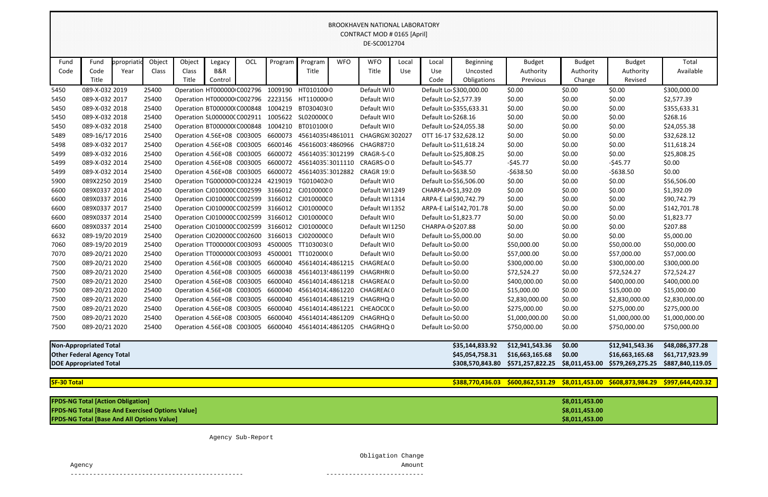| BROOKHAVEN NATIONAL LABORATORY |
|--------------------------------|
| CONTRACT MOD # 0165 [April]    |
| DE-SC0012704                   |

|                                                         | <b>BROOKHAVEN NATIONAL LABORATORY</b><br>CONTRACT MOD # 0165 [April]<br>DE-SC0012704 |                    |                 |                                                                   |               |     |                                                     |                          |            |                                                               |              |                                            |                              |                                                  |                            |                            |                           |
|---------------------------------------------------------|--------------------------------------------------------------------------------------|--------------------|-----------------|-------------------------------------------------------------------|---------------|-----|-----------------------------------------------------|--------------------------|------------|---------------------------------------------------------------|--------------|--------------------------------------------|------------------------------|--------------------------------------------------|----------------------------|----------------------------|---------------------------|
| Fund<br>Code                                            | Fund<br>Code                                                                         | ppropriati<br>Year | Object<br>Class | Object<br>Class                                                   | Legacy<br>B&R | OCL | Program                                             | Program<br>Title         | <b>WFO</b> | <b>WFO</b><br>Title                                           | Local<br>Use | Local<br>Use                               | <b>Beginning</b><br>Uncosted | <b>Budget</b><br>Authority                       | <b>Budget</b><br>Authority | <b>Budget</b><br>Authority | Total<br>Available        |
|                                                         | Title                                                                                |                    |                 | Title                                                             | Control       |     |                                                     |                          |            |                                                               |              | Code                                       | <b>Obligations</b>           | Previous                                         | Change                     | Revised                    |                           |
| 5450                                                    | 089-X-032 2019                                                                       |                    | 25400           | Operation HT000000 C002796 1009190                                |               |     |                                                     | HT0101000                |            | Default WI0                                                   |              |                                            | Default Lo \$300,000.00      | \$0.00                                           | \$0.00                     | \$0.00                     | \$300,000.00              |
| 5450                                                    | 089-X-032 2017                                                                       |                    | 25400           |                                                                   |               |     | Operation HT000000 C002796 2223156 HT110000 0       |                          |            | Default WI0                                                   |              | Default Lo \$2,577.39                      |                              | \$0.00                                           | \$0.00                     | \$0.00                     | \$2,577.39                |
| 5450                                                    | 089-X-032 2018                                                                       |                    | 25400           | Operation BT0000000 C000848 1004219                               |               |     |                                                     | BT030403(0               |            | Default WI0                                                   |              |                                            | Default Lo \$355,633.31      | \$0.00                                           | \$0.00                     | \$0.00                     | \$355,633.31              |
| 5450                                                    | 089-X-032 2018                                                                       |                    | 25400           | Operation SL000000C C002911 1005622                               |               |     |                                                     | SL02000000               |            | Default WI0                                                   |              | Default Lo \$268.16                        |                              | \$0.00                                           | \$0.00                     | \$0.00                     | \$268.16                  |
| 5450                                                    | 089-X-032 2018                                                                       |                    | 25400           | Operation BT000000(C000848                                        |               |     | 1004210                                             | BT010100(0               |            | Default WI0                                                   |              |                                            | Default Lo \$24,055.38       | \$0.00                                           | \$0.00                     | \$0.00                     | \$24,055.38               |
| 5489                                                    | 089-16/17 2016                                                                       |                    | 25400           | Operation 4.56E+08 C003005                                        |               |     | 6600073                                             | 45614035 4861011         |            | CHAGRGX(302027                                                |              |                                            | OTT 16-17 \$32,628.12        | \$0.00                                           | \$0.00                     | \$0.00                     | \$32,628.12               |
| 5498                                                    | 089-X-032 2017                                                                       |                    | 25400           | Operation 4.56E+08 C003005                                        |               |     | 6600146                                             | 45616003:4860966         |            | CHAGR8730                                                     |              |                                            | Default Lo \$11,618.24       | \$0.00                                           | \$0.00                     | \$0.00                     | \$11,618.24               |
| 5499                                                    | 089-X-032 2016                                                                       |                    | 25400           | Operation 4.56E+08 C003005 6600072                                |               |     |                                                     | 45614035 3012199         |            | CRAGR-S-CO                                                    |              |                                            | Default Lo \$25,808.25       | \$0.00                                           | \$0.00                     | \$0.00                     | \$25,808.25               |
| 5499                                                    | 089-X-032 2014                                                                       |                    | 25400           | Operation 4.56E+08 C003005                                        |               |     | 6600072                                             | 45614035 3011110         |            | CRAGRS-O0                                                     |              | Default Lo \$45.77                         |                              | $-$ \$45.77                                      | \$0.00                     | $-545.77$                  | \$0.00                    |
| 5499                                                    | 089-X-032 2014                                                                       |                    | 25400           | Operation 4.56E+08 C003005                                        |               |     | 6600072                                             | 45614035 3012882         |            | <b>CRAGR 19:0</b>                                             |              | Default Lo \$638.50                        |                              | $-5638.50$                                       | \$0.00                     | $-5638.50$                 | \$0.00                    |
| 5900                                                    | 089X2250 2019                                                                        |                    | 25400           | Operation TG000000 C003224 4219019                                |               |     |                                                     | TG010402 0               |            | Default WI0                                                   |              |                                            | Default Lo \$56,506.00       | \$0.00                                           | \$0.00                     | \$0.00                     | \$56,506.00               |
| 6600                                                    | 089X0337 2014                                                                        |                    | 25400           | Operation CJ010000C C002599 3166012                               |               |     |                                                     | CJ010000C0               |            | Default WI1249                                                |              | CHARPA-0 \$1,392.09                        |                              | \$0.00                                           | \$0.00                     | \$0.00                     | \$1,392.09                |
| 6600                                                    | 089X0337 2016                                                                        |                    | 25400           | Operation CJ010000CC002599                                        |               |     | 3166012                                             | CJ010000C0               |            | Default WI1314                                                |              |                                            | ARPA-E Lal \$90,742.79       | \$0.00                                           | \$0.00                     | \$0.00                     | \$90,742.79               |
| 6600                                                    | 089X0337 2017                                                                        |                    | 25400           | Operation CJ010000C C002599                                       |               |     | 3166012                                             | CJ010000C0               |            | Default WI1352                                                |              |                                            | ARPA-E Lal \$142,701.78      | \$0.00                                           | \$0.00                     | \$0.00                     | \$142,701.78              |
| 6600                                                    | 089X0337 2014                                                                        |                    | 25400           | Operation CJ010000C C002599                                       |               |     | 3166012                                             | CJ010000C0<br>CJ010000C0 |            | Default WI0                                                   |              | Default Lo \$1,823.77                      |                              | \$0.00                                           | \$0.00                     | \$0.00                     | \$1,823.77                |
| 6600                                                    | 089X0337 2014<br>089-19/20 2019                                                      |                    | 25400<br>25400  | Operation CJ010000C C002599 3166012                               |               |     |                                                     | CJ020000C0               |            | Default WI1250<br>Default WI0                                 |              | CHARPA-0 \$207.88                          |                              | \$0.00<br>\$0.00                                 | \$0.00<br>\$0.00           | \$0.00<br>\$0.00           | \$207.88                  |
| 6632<br>7060                                            | 089-19/20 2019                                                                       |                    | 25400           | Operation CJ020000C C002600 3166013<br>Operation TT000000(C003093 |               |     | 4500005                                             | TT103003(0               |            | Default WI0                                                   |              | Default Lo \$5,000.00<br>Default Lo \$0.00 |                              | \$50,000.00                                      | \$0.00                     | \$50,000.00                | \$5,000.00<br>\$50,000.00 |
| 7070                                                    | 089-20/21 2020                                                                       |                    | 25400           | Operation TT000000(C003093                                        |               |     | 4500001                                             | TT102000(0               |            | Default WI0                                                   |              | Default Lo \$0.00                          |                              | \$57,000.00                                      | \$0.00                     | \$57,000.00                | \$57,000.00               |
| 7500                                                    | 089-20/21 2020                                                                       |                    | 25400           | Operation 4.56E+08 C003005                                        |               |     | 6600040                                             | 45614014.4861215         |            | CHAGREA(0                                                     |              | Default Lo \$0.00                          |                              | \$300,000.00                                     | \$0.00                     | \$300,000.00               | \$300,000.00              |
| 7500                                                    | 089-20/21 2020                                                                       |                    | 25400           | Operation 4.56E+08 C003005 6600038                                |               |     |                                                     | 45614013!4861199         |            | CHAGRHR(0                                                     |              | Default Lo \$0.00                          |                              | \$72,524.27                                      | \$0.00                     | \$72,524.27                | \$72,524.27               |
| 7500                                                    | 089-20/21 2020                                                                       |                    | 25400           | Operation 4.56E+08 C003005                                        |               |     | 6600040                                             | 45614014.4861218         |            | CHAGREA(0                                                     |              | Default Lo \$0.00                          |                              | \$400,000.00                                     | \$0.00                     | \$400,000.00               | \$400,000.00              |
| 7500                                                    | 089-20/21 2020                                                                       |                    | 25400           | Operation 4.56E+08 C003005 6600040                                |               |     |                                                     |                          |            | 45614014.4861220 CHAGREA(0                                    |              | Default Lo \$0.00                          |                              | \$15,000.00                                      | \$0.00                     | \$15,000.00                | \$15,000.00               |
| 7500                                                    | 089-20/21 2020                                                                       |                    | 25400           |                                                                   |               |     | Operation 4.56E+08 C003005 6600040 45614014.4861219 |                          |            | CHAGRHQ 0                                                     |              | Default Lo \$0.00                          |                              | \$2,830,000.00                                   | \$0.00                     | \$2,830,000.00             | \$2,830,000.00            |
| 7500                                                    | 089-20/21 2020                                                                       |                    | 25400           |                                                                   |               |     | Operation 4.56E+08 C003005 6600040 45614014.4861221 |                          |            | CHEAOCOCO                                                     |              | Default Lo \$0.00                          |                              | \$275,000.00                                     | \$0.00                     | \$275,000.00               | \$275,000.00              |
| 7500                                                    | 089-20/21 2020                                                                       |                    | 25400           |                                                                   |               |     | Operation 4.56E+08 C003005 6600040 45614014.4861209 |                          |            | CHAGRHQ 0                                                     |              | Default Lo \$0.00                          |                              | \$1,000,000.00                                   | \$0.00                     | \$1,000,000.00             | \$1,000,000.00            |
| 7500                                                    | 089-20/21 2020                                                                       |                    | 25400           |                                                                   |               |     |                                                     |                          |            | Operation 4.56E+08 C003005 6600040 45614014.4861205 CHAGRHQ 0 |              | Default Lo \$0.00                          |                              | \$750,000.00                                     | \$0.00                     | \$750,000.00               | \$750,000.00              |
|                                                         | <b>Non-Appropriated Total</b>                                                        |                    |                 |                                                                   |               |     |                                                     |                          |            |                                                               |              |                                            | \$35,144,833.92              | \$12,941,543.36                                  | \$0.00                     | \$12,941,543.36            | \$48,086,377.28           |
|                                                         | <b>Other Federal Agency Total</b>                                                    |                    |                 |                                                                   |               |     |                                                     |                          |            |                                                               |              |                                            | \$45,054,758.31              | \$16,663,165.68                                  | \$0.00                     | \$16,663,165.68            | \$61,717,923.99           |
|                                                         | <b>DOE Appropriated Total</b>                                                        |                    |                 |                                                                   |               |     |                                                     |                          |            |                                                               |              |                                            | \$308,570,843.80             | \$571,257,822.25 \$8,011,453.00                  |                            | \$579,269,275.25           | \$887,840,119.05          |
| <b>SF-30 Total</b>                                      |                                                                                      |                    |                 |                                                                   |               |     |                                                     |                          |            |                                                               |              |                                            | \$388,770,436.03             | \$600,862,531.29 \$8,011,453.00 \$608,873,984.29 |                            |                            | \$997,644,420.32          |
|                                                         | <b>FPDS-NG Total [Action Obligation]</b>                                             |                    |                 |                                                                   |               |     |                                                     |                          |            |                                                               |              |                                            |                              |                                                  | \$8,011,453.00             |                            |                           |
| <b>FPDS-NG Total [Base And Exercised Options Value]</b> |                                                                                      |                    |                 |                                                                   |               |     |                                                     |                          |            |                                                               |              |                                            | \$8,011,453.00               |                                                  |                            |                            |                           |
|                                                         | <b>FPDS-NG Total [Base And All Options Value]</b>                                    |                    |                 |                                                                   |               |     |                                                     |                          |            |                                                               |              |                                            |                              |                                                  | \$8,011,453.00             |                            |                           |
|                                                         |                                                                                      |                    |                 |                                                                   |               |     |                                                     |                          |            |                                                               |              |                                            |                              |                                                  |                            |                            |                           |

 Obligation Change Agency and the contract of the contract of the contract of the contract of the contract of the contract of the contract of the contract of the contract of the contract of the contract of the contract of the contract of the

Agency Sub-Report

---------------------------------------------- --------------------------